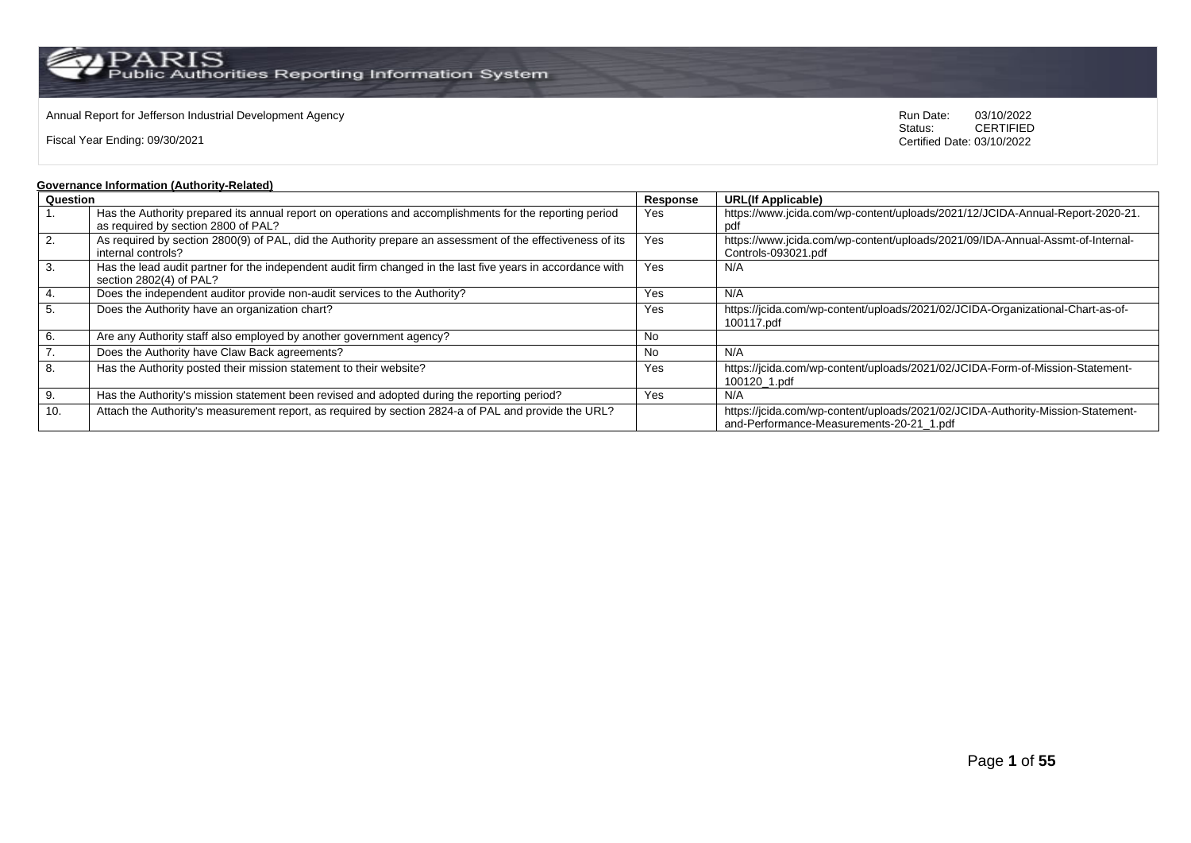$\operatorname{PARIS}_{\text{Public Authorities}\,\text{Reporting\,\text{Information System}}}$ 

### Annual Report for Jefferson Industrial Development Agency<br>
Status: CERTIFIED<br>
CERTIFIED

Fiscal Year Ending: 09/30/2021

CERTIFIED Certified Date: 03/10/2022

#### **Governance Information (Authority-Related)**

| Question         |                                                                                                             | Response | <b>URL(If Applicable)</b>                                                       |  |  |  |
|------------------|-------------------------------------------------------------------------------------------------------------|----------|---------------------------------------------------------------------------------|--|--|--|
|                  | Has the Authority prepared its annual report on operations and accomplishments for the reporting period     | Yes      | https://www.jcida.com/wp-content/uploads/2021/12/JCIDA-Annual-Report-2020-21.   |  |  |  |
|                  | as required by section 2800 of PAL?                                                                         |          | pdf                                                                             |  |  |  |
| $\overline{2}$ . | As required by section 2800(9) of PAL, did the Authority prepare an assessment of the effectiveness of its  | Yes      | https://www.jcida.com/wp-content/uploads/2021/09/IDA-Annual-Assmt-of-Internal-  |  |  |  |
|                  | internal controls?                                                                                          |          | Controls-093021.pdf                                                             |  |  |  |
| 3.               | Has the lead audit partner for the independent audit firm changed in the last five years in accordance with | Yes      | N/A                                                                             |  |  |  |
|                  | section 2802(4) of PAL?                                                                                     |          |                                                                                 |  |  |  |
| $\overline{4}$ . | Does the independent auditor provide non-audit services to the Authority?                                   | Yes      | N/A                                                                             |  |  |  |
| 5.               | Does the Authority have an organization chart?                                                              | Yes      | https://jcida.com/wp-content/uploads/2021/02/JCIDA-Organizational-Chart-as-of-  |  |  |  |
|                  |                                                                                                             |          | 100117.pdf                                                                      |  |  |  |
| 6.               | Are any Authority staff also employed by another government agency?                                         | No       |                                                                                 |  |  |  |
| $\overline{7}$ . | Does the Authority have Claw Back agreements?                                                               | No.      | N/A                                                                             |  |  |  |
| 8.               | Has the Authority posted their mission statement to their website?                                          | Yes      | https://jcida.com/wp-content/uploads/2021/02/JCIDA-Form-of-Mission-Statement-   |  |  |  |
|                  |                                                                                                             |          | 100120 1.pdf                                                                    |  |  |  |
| 9.               | Has the Authority's mission statement been revised and adopted during the reporting period?                 | Yes      | N/A                                                                             |  |  |  |
| 10.              | Attach the Authority's measurement report, as required by section 2824-a of PAL and provide the URL?        |          | https://jcida.com/wp-content/uploads/2021/02/JCIDA-Authority-Mission-Statement- |  |  |  |
|                  |                                                                                                             |          | and-Performance-Measurements-20-21 1.pdf                                        |  |  |  |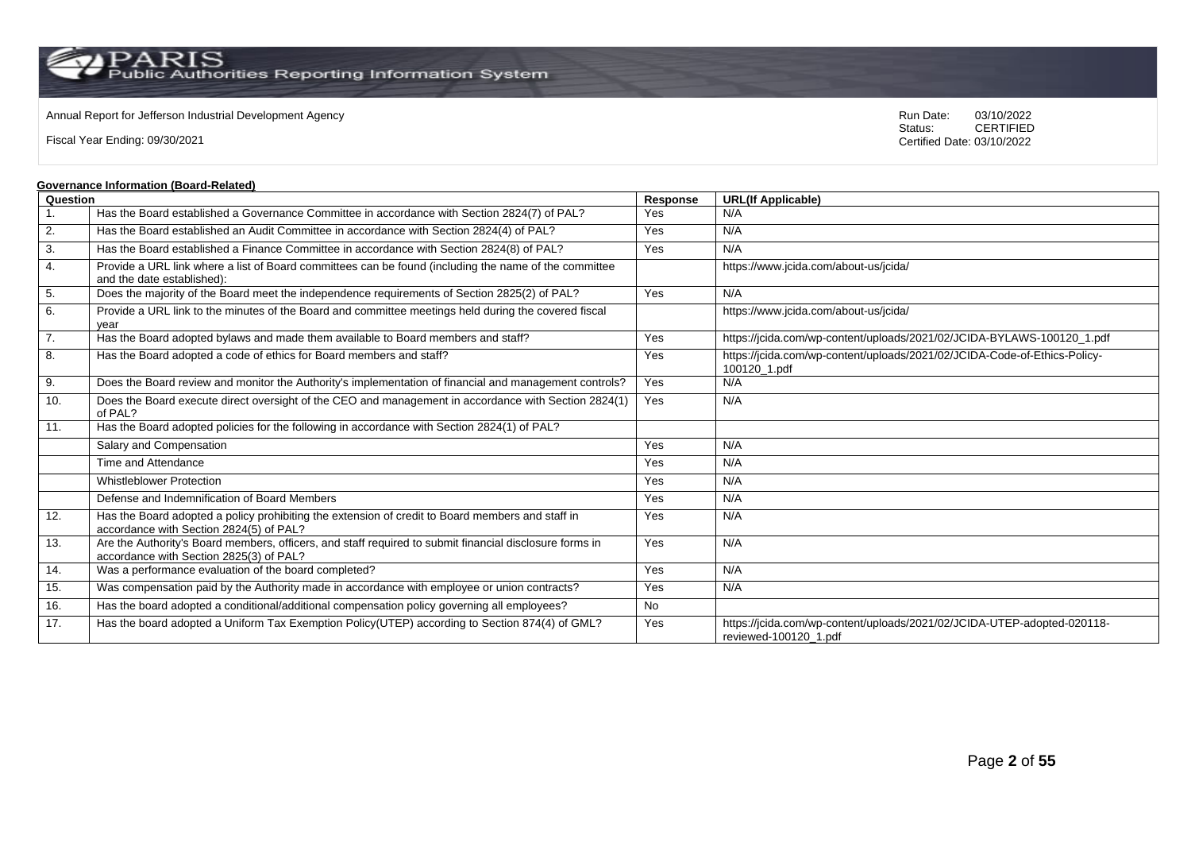$\operatorname{PARIS}_{\text{Public Authorities}\,\text{Reporting\,\text{Information System}}}$ 

### Annual Report for Jefferson Industrial Development Agency<br>
Status: CERTIFIED<br>
CERTIFIED

Fiscal Year Ending: 09/30/2021

CERTIFIED Certified Date: 03/10/2022

#### **Governance Information (Board-Related)**

| Question |                                                                                                                                                    | Response  | <b>URL(If Applicable)</b>                                                                        |
|----------|----------------------------------------------------------------------------------------------------------------------------------------------------|-----------|--------------------------------------------------------------------------------------------------|
|          | Has the Board established a Governance Committee in accordance with Section 2824(7) of PAL?                                                        | Yes       | N/A                                                                                              |
| 2.       | Has the Board established an Audit Committee in accordance with Section 2824(4) of PAL?                                                            | Yes       | N/A                                                                                              |
| 3.       | Has the Board established a Finance Committee in accordance with Section 2824(8) of PAL?                                                           | Yes       | N/A                                                                                              |
| 4.       | Provide a URL link where a list of Board committees can be found (including the name of the committee<br>and the date established):                |           | https://www.jcida.com/about-us/jcida/                                                            |
| 5.       | Does the majority of the Board meet the independence requirements of Section 2825(2) of PAL?                                                       | Yes       | N/A                                                                                              |
| 6.       | Provide a URL link to the minutes of the Board and committee meetings held during the covered fiscal<br>vear                                       |           | https://www.jcida.com/about-us/jcida/                                                            |
| 7.       | Has the Board adopted bylaws and made them available to Board members and staff?                                                                   | Yes       | https://jcida.com/wp-content/uploads/2021/02/JCIDA-BYLAWS-100120 1.pdf                           |
| 8.       | Has the Board adopted a code of ethics for Board members and staff?                                                                                | Yes       | https://jcida.com/wp-content/uploads/2021/02/JCIDA-Code-of-Ethics-Policy-<br>100120_1.pdf        |
| 9.       | Does the Board review and monitor the Authority's implementation of financial and management controls?                                             | Yes       | N/A                                                                                              |
| 10.      | Does the Board execute direct oversight of the CEO and management in accordance with Section 2824(1)<br>of PAL?                                    | Yes       | N/A                                                                                              |
| 11.      | Has the Board adopted policies for the following in accordance with Section 2824(1) of PAL?                                                        |           |                                                                                                  |
|          | Salary and Compensation                                                                                                                            | Yes       | N/A                                                                                              |
|          | Time and Attendance                                                                                                                                | Yes       | N/A                                                                                              |
|          | Whistleblower Protection                                                                                                                           | Yes       | N/A                                                                                              |
|          | Defense and Indemnification of Board Members                                                                                                       | Yes       | N/A                                                                                              |
| 12.      | Has the Board adopted a policy prohibiting the extension of credit to Board members and staff in<br>accordance with Section 2824(5) of PAL?        | Yes       | N/A                                                                                              |
| 13.      | Are the Authority's Board members, officers, and staff required to submit financial disclosure forms in<br>accordance with Section 2825(3) of PAL? | Yes       | N/A                                                                                              |
| 14.      | Was a performance evaluation of the board completed?                                                                                               | Yes       | N/A                                                                                              |
| 15.      | Was compensation paid by the Authority made in accordance with employee or union contracts?                                                        | Yes       | N/A                                                                                              |
| 16.      | Has the board adopted a conditional/additional compensation policy governing all employees?                                                        | <b>No</b> |                                                                                                  |
| 17.      | Has the board adopted a Uniform Tax Exemption Policy(UTEP) according to Section 874(4) of GML?                                                     | Yes       | https://jcida.com/wp-content/uploads/2021/02/JCIDA-UTEP-adopted-020118-<br>reviewed-100120 1.pdf |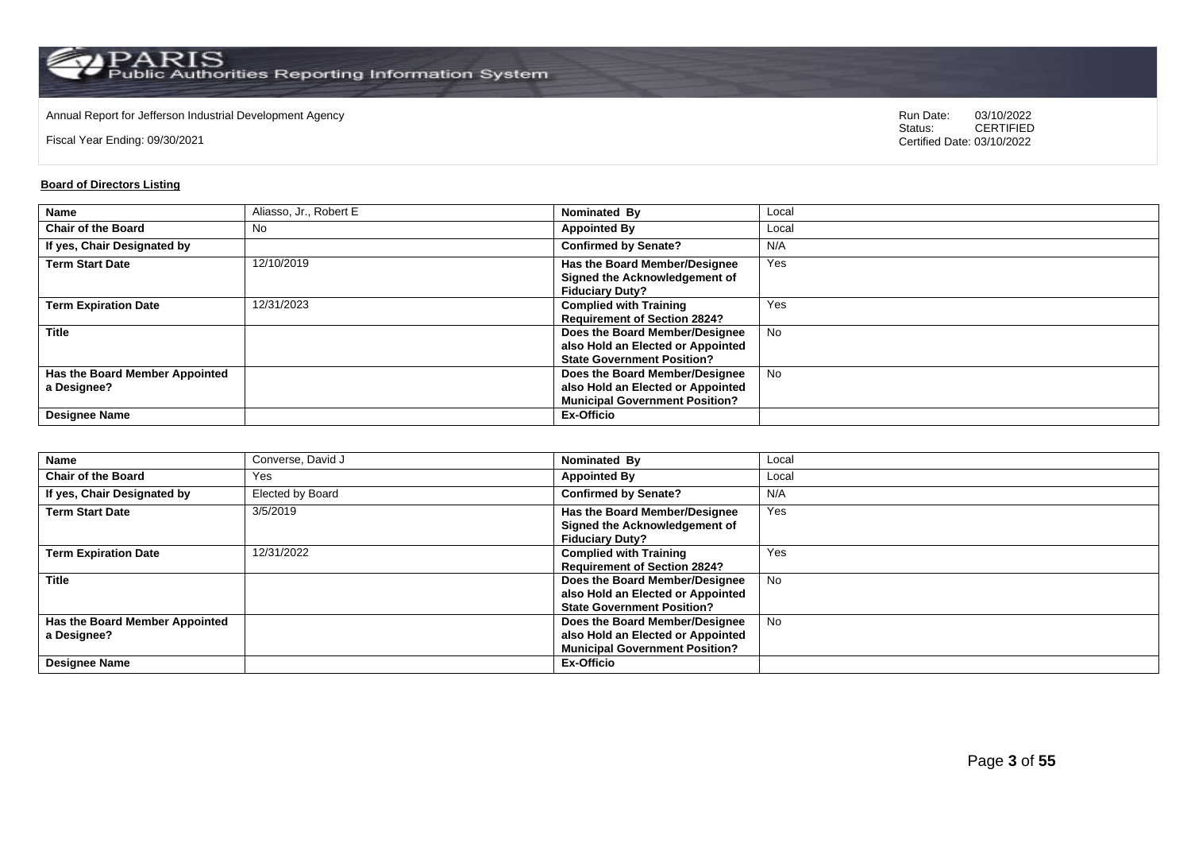Annual Report for Jefferson Industrial Development Agency<br>
Status: CERTIFIED<br>
CERTIFIED

Fiscal Year Ending: 09/30/2021

CERTIFIED Certified Date: 03/10/2022

### **Board of Directors Listing**

| <b>Name</b>                    | Aliasso, Jr., Robert E | Nominated By                          | Local     |
|--------------------------------|------------------------|---------------------------------------|-----------|
| <b>Chair of the Board</b>      | No                     | <b>Appointed By</b>                   | Local     |
| If yes, Chair Designated by    |                        | <b>Confirmed by Senate?</b>           | N/A       |
| <b>Term Start Date</b>         | 12/10/2019             | Has the Board Member/Designee         | Yes       |
|                                |                        | Signed the Acknowledgement of         |           |
|                                |                        | <b>Fiduciary Duty?</b>                |           |
| <b>Term Expiration Date</b>    | 12/31/2023             | <b>Complied with Training</b>         | Yes       |
|                                |                        | <b>Requirement of Section 2824?</b>   |           |
| <b>Title</b>                   |                        | Does the Board Member/Designee        | <b>No</b> |
|                                |                        | also Hold an Elected or Appointed     |           |
|                                |                        | <b>State Government Position?</b>     |           |
| Has the Board Member Appointed |                        | Does the Board Member/Designee        | <b>No</b> |
| a Designee?                    |                        | also Hold an Elected or Appointed     |           |
|                                |                        | <b>Municipal Government Position?</b> |           |
| <b>Designee Name</b>           |                        | Ex-Officio                            |           |

| Name                                          | Converse, David J | Nominated By                                                                                                 | Local     |
|-----------------------------------------------|-------------------|--------------------------------------------------------------------------------------------------------------|-----------|
| <b>Chair of the Board</b>                     | Yes               | <b>Appointed By</b>                                                                                          | Local     |
| If yes, Chair Designated by                   | Elected by Board  | <b>Confirmed by Senate?</b>                                                                                  | N/A       |
| <b>Term Start Date</b>                        | 3/5/2019          | Has the Board Member/Designee<br>Signed the Acknowledgement of<br><b>Fiduciary Duty?</b>                     | Yes       |
| <b>Term Expiration Date</b>                   | 12/31/2022        | <b>Complied with Training</b><br><b>Requirement of Section 2824?</b>                                         | Yes       |
| <b>Title</b>                                  |                   | Does the Board Member/Designee<br>also Hold an Elected or Appointed<br><b>State Government Position?</b>     | No        |
| Has the Board Member Appointed<br>a Designee? |                   | Does the Board Member/Designee<br>also Hold an Elected or Appointed<br><b>Municipal Government Position?</b> | <b>No</b> |
| <b>Designee Name</b>                          |                   | Ex-Officio                                                                                                   |           |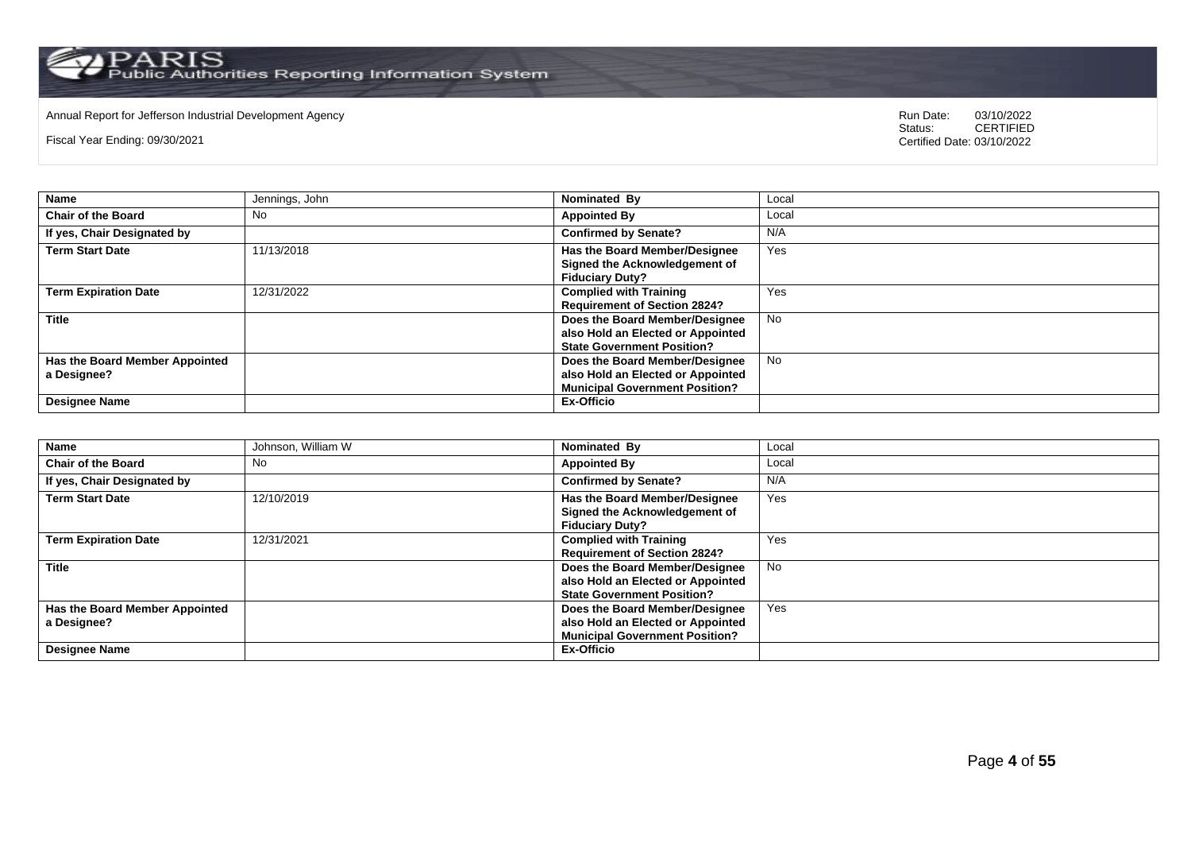# Annual Report for Jefferson Industrial Development Agency<br>
Status: CERTIFIED

Fiscal Year Ending: 09/30/2021

| <b>Name</b>                                                           | Jennings, John | Nominated By                                                                                                                      | Local     |
|-----------------------------------------------------------------------|----------------|-----------------------------------------------------------------------------------------------------------------------------------|-----------|
| <b>Chair of the Board</b>                                             | No             | <b>Appointed By</b>                                                                                                               | Local     |
| If yes, Chair Designated by                                           |                | <b>Confirmed by Senate?</b>                                                                                                       | N/A       |
| <b>Term Start Date</b>                                                | 11/13/2018     | Has the Board Member/Designee<br>Signed the Acknowledgement of<br><b>Fiduciary Duty?</b>                                          | Yes       |
| <b>Term Expiration Date</b>                                           | 12/31/2022     | <b>Complied with Training</b><br><b>Requirement of Section 2824?</b>                                                              | Yes       |
| <b>Title</b>                                                          |                | Does the Board Member/Designee<br>also Hold an Elected or Appointed<br><b>State Government Position?</b>                          | <b>No</b> |
| Has the Board Member Appointed<br>a Designee?<br><b>Designee Name</b> |                | Does the Board Member/Designee<br>also Hold an Elected or Appointed<br><b>Municipal Government Position?</b><br><b>Ex-Officio</b> | <b>No</b> |

| <b>Name</b>                    | Johnson, William W | Nominated By                          | Local |
|--------------------------------|--------------------|---------------------------------------|-------|
| <b>Chair of the Board</b>      | No                 | <b>Appointed By</b>                   | Local |
| If yes, Chair Designated by    |                    | <b>Confirmed by Senate?</b>           | N/A   |
| <b>Term Start Date</b>         | 12/10/2019         | <b>Has the Board Member/Designee</b>  | Yes   |
|                                |                    | Signed the Acknowledgement of         |       |
|                                |                    | <b>Fiduciary Duty?</b>                |       |
| <b>Term Expiration Date</b>    | 12/31/2021         | <b>Complied with Training</b>         | Yes   |
|                                |                    | <b>Requirement of Section 2824?</b>   |       |
| <b>Title</b>                   |                    | Does the Board Member/Designee        | No    |
|                                |                    | also Hold an Elected or Appointed     |       |
|                                |                    | <b>State Government Position?</b>     |       |
| Has the Board Member Appointed |                    | Does the Board Member/Designee        | Yes   |
| a Designee?                    |                    | also Hold an Elected or Appointed     |       |
|                                |                    | <b>Municipal Government Position?</b> |       |
| <b>Designee Name</b>           |                    | Ex-Officio                            |       |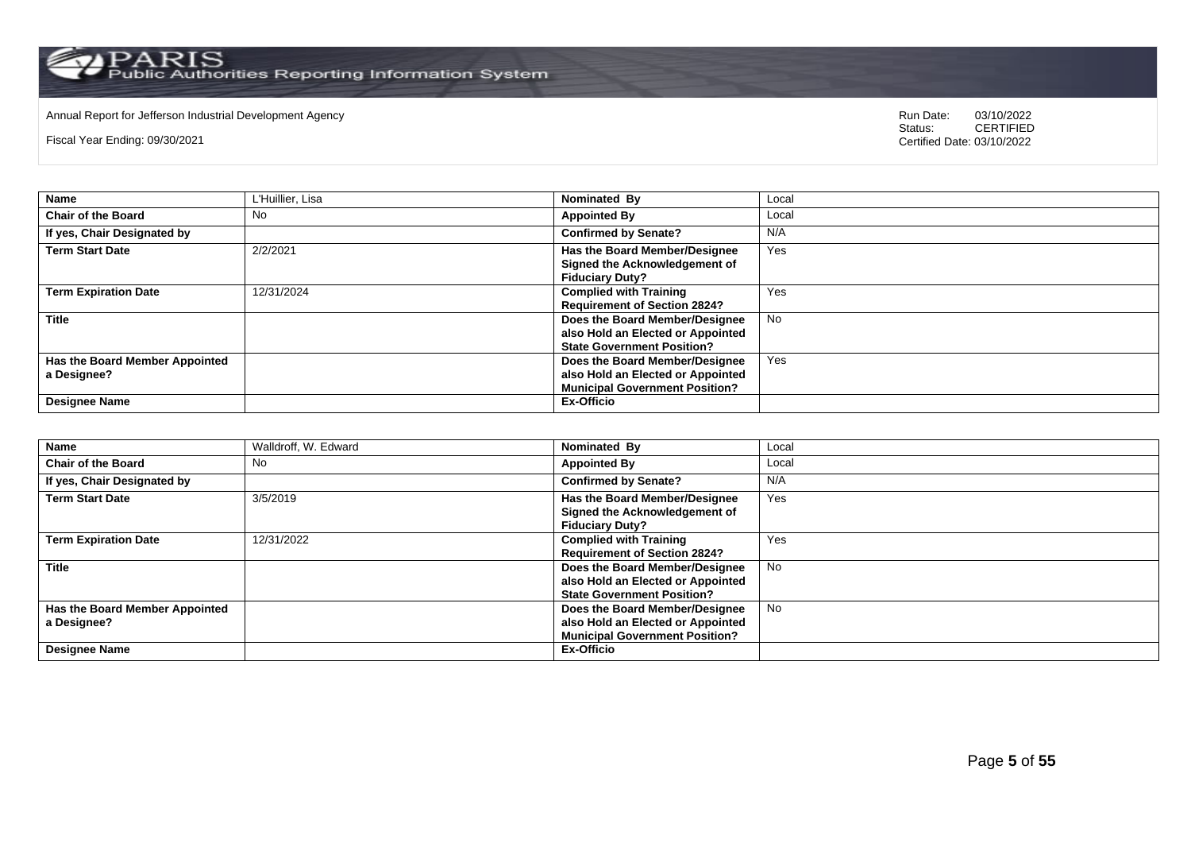# Annual Report for Jefferson Industrial Development Agency<br>
Status: CERTIFIED

Fiscal Year Ending: 09/30/2021

| <b>Name</b>                    | L'Huillier, Lisa | Nominated By                          | Local     |
|--------------------------------|------------------|---------------------------------------|-----------|
| <b>Chair of the Board</b>      | No               | <b>Appointed By</b>                   | Local     |
| If yes, Chair Designated by    |                  | <b>Confirmed by Senate?</b>           | N/A       |
| <b>Term Start Date</b>         | 2/2/2021         | Has the Board Member/Designee         | Yes       |
|                                |                  | Signed the Acknowledgement of         |           |
|                                |                  | <b>Fiduciary Duty?</b>                |           |
| <b>Term Expiration Date</b>    | 12/31/2024       | <b>Complied with Training</b>         | Yes       |
|                                |                  | <b>Requirement of Section 2824?</b>   |           |
| <b>Title</b>                   |                  | Does the Board Member/Designee        | <b>No</b> |
|                                |                  | also Hold an Elected or Appointed     |           |
|                                |                  | <b>State Government Position?</b>     |           |
| Has the Board Member Appointed |                  | Does the Board Member/Designee        | Yes       |
| a Designee?                    |                  | also Hold an Elected or Appointed     |           |
|                                |                  | <b>Municipal Government Position?</b> |           |
| <b>Designee Name</b>           |                  | <b>Ex-Officio</b>                     |           |

| <b>Name</b>                    | Walldroff, W. Edward | Nominated By                          | Local     |
|--------------------------------|----------------------|---------------------------------------|-----------|
| <b>Chair of the Board</b>      | No                   | <b>Appointed By</b>                   | Local     |
| If yes, Chair Designated by    |                      | <b>Confirmed by Senate?</b>           | N/A       |
| <b>Term Start Date</b>         | 3/5/2019             | <b>Has the Board Member/Designee</b>  | Yes       |
|                                |                      | Signed the Acknowledgement of         |           |
|                                |                      | <b>Fiduciary Duty?</b>                |           |
| <b>Term Expiration Date</b>    | 12/31/2022           | <b>Complied with Training</b>         | Yes       |
|                                |                      | <b>Requirement of Section 2824?</b>   |           |
| <b>Title</b>                   |                      | Does the Board Member/Designee        | <b>No</b> |
|                                |                      | also Hold an Elected or Appointed     |           |
|                                |                      | <b>State Government Position?</b>     |           |
| Has the Board Member Appointed |                      | Does the Board Member/Designee        | <b>No</b> |
| a Designee?                    |                      | also Hold an Elected or Appointed     |           |
|                                |                      | <b>Municipal Government Position?</b> |           |
| <b>Designee Name</b>           |                      | Ex-Officio                            |           |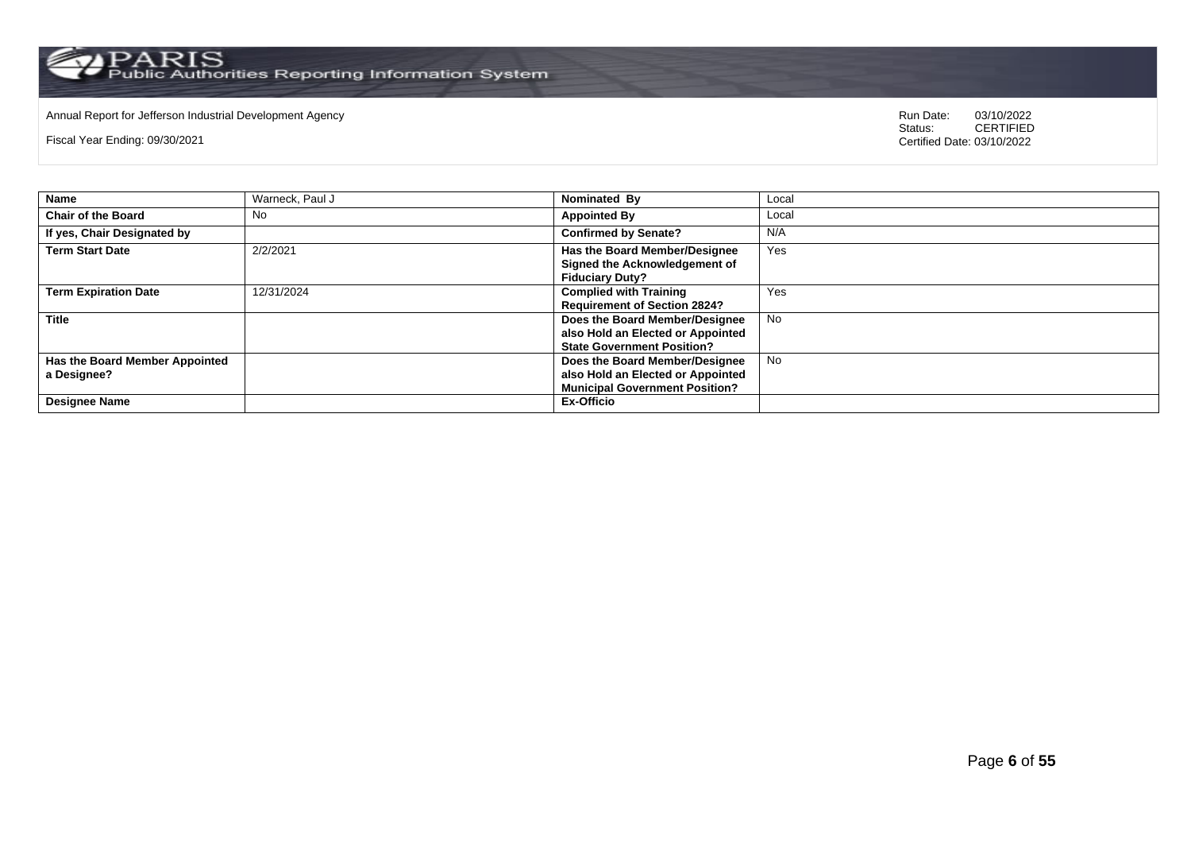# Annual Report for Jefferson Industrial Development Agency<br>
Status: CERTIFIED

Fiscal Year Ending: 09/30/2021

|                                                                       | Nominated By                                                                                                                      | Local     |
|-----------------------------------------------------------------------|-----------------------------------------------------------------------------------------------------------------------------------|-----------|
| <b>Chair of the Board</b><br>No                                       | <b>Appointed By</b>                                                                                                               | Local     |
| If yes, Chair Designated by                                           | <b>Confirmed by Senate?</b>                                                                                                       | N/A       |
| <b>Term Start Date</b><br>2/2/2021                                    | Has the Board Member/Designee<br>Signed the Acknowledgement of<br><b>Fiduciary Duty?</b>                                          | Yes       |
| 12/31/2024<br><b>Term Expiration Date</b>                             | <b>Complied with Training</b><br><b>Requirement of Section 2824?</b>                                                              | Yes       |
| <b>Title</b>                                                          | Does the Board Member/Designee<br>also Hold an Elected or Appointed<br><b>State Government Position?</b>                          | <b>No</b> |
| Has the Board Member Appointed<br>a Designee?<br><b>Designee Name</b> | Does the Board Member/Designee<br>also Hold an Elected or Appointed<br><b>Municipal Government Position?</b><br><b>Ex-Officio</b> | <b>No</b> |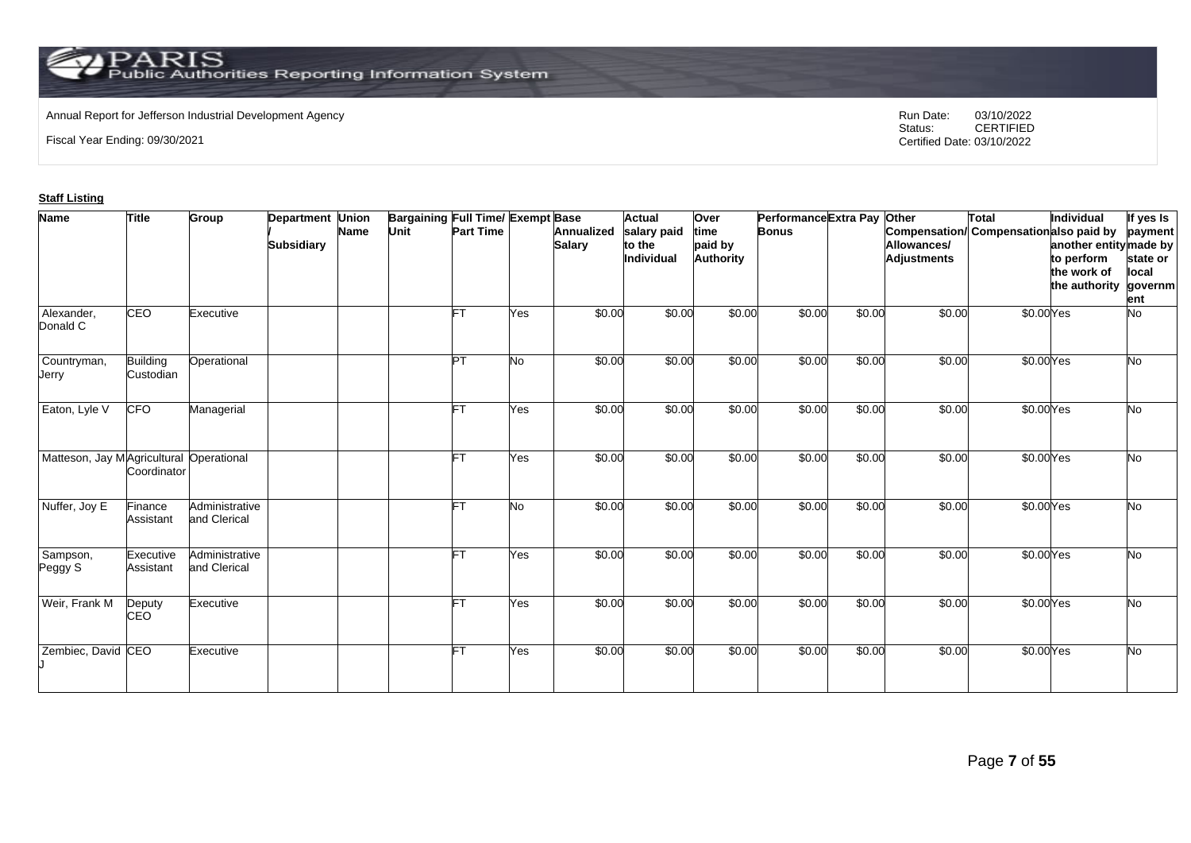# Annual Report for Jefferson Industrial Development Agency<br>
Status: CERTIFIED

Fiscal Year Ending: 09/30/2021

CERTIFIED Certified Date: 03/10/2022

### **Staff Listing**

| <b>Name</b>                             | <b>Title</b>                 | Group                          | <b>Department Union</b><br><b>Subsidiary</b> | <b>Name</b> | <b>Bargaining Full Time/ Exempt Base</b><br>Unit | <b>Part Time</b> |           | <b>Annualized</b><br><b>Salary</b> | <b>Actual</b><br>salary paid<br>to the<br>Individual | Over<br>time<br>paid by<br><b>Authority</b> | Performance Extra Pay<br><b>Bonus</b> |        | Other<br>Allowances/<br><b>Adjustments</b> | Total<br>Compensation/ Compensation also paid by | Individual<br>another entity made by<br>to perform<br>the work of<br>the authority | If yes Is<br>payment<br>state or<br>local<br>governm<br>ent |
|-----------------------------------------|------------------------------|--------------------------------|----------------------------------------------|-------------|--------------------------------------------------|------------------|-----------|------------------------------------|------------------------------------------------------|---------------------------------------------|---------------------------------------|--------|--------------------------------------------|--------------------------------------------------|------------------------------------------------------------------------------------|-------------------------------------------------------------|
| Alexander,<br>Donald C                  | <b>CEO</b>                   | Executive                      |                                              |             |                                                  |                  | Yes       | \$0.00                             | \$0.00                                               | \$0.00                                      | \$0.00                                | \$0.00 | \$0.00                                     | \$0.00Yes                                        |                                                                                    | <b>No</b>                                                   |
| Countryman,<br>Jerry                    | <b>Building</b><br>Custodian | Operational                    |                                              |             |                                                  | ĪРТ              | <b>No</b> | \$0.00                             | \$0.00                                               | \$0.00                                      | \$0.00                                | \$0.00 | \$0.00                                     | \$0.00Yes                                        |                                                                                    | <b>No</b>                                                   |
| Eaton, Lyle V                           | <b>CFO</b>                   | Managerial                     |                                              |             |                                                  |                  | Yes       | \$0.00                             | \$0.00                                               | \$0.00                                      | \$0.00                                | \$0.00 | \$0.00                                     | \$0.00Yes                                        |                                                                                    | <b>No</b>                                                   |
| Matteson, Jay MAgricultural Operational | Coordinator                  |                                |                                              |             |                                                  | FT               | Yes       | \$0.00                             | \$0.00                                               | \$0.00                                      | \$0.00                                | \$0.00 | \$0.00                                     | \$0.00Yes                                        |                                                                                    | <b>No</b>                                                   |
| Nuffer, Joy E                           | Finance<br>Assistant         | Administrative<br>and Clerical |                                              |             |                                                  |                  | <b>No</b> | \$0.00                             | \$0.00                                               | \$0.00                                      | \$0.00                                | \$0.00 | \$0.00                                     | \$0.00Yes                                        |                                                                                    | <b>No</b>                                                   |
| Sampson,<br>Peggy S                     | Executive<br>Assistant       | Administrative<br>and Clerical |                                              |             |                                                  |                  | Yes       | \$0.00                             | \$0.00                                               | \$0.00                                      | \$0.00                                | \$0.00 | \$0.00                                     | \$0.00Yes                                        |                                                                                    | <b>No</b>                                                   |
| Weir, Frank M                           | Deputy<br><b>CEO</b>         | Executive                      |                                              |             |                                                  | FT               | Yes       | \$0.00                             | \$0.00                                               | \$0.00                                      | \$0.00                                | \$0.00 | \$0.00                                     | \$0.00Yes                                        |                                                                                    | <b>No</b>                                                   |
| Zembiec, David CEO                      |                              | Executive                      |                                              |             |                                                  | FT               | Yes       | \$0.00                             | \$0.00                                               | \$0.00                                      | \$0.00                                | \$0.00 | \$0.00                                     | \$0.00Yes                                        |                                                                                    | <b>No</b>                                                   |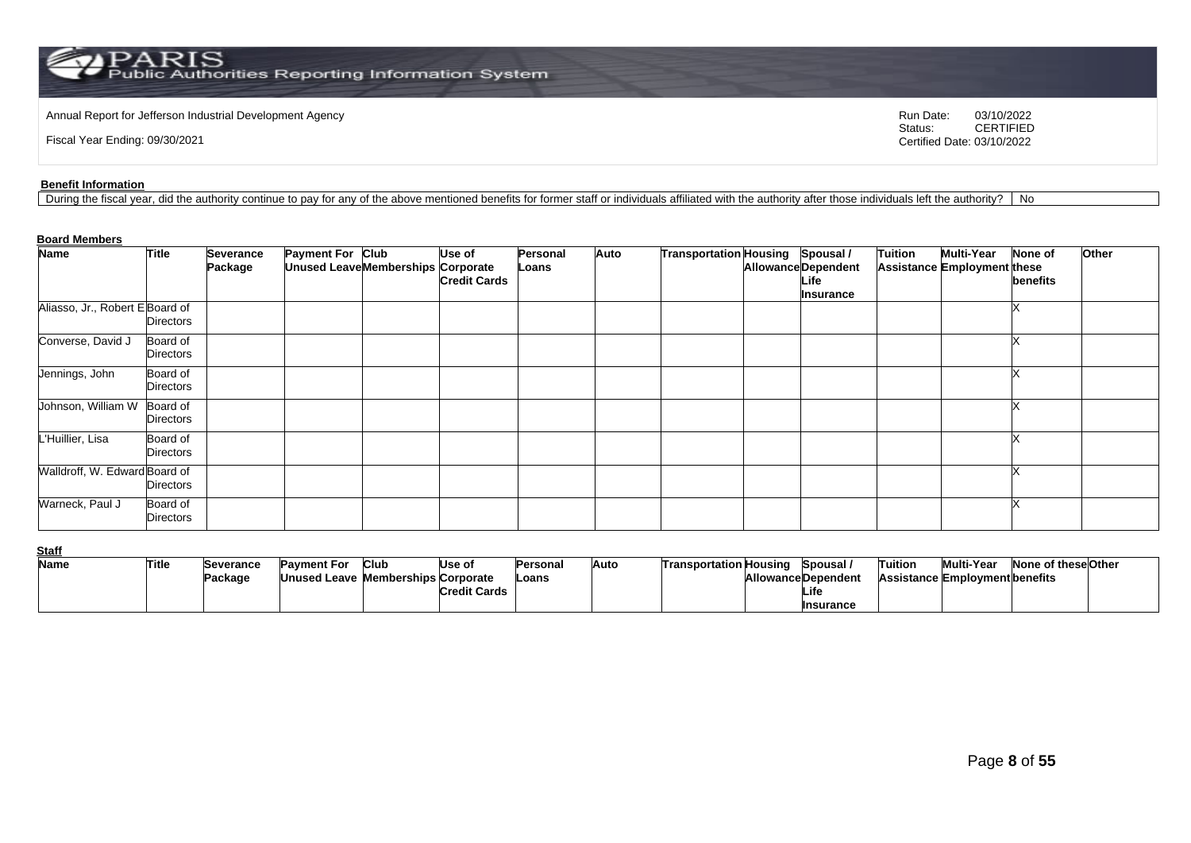Annual Report for Jefferson Industrial Development Agency<br>
Status: CERTIFIED<br>
CERTIFIED

Fiscal Year Ending: 09/30/2021

CERTIFIED Certified Date: 03/10/2022

#### **Benefit Information**

During the fiscal year, did the authority continue to pay for any of the above mentioned benefits for former staff or individuals affiliated with the authority after those individuals left the authority? | No

### **Board Members**

| <b>Name</b>                     | <b>Title</b>          | Severance | Payment For Club |                                    | Use of              | Personal | Auto | Transportation Housing Spousal / |                                                        | <b>Tuition</b> | <b>Multi-Year</b>           | <b>None of</b> | Other |
|---------------------------------|-----------------------|-----------|------------------|------------------------------------|---------------------|----------|------|----------------------------------|--------------------------------------------------------|----------------|-----------------------------|----------------|-------|
|                                 |                       | Package   |                  | Unused Leave Memberships Corporate | <b>Credit Cards</b> | Loans    |      |                                  | <b>Allowance Dependent</b><br>Life<br><b>Insurance</b> |                | Assistance Employment these | benefits       |       |
| Aliasso, Jr., Robert E Board of | Directors             |           |                  |                                    |                     |          |      |                                  |                                                        |                |                             |                |       |
| Converse, David J               | Board of<br>Directors |           |                  |                                    |                     |          |      |                                  |                                                        |                |                             |                |       |
| Jennings, John                  | Board of<br>Directors |           |                  |                                    |                     |          |      |                                  |                                                        |                |                             |                |       |
| Johnson, William W              | Board of<br>Directors |           |                  |                                    |                     |          |      |                                  |                                                        |                |                             |                |       |
| L'Huillier, Lisa                | Board of<br>Directors |           |                  |                                    |                     |          |      |                                  |                                                        |                |                             |                |       |
| Walldroff, W. Edward Board of   | Directors             |           |                  |                                    |                     |          |      |                                  |                                                        |                |                             |                |       |
| Warneck, Paul J                 | Board of<br>Directors |           |                  |                                    |                     |          |      |                                  |                                                        |                |                             |                |       |

**Staff**

| ---- |       |           |                                    |      |                     |           |      |                               |                           |         |                                       |                     |  |
|------|-------|-----------|------------------------------------|------|---------------------|-----------|------|-------------------------------|---------------------------|---------|---------------------------------------|---------------------|--|
| Name | Title | Severance | Pavment For                        | Club | Use of              | lPersonal | Auto | <b>Transportation Housing</b> | Spousal /                 | Tuition | Multi-Year                            | None of these Other |  |
|      |       | Package   | Unused Leave Memberships Corporate |      |                     | -oans     |      |                               | <b>AllowanceDependent</b> |         | <b>Assistance Employment benefits</b> |                     |  |
|      |       |           |                                    |      | <b>Credit Cards</b> |           |      |                               | Life                      |         |                                       |                     |  |
|      |       |           |                                    |      |                     |           |      |                               | Insurance                 |         |                                       |                     |  |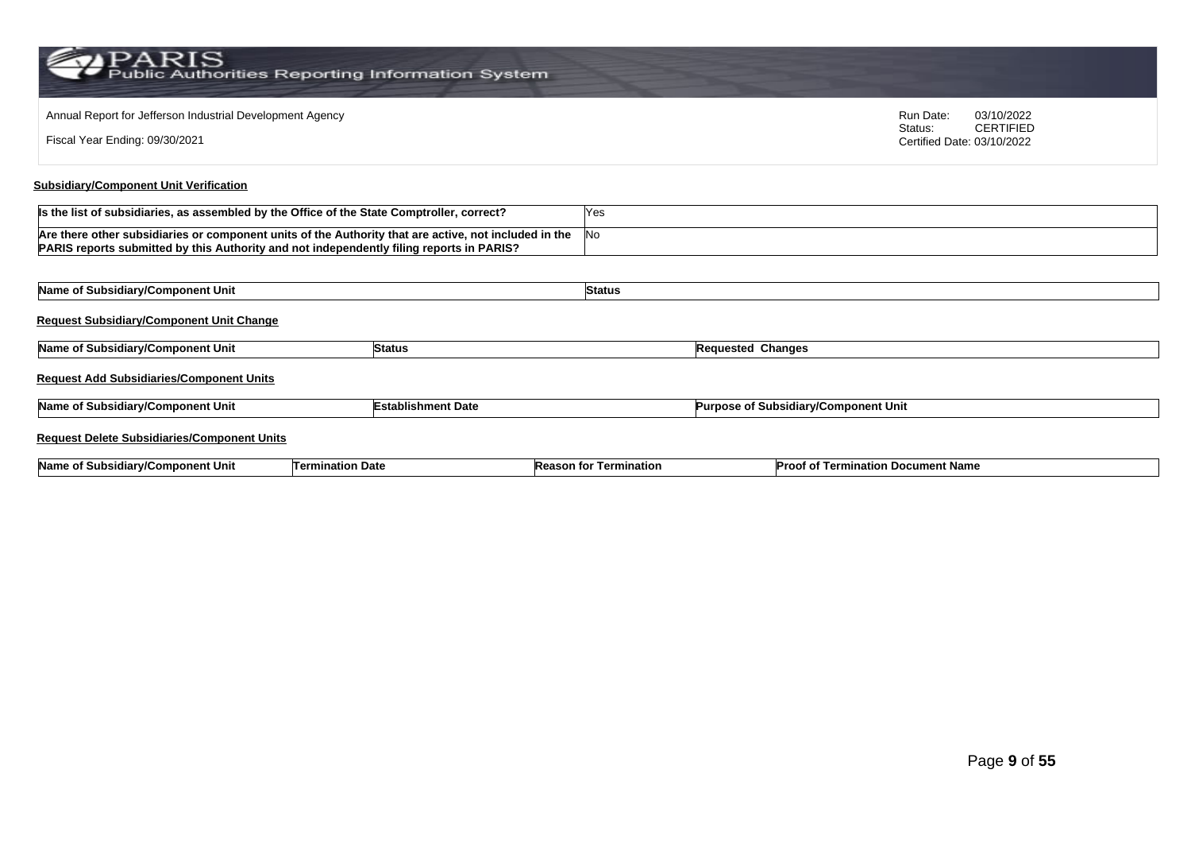| Annual Report for Jefferson Industrial Development Agency<br>Fiscal Year Ending: 09/30/2021                                                                                                       |                           |               |                                      | Run Date:<br>Status:<br>Certified Date: 03/10/2022 | 03/10/2022<br><b>CERTIFIED</b> |  |
|---------------------------------------------------------------------------------------------------------------------------------------------------------------------------------------------------|---------------------------|---------------|--------------------------------------|----------------------------------------------------|--------------------------------|--|
| <b>Subsidiary/Component Unit Verification</b>                                                                                                                                                     |                           |               |                                      |                                                    |                                |  |
| Is the list of subsidiaries, as assembled by the Office of the State Comptroller, correct?                                                                                                        |                           | Yes           |                                      |                                                    |                                |  |
| Are there other subsidiaries or component units of the Authority that are active, not included in the<br>PARIS reports submitted by this Authority and not independently filing reports in PARIS? |                           | No            |                                      |                                                    |                                |  |
|                                                                                                                                                                                                   |                           |               |                                      |                                                    |                                |  |
| Name of Subsidiary/Component Unit                                                                                                                                                                 |                           | <b>Status</b> |                                      |                                                    |                                |  |
| <b>Request Subsidiary/Component Unit Change</b>                                                                                                                                                   |                           |               |                                      |                                                    |                                |  |
| Name of Subsidiary/Component Unit                                                                                                                                                                 | <b>Status</b>             |               | <b>Requested Changes</b>             |                                                    |                                |  |
| <b>Request Add Subsidiaries/Component Units</b>                                                                                                                                                   |                           |               |                                      |                                                    |                                |  |
| Name of Subsidiary/Component Unit                                                                                                                                                                 | <b>Establishment Date</b> |               | Purpose of Subsidiary/Component Unit |                                                    |                                |  |
| <b>Request Delete Subsidiaries/Component Units</b>                                                                                                                                                |                           |               |                                      |                                                    |                                |  |

| <b>Name</b><br>≀nent Uni<br>ubs<br><b>GOMDO</b><br>оı<br>u m | Date<br>inatior<br>Tern | Termination<br>tol<br>יי<br>son<br>" | Proor .<br>ment Name<br>` Docu<br>-911<br>.<br>. റ<br>юш |
|--------------------------------------------------------------|-------------------------|--------------------------------------|----------------------------------------------------------|
|--------------------------------------------------------------|-------------------------|--------------------------------------|----------------------------------------------------------|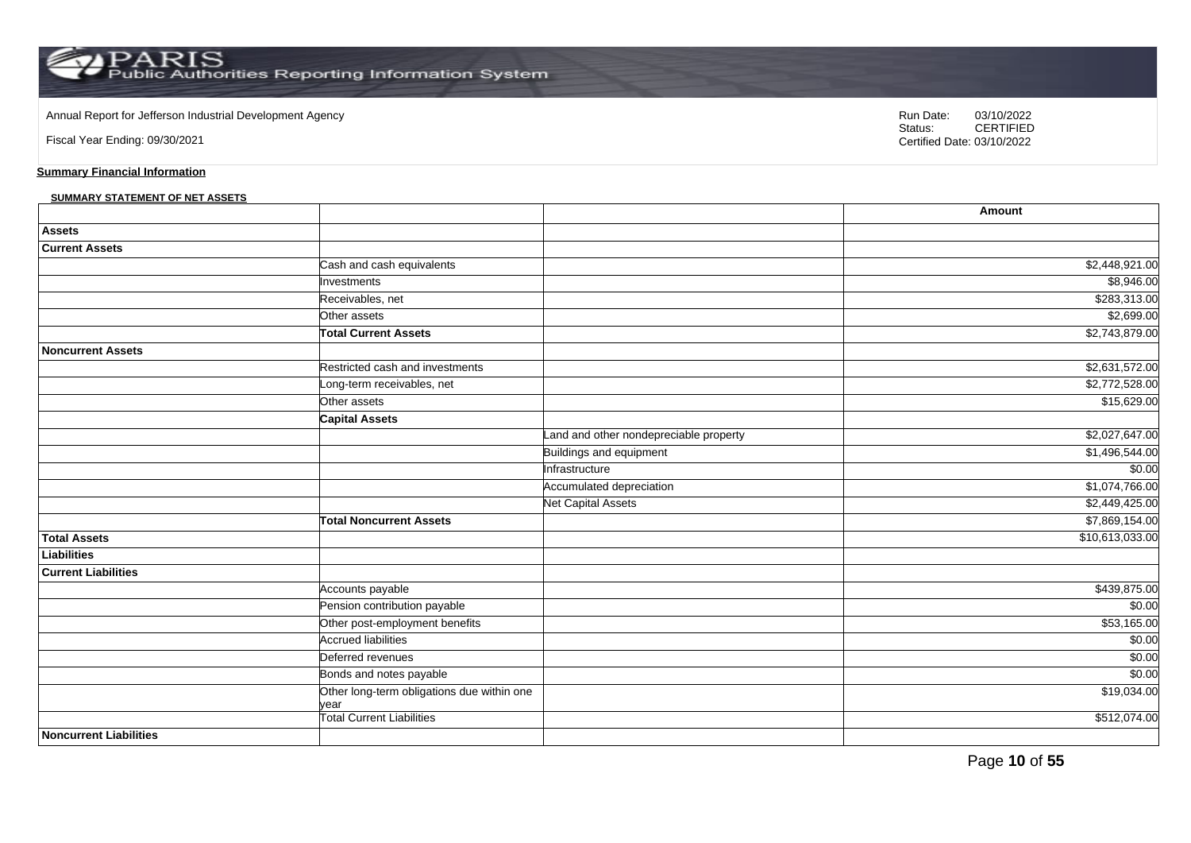Annual Report for Jefferson Industrial Development Agency<br>
Status: CERTIFIED<br>
CERTIFIED

Fiscal Year Ending: 09/30/2021

CERTIFIED Certified Date: 03/10/2022

### **Summary Financial Information**

#### **SUMMARY STATEMENT OF NET ASSETS**

|                               |                                                    |                                        | Amount          |
|-------------------------------|----------------------------------------------------|----------------------------------------|-----------------|
| <b>Assets</b>                 |                                                    |                                        |                 |
| <b>Current Assets</b>         |                                                    |                                        |                 |
|                               | Cash and cash equivalents                          |                                        | \$2,448,921.00  |
|                               | Investments                                        |                                        | \$8,946.00      |
|                               | Receivables, net                                   |                                        | \$283,313.00    |
|                               | Other assets                                       |                                        | \$2,699.00      |
|                               | <b>Total Current Assets</b>                        |                                        | \$2,743,879.00  |
| <b>Noncurrent Assets</b>      |                                                    |                                        |                 |
|                               | Restricted cash and investments                    |                                        | \$2,631,572.00  |
|                               | ong-term receivables, net                          |                                        | \$2,772,528.00  |
|                               | Other assets                                       |                                        | \$15,629.00     |
|                               | <b>Capital Assets</b>                              |                                        |                 |
|                               |                                                    | Land and other nondepreciable property | \$2,027,647.00  |
|                               |                                                    | Buildings and equipment                | \$1,496,544.00  |
|                               |                                                    | Infrastructure                         | \$0.00          |
|                               |                                                    | Accumulated depreciation               | \$1,074,766.00  |
|                               |                                                    | <b>Net Capital Assets</b>              | \$2,449,425.00  |
|                               | <b>Total Noncurrent Assets</b>                     |                                        | \$7,869,154.00  |
| <b>Total Assets</b>           |                                                    |                                        | \$10,613,033.00 |
| Liabilities                   |                                                    |                                        |                 |
| <b>Current Liabilities</b>    |                                                    |                                        |                 |
|                               | Accounts payable                                   |                                        | \$439,875.00    |
|                               | Pension contribution payable                       |                                        | \$0.00          |
|                               | Other post-employment benefits                     |                                        | \$53,165.00     |
|                               | <b>Accrued liabilities</b>                         |                                        | \$0.00          |
|                               | Deferred revenues                                  |                                        | \$0.00          |
|                               | Bonds and notes payable                            |                                        | \$0.00          |
|                               | Other long-term obligations due within one<br>vear |                                        | \$19,034.00     |
|                               | <b>Total Current Liabilities</b>                   |                                        | \$512,074.00    |
| <b>Noncurrent Liabilities</b> |                                                    |                                        |                 |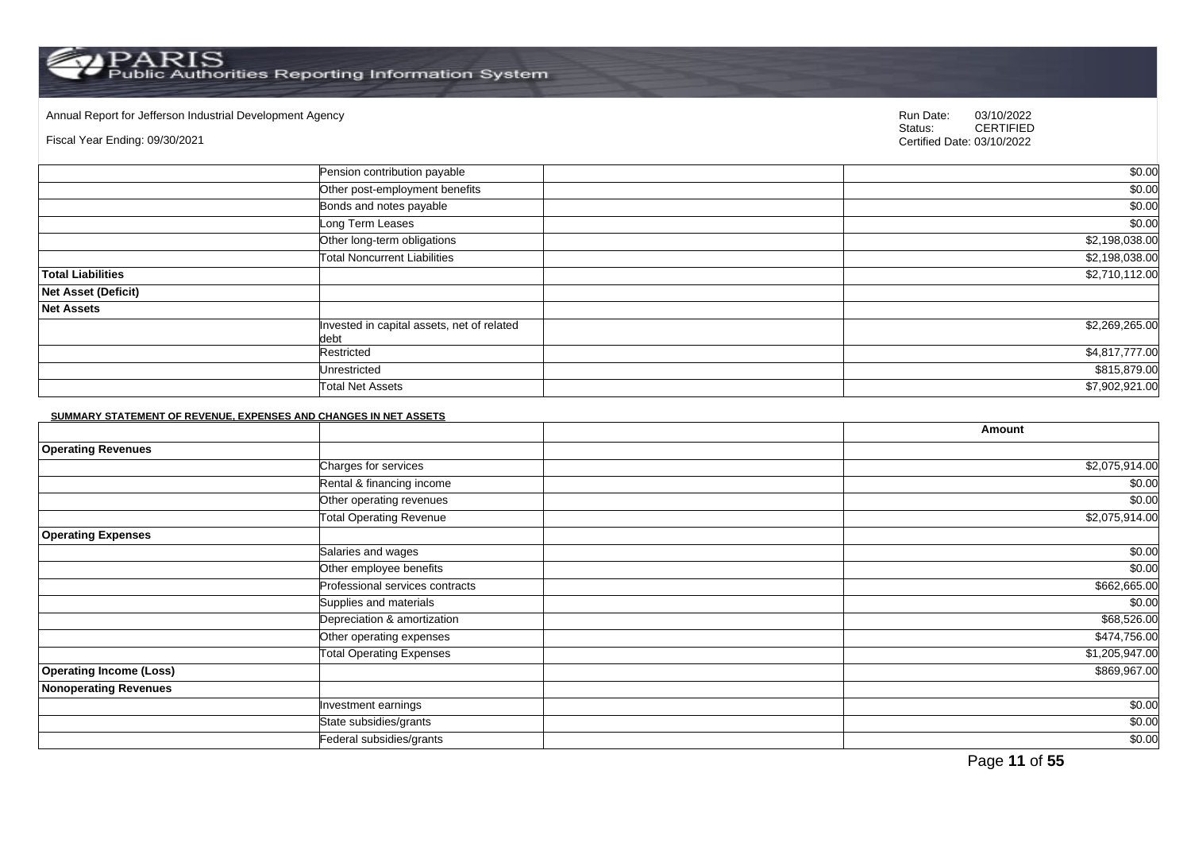Annual Report for Jefferson Industrial Development Agency<br>
Status: CERTIFIED

#### Fiscal Year Ending: 09/30/2021

CERTIFIED Certified Date: 03/10/2022

|                            | Pension contribution payable                       | \$0.00         |
|----------------------------|----------------------------------------------------|----------------|
|                            | Other post-employment benefits                     | \$0.00         |
|                            | Bonds and notes payable                            | \$0.00         |
|                            | Long Term Leases                                   | \$0.00         |
|                            | Other long-term obligations                        | \$2,198,038.00 |
|                            | <b>Total Noncurrent Liabilities</b>                | \$2,198,038.00 |
| <b>Total Liabilities</b>   |                                                    | \$2,710,112.00 |
| <b>Net Asset (Deficit)</b> |                                                    |                |
| <b>Net Assets</b>          |                                                    |                |
|                            | Invested in capital assets, net of related<br>debt | \$2,269,265.00 |
|                            | Restricted                                         | \$4,817,777.00 |
|                            | Unrestricted                                       | \$815,879.00   |
|                            | <b>Total Net Assets</b>                            | \$7,902,921.00 |

#### **SUMMARY STATEMENT OF REVENUE, EXPENSES AND CHANGES IN NET ASSETS**

|                                |                                 | Amount         |
|--------------------------------|---------------------------------|----------------|
| <b>Operating Revenues</b>      |                                 |                |
|                                | Charges for services            | \$2,075,914.00 |
|                                | Rental & financing income       | \$0.00         |
|                                | Other operating revenues        | \$0.00         |
|                                | <b>Total Operating Revenue</b>  | \$2,075,914.00 |
| <b>Operating Expenses</b>      |                                 |                |
|                                | Salaries and wages              | \$0.00         |
|                                | Other employee benefits         | \$0.00         |
|                                | Professional services contracts | \$662,665.00   |
|                                | Supplies and materials          | \$0.00         |
|                                | Depreciation & amortization     | \$68,526.00    |
|                                | Other operating expenses        | \$474,756.00   |
|                                | <b>Total Operating Expenses</b> | \$1,205,947.00 |
| <b>Operating Income (Loss)</b> |                                 | \$869,967.00   |
| <b>Nonoperating Revenues</b>   |                                 |                |
|                                | Investment earnings             | \$0.00         |
|                                | State subsidies/grants          | \$0.00         |
|                                | Federal subsidies/grants        | \$0.00         |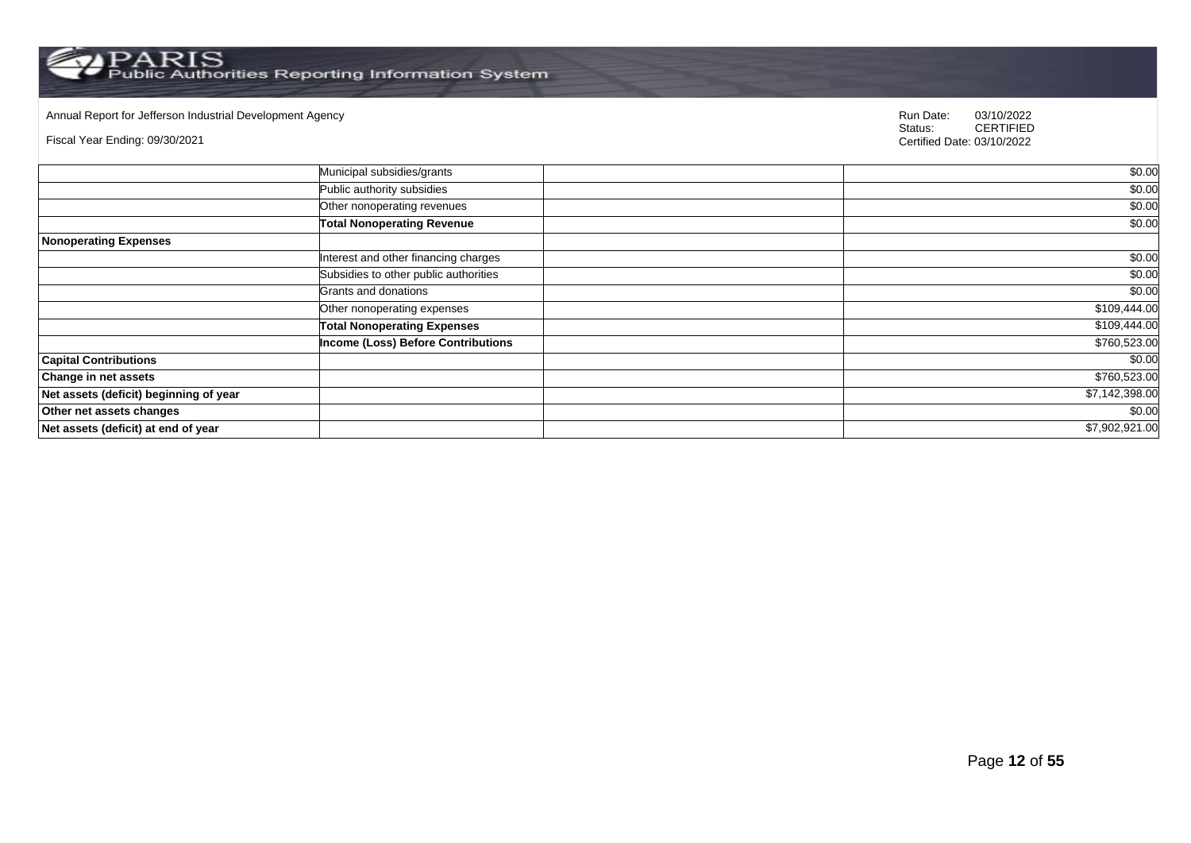Annual Report for Jefferson Industrial Development Agency<br>
Status: CERTIFIED

Fiscal Year Ending: 09/30/2021

|                                        | Municipal subsidies/grants                | \$0.00         |
|----------------------------------------|-------------------------------------------|----------------|
|                                        | Public authority subsidies                | \$0.00         |
|                                        | Other nonoperating revenues               | \$0.00         |
|                                        | <b>Total Nonoperating Revenue</b>         | \$0.00         |
| <b>Nonoperating Expenses</b>           |                                           |                |
|                                        | Interest and other financing charges      | \$0.00         |
|                                        | Subsidies to other public authorities     | \$0.00         |
|                                        | Grants and donations                      | \$0.00         |
|                                        | Other nonoperating expenses               | \$109,444.00   |
|                                        | <b>Total Nonoperating Expenses</b>        | \$109,444.00   |
|                                        | <b>Income (Loss) Before Contributions</b> | \$760,523.00   |
| <b>Capital Contributions</b>           |                                           | \$0.00         |
| <b>Change in net assets</b>            |                                           | \$760,523.00   |
| Net assets (deficit) beginning of year |                                           | \$7,142,398.00 |
| Other net assets changes               |                                           | \$0.00         |
| Net assets (deficit) at end of year    |                                           | \$7,902,921.00 |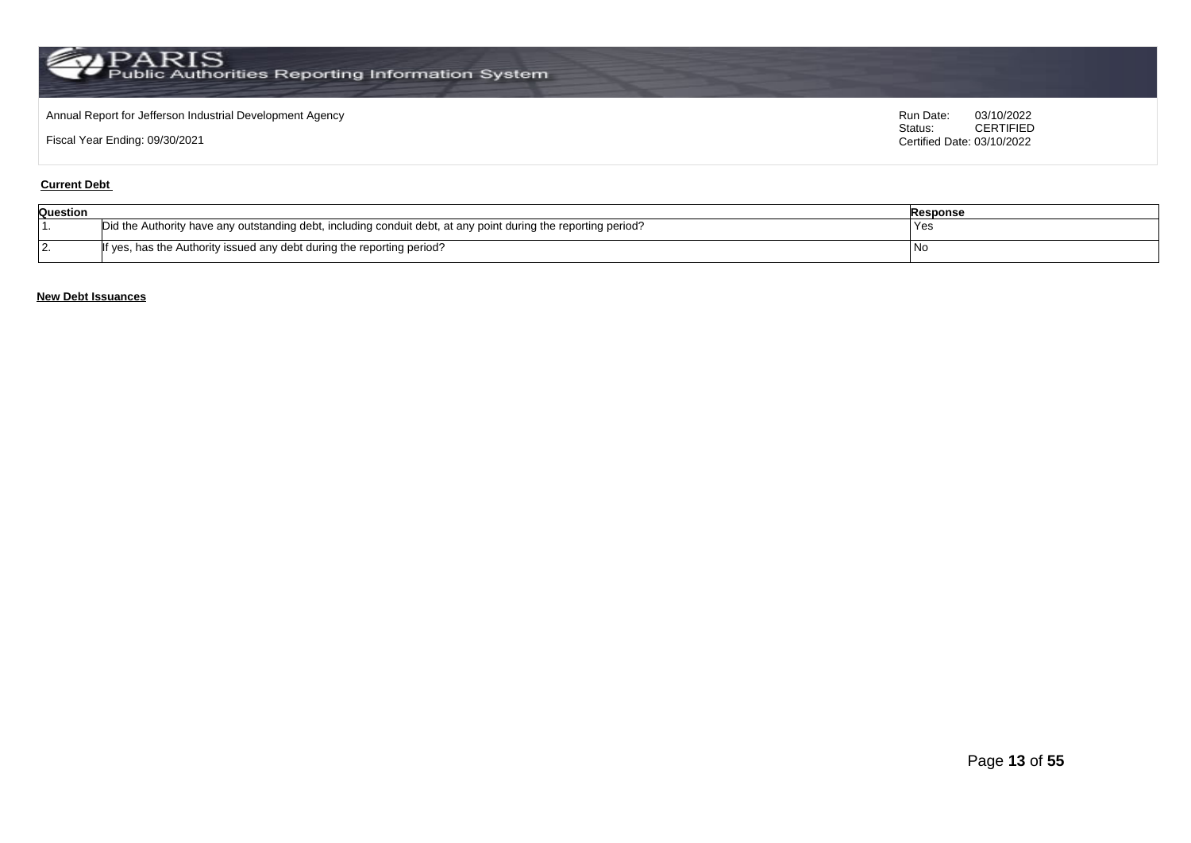### Annual Report for Jefferson Industrial Development Agency<br>
Status: CERTIFIED<br>
CERTIFIED

Fiscal Year Ending: 09/30/2021

CERTIFIED Certified Date: 03/10/2022

### **Current Debt**

| Question     |                                                                                                                | Response |
|--------------|----------------------------------------------------------------------------------------------------------------|----------|
|              | Did the Authority have any outstanding debt, including conduit debt, at any point during the reporting period? | Yes      |
| $\mathbf{z}$ | If yes, has the Authority issued any debt during the reporting period?                                         | - I Nu   |

### **New Debt Issuances**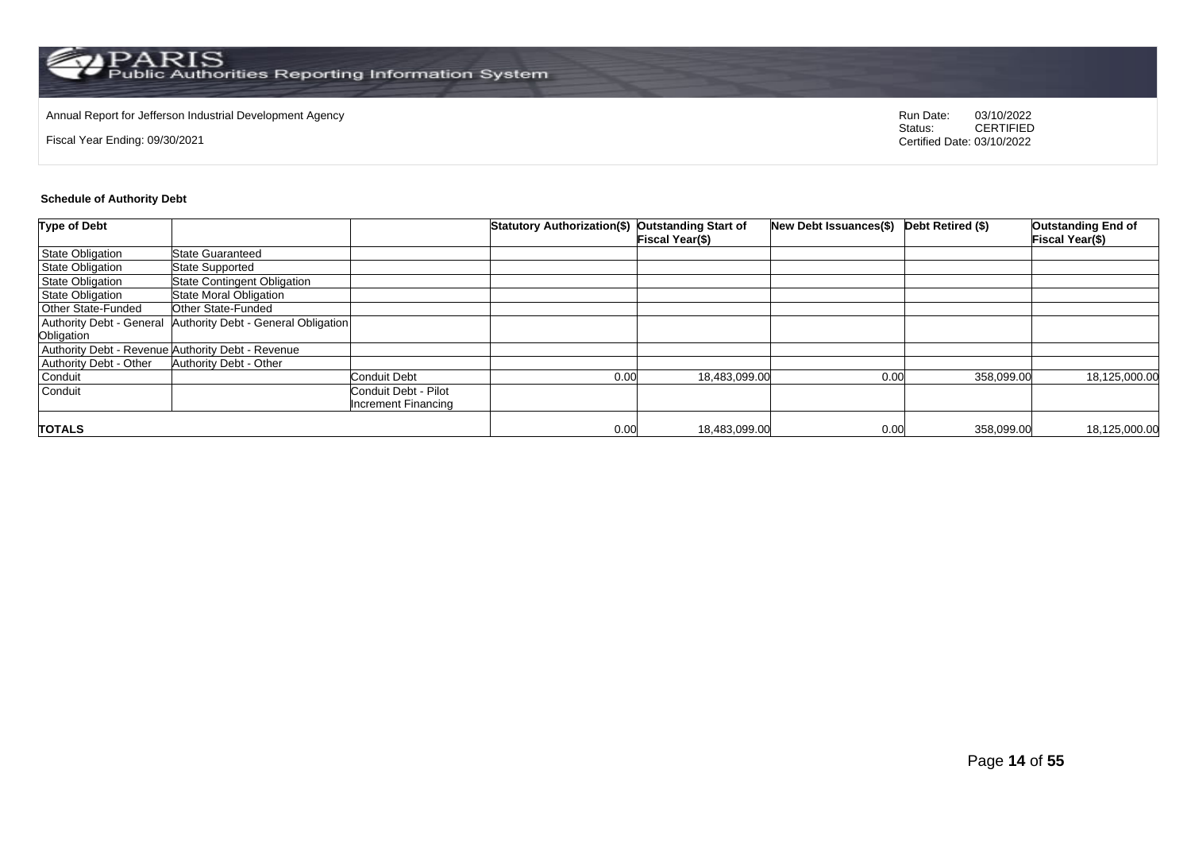# Annual Report for Jefferson Industrial Development Agency<br>
Status: CERTIFIED

Fiscal Year Ending: 09/30/2021

CERTIFIED Certified Date: 03/10/2022

#### **Schedule of Authority Debt**

| Type of Debt              |                                                   |                      | Statutory Authorization(\$) Outstanding Start of |                        | <b>New Debt Issuances(\$)</b> | Debt Retired (\$) | <b>Outstanding End of</b> |
|---------------------------|---------------------------------------------------|----------------------|--------------------------------------------------|------------------------|-------------------------------|-------------------|---------------------------|
|                           |                                                   |                      |                                                  | <b>Fiscal Year(\$)</b> |                               |                   | <b>Fiscal Year(\$)</b>    |
| State Obligation          | <b>State Guaranteed</b>                           |                      |                                                  |                        |                               |                   |                           |
| <b>State Obligation</b>   | <b>State Supported</b>                            |                      |                                                  |                        |                               |                   |                           |
| State Obligation          | <b>State Contingent Obligation</b>                |                      |                                                  |                        |                               |                   |                           |
| <b>State Obligation</b>   | <b>State Moral Obligation</b>                     |                      |                                                  |                        |                               |                   |                           |
| <b>Other State-Funded</b> | Other State-Funded                                |                      |                                                  |                        |                               |                   |                           |
| Authority Debt - General  | Authority Debt - General Obligation               |                      |                                                  |                        |                               |                   |                           |
| Obligation                |                                                   |                      |                                                  |                        |                               |                   |                           |
|                           | Authority Debt - Revenue Authority Debt - Revenue |                      |                                                  |                        |                               |                   |                           |
| Authority Debt - Other    | Authority Debt - Other                            |                      |                                                  |                        |                               |                   |                           |
| Conduit                   |                                                   | Conduit Debt         | 0.00                                             | 18,483,099.00          | 0.00                          | 358,099.00        | 18,125,000.00             |
| Conduit                   |                                                   | Conduit Debt - Pilot |                                                  |                        |                               |                   |                           |
|                           |                                                   | Increment Financing  |                                                  |                        |                               |                   |                           |
|                           |                                                   |                      |                                                  |                        |                               |                   |                           |
| <b>TOTALS</b>             |                                                   |                      | 0.00                                             | 18,483,099.00          | 0.00                          | 358,099.00        | 18,125,000.00             |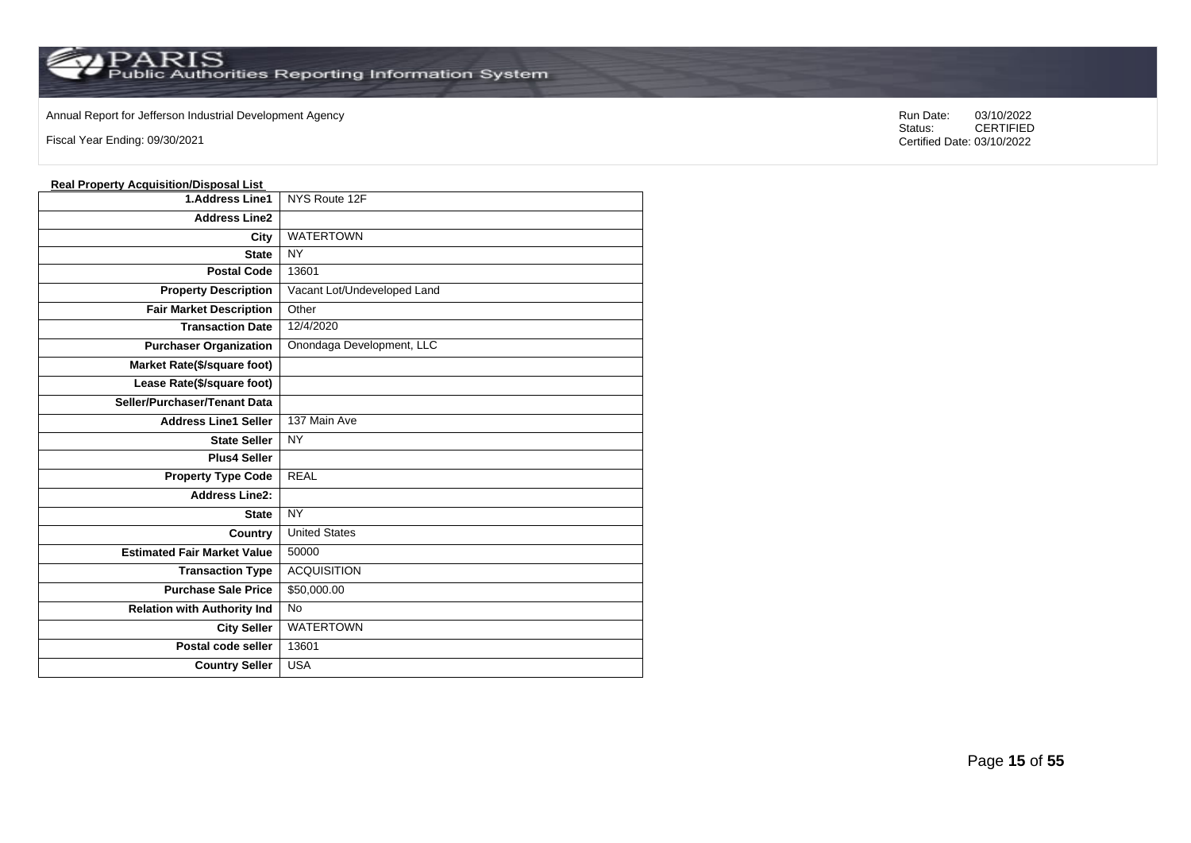### Annual Report for Jefferson Industrial Development Agency<br>
Status: CERTIFIED<br>
CERTIFIED

Fiscal Year Ending: 09/30/2021

#### **Real Property Acquisition/Disposal List**

| <u><b>Hoan</b> Hopeity</u> <i>Ho</i> galomery<br><u>,,,,,,,,,,,,,,</u> |                             |
|------------------------------------------------------------------------|-----------------------------|
| <b>1.Address Line1</b>                                                 | NYS Route 12F               |
| <b>Address Line2</b>                                                   |                             |
| City                                                                   | <b>WATERTOWN</b>            |
| <b>State</b>                                                           | <b>NY</b>                   |
| <b>Postal Code</b>                                                     | 13601                       |
| <b>Property Description</b>                                            | Vacant Lot/Undeveloped Land |
| <b>Fair Market Description</b>                                         | Other                       |
| <b>Transaction Date</b>                                                | 12/4/2020                   |
| <b>Purchaser Organization</b>                                          | Onondaga Development, LLC   |
| Market Rate(\$/square foot)                                            |                             |
| Lease Rate(\$/square foot)                                             |                             |
| Seller/Purchaser/Tenant Data                                           |                             |
| <b>Address Line1 Seller</b>                                            | 137 Main Ave                |
| <b>State Seller</b>                                                    | <b>NY</b>                   |
| <b>Plus4 Seller</b>                                                    |                             |
| <b>Property Type Code</b>                                              | <b>REAL</b>                 |
| <b>Address Line2:</b>                                                  |                             |
| <b>State</b>                                                           | <b>NY</b>                   |
| Country                                                                | <b>United States</b>        |
| <b>Estimated Fair Market Value</b>                                     | 50000                       |
| <b>Transaction Type</b>                                                | <b>ACQUISITION</b>          |
| <b>Purchase Sale Price</b>                                             | \$50,000.00                 |
| <b>Relation with Authority Ind</b>                                     | <b>No</b>                   |
| <b>City Seller</b>                                                     | <b>WATERTOWN</b>            |
| Postal code seller                                                     | 13601                       |
| <b>Country Seller</b>                                                  | <b>USA</b>                  |
|                                                                        |                             |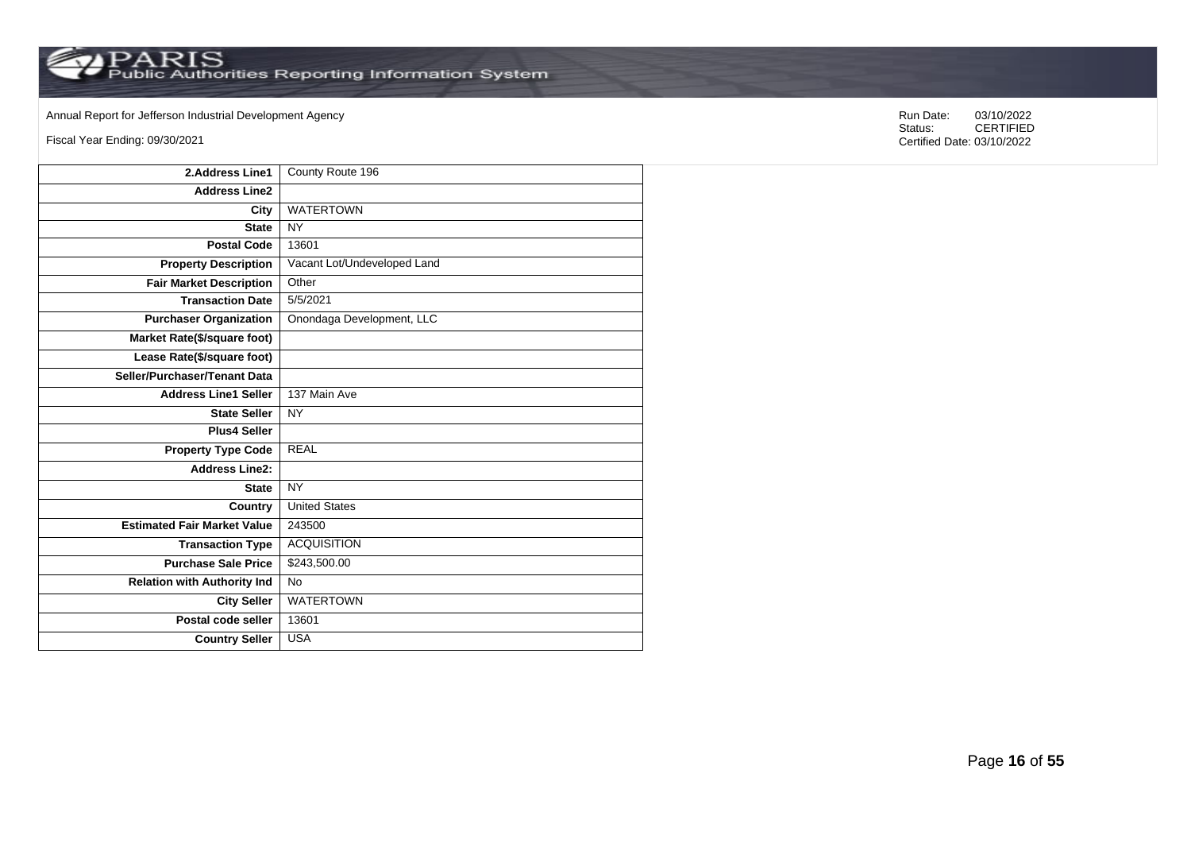Annual Report for Jefferson Industrial Development Agency<br>
Status: CERTIFIED

Fiscal Year Ending: 09/30/2021

| 2.Address Line1                    | County Route 196            |
|------------------------------------|-----------------------------|
| <b>Address Line2</b>               |                             |
| City                               | <b>WATERTOWN</b>            |
| <b>State</b>                       | <b>NY</b>                   |
| <b>Postal Code</b>                 | 13601                       |
| <b>Property Description</b>        | Vacant Lot/Undeveloped Land |
| <b>Fair Market Description</b>     | Other                       |
| <b>Transaction Date</b>            | 5/5/2021                    |
| <b>Purchaser Organization</b>      | Onondaga Development, LLC   |
| Market Rate(\$/square foot)        |                             |
| Lease Rate(\$/square foot)         |                             |
| Seller/Purchaser/Tenant Data       |                             |
| <b>Address Line1 Seller</b>        | 137 Main Ave                |
| <b>State Seller</b>                | <b>NY</b>                   |
| <b>Plus4 Seller</b>                |                             |
| <b>Property Type Code</b>          | <b>REAL</b>                 |
| <b>Address Line2:</b>              |                             |
| <b>State</b>                       | <b>NY</b>                   |
| Country                            | <b>United States</b>        |
| <b>Estimated Fair Market Value</b> | 243500                      |
| <b>Transaction Type</b>            | <b>ACQUISITION</b>          |
| <b>Purchase Sale Price</b>         | \$243,500.00                |
| <b>Relation with Authority Ind</b> | <b>No</b>                   |
| <b>City Seller</b>                 | <b>WATERTOWN</b>            |
| Postal code seller                 | 13601                       |
| <b>Country Seller</b>              | <b>USA</b>                  |
|                                    |                             |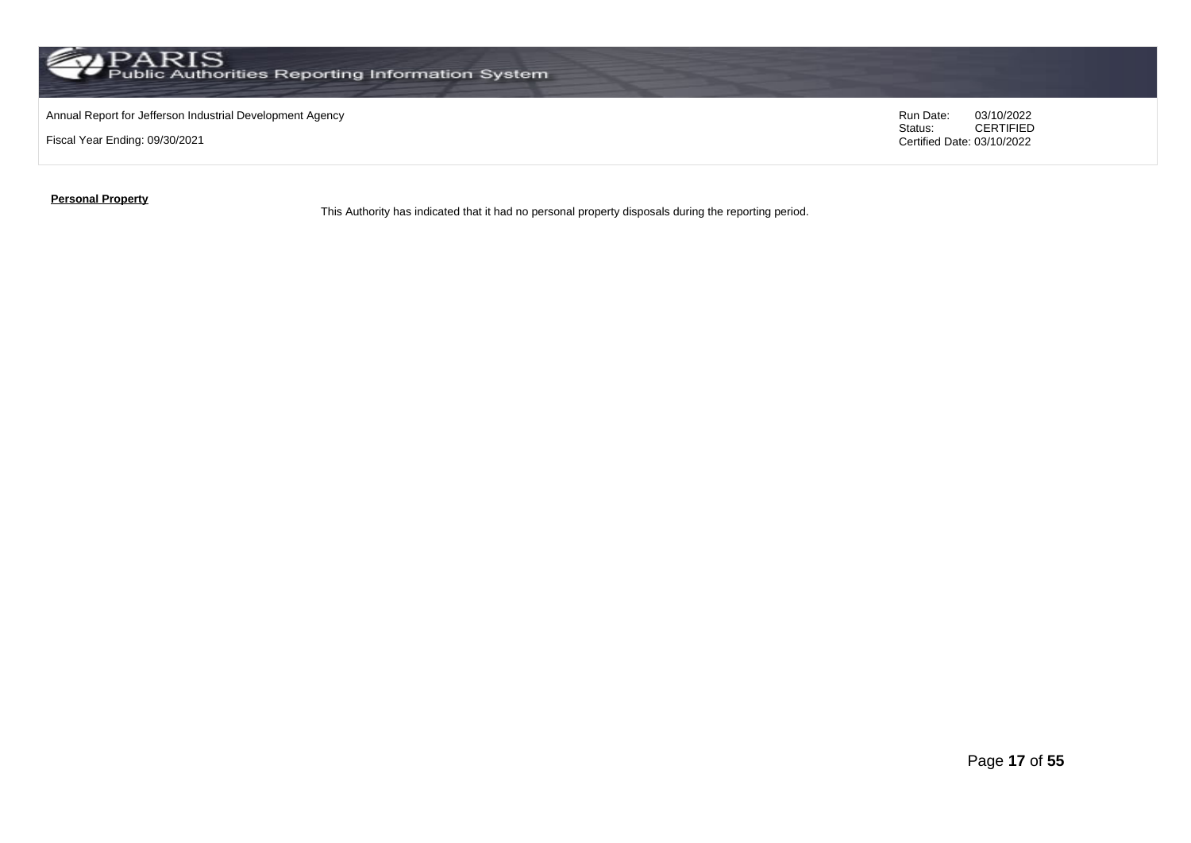

### Annual Report for Jefferson Industrial Development Agency<br>
Status: CERTIFIED<br>
CERTIFIED

Fiscal Year Ending: 09/30/2021

CERTIFIED Certified Date: 03/10/2022

**Personal Property**

This Authority has indicated that it had no personal property disposals during the reporting period.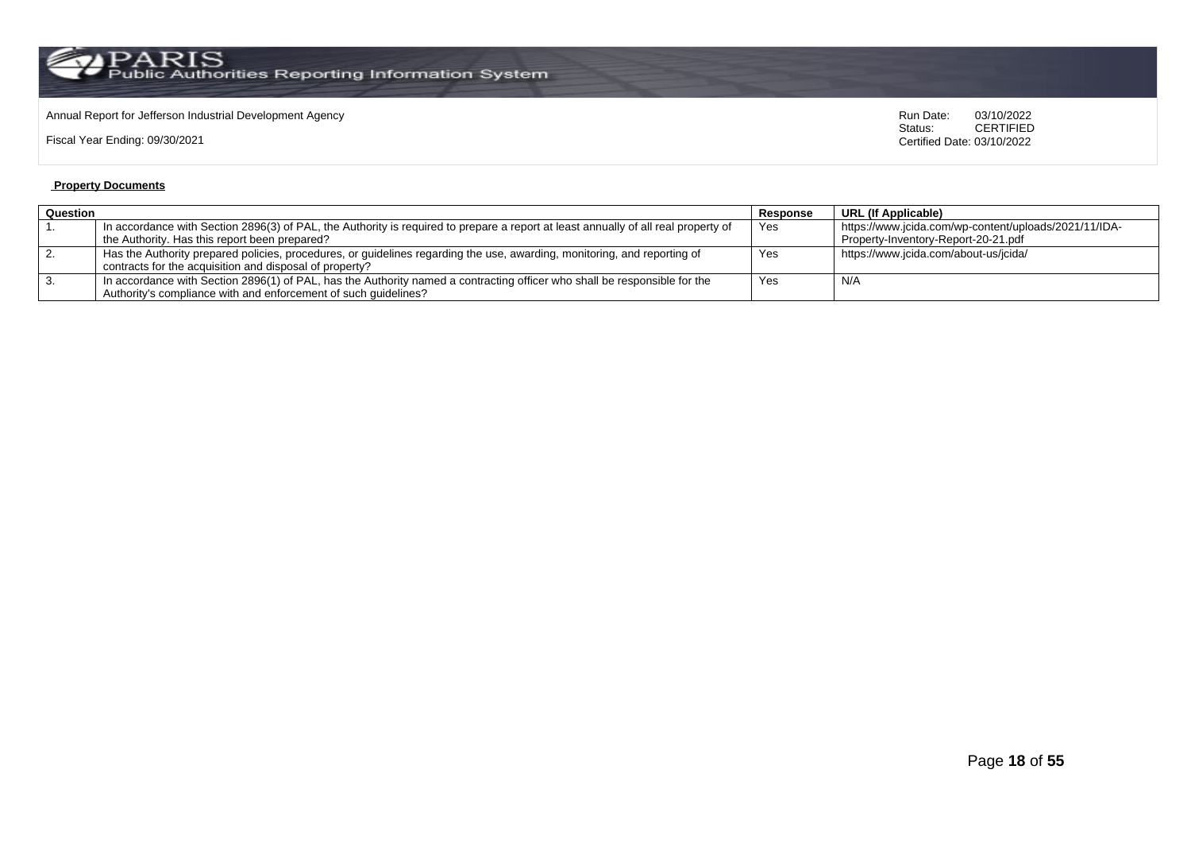$\operatorname{PARIS}_{\text{Public Authorities}\text{ Reporting Information System}}$ 

# Annual Report for Jefferson Industrial Development Agency<br>
Status: CERTIFIED

Fiscal Year Ending: 09/30/2021

**CERTIFIED** Certified Date: 03/10/2022

#### **Property Documents**

| Question<br>Response                                                                                                               |     | URL (If Applicable)                                   |
|------------------------------------------------------------------------------------------------------------------------------------|-----|-------------------------------------------------------|
| In accordance with Section 2896(3) of PAL, the Authority is required to prepare a report at least annually of all real property of | Yes | https://www.jcida.com/wp-content/uploads/2021/11/IDA- |
| the Authority. Has this report been prepared?                                                                                      |     | Property-Inventory-Report-20-21.pdf                   |
| Has the Authority prepared policies, procedures, or guidelines regarding the use, awarding, monitoring, and reporting of           | Yes | https://www.jcida.com/about-us/jcida/                 |
| contracts for the acquisition and disposal of property?                                                                            |     |                                                       |
| In accordance with Section 2896(1) of PAL, has the Authority named a contracting officer who shall be responsible for the          | Yes | N/A                                                   |
| Authority's compliance with and enforcement of such quidelines?                                                                    |     |                                                       |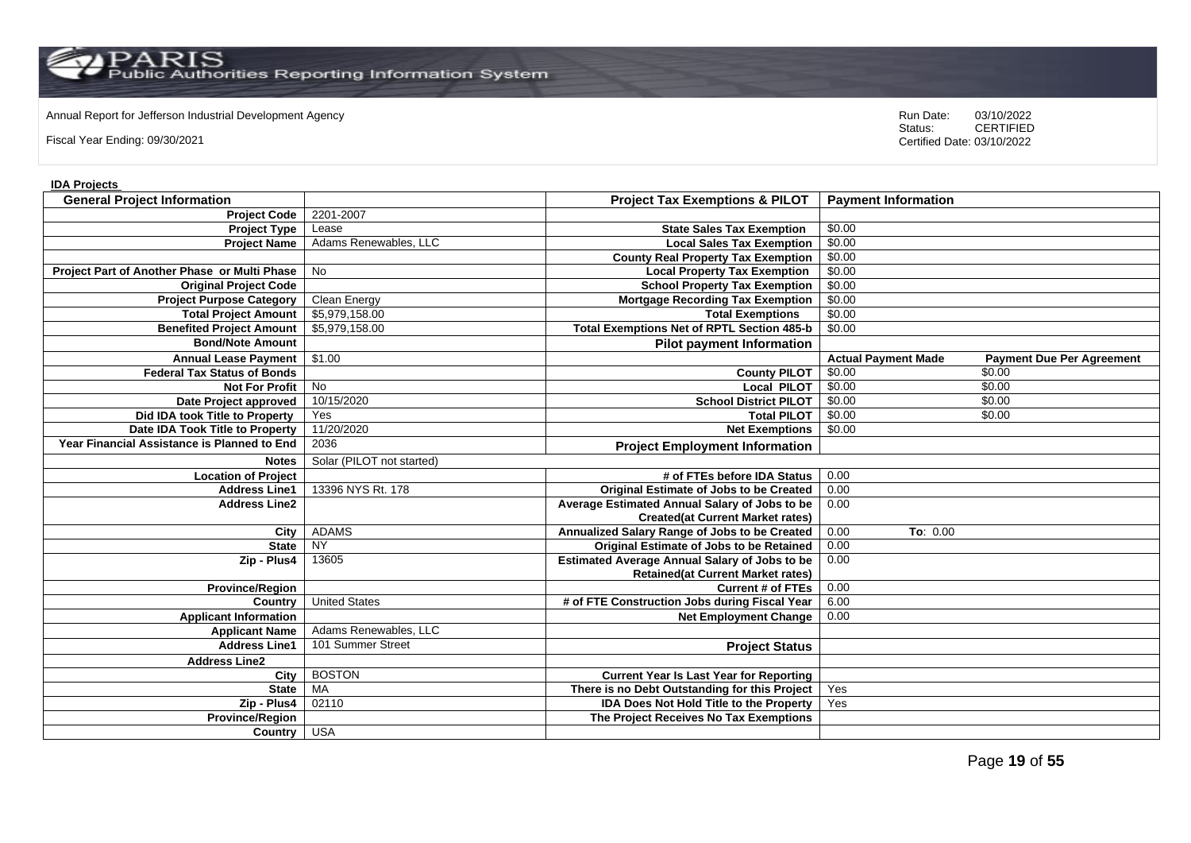Annual Report for Jefferson Industrial Development Agency<br>
Status: CERTIFIED

Fiscal Year Ending: 09/30/2021

CERTIFIED Certified Date: 03/10/2022

### **IDA Projects**

| <b>General Project Information</b>           |                           | <b>Project Tax Exemptions &amp; PILOT</b>            | <b>Payment Information</b> |                                  |
|----------------------------------------------|---------------------------|------------------------------------------------------|----------------------------|----------------------------------|
| <b>Project Code</b>                          | 2201-2007                 |                                                      |                            |                                  |
| <b>Project Type</b>                          | Lease                     | <b>State Sales Tax Exemption</b>                     | \$0.00                     |                                  |
| <b>Project Name</b>                          | Adams Renewables, LLC     | <b>Local Sales Tax Exemption</b>                     | \$0.00                     |                                  |
|                                              |                           | <b>County Real Property Tax Exemption</b>            | \$0.00                     |                                  |
| Project Part of Another Phase or Multi Phase | <b>No</b>                 | <b>Local Property Tax Exemption</b>                  | \$0.00                     |                                  |
| <b>Original Project Code</b>                 |                           | <b>School Property Tax Exemption</b>                 | \$0.00                     |                                  |
| <b>Project Purpose Category</b>              | <b>Clean Energy</b>       | <b>Mortgage Recording Tax Exemption</b>              | \$0.00                     |                                  |
| <b>Total Project Amount</b>                  | \$5,979,158.00            | <b>Total Exemptions</b>                              | \$0.00                     |                                  |
| <b>Benefited Project Amount</b>              | \$5,979,158.00            | <b>Total Exemptions Net of RPTL Section 485-b</b>    | \$0.00                     |                                  |
| <b>Bond/Note Amount</b>                      |                           | <b>Pilot payment Information</b>                     |                            |                                  |
| <b>Annual Lease Payment</b>                  | \$1.00                    |                                                      | <b>Actual Payment Made</b> | <b>Payment Due Per Agreement</b> |
| <b>Federal Tax Status of Bonds</b>           |                           | <b>County PILOT</b>                                  | \$0.00                     | \$0.00                           |
| <b>Not For Profit</b>                        | <b>No</b>                 | <b>Local PILOT</b>                                   | \$0.00                     | \$0.00                           |
| Date Project approved                        | 10/15/2020                | <b>School District PILOT</b>                         | \$0.00                     | \$0.00                           |
| Did IDA took Title to Property               | Yes                       | <b>Total PILOT</b>                                   | \$0.00                     | \$0.00                           |
| Date IDA Took Title to Property              | 11/20/2020                | <b>Net Exemptions</b>                                | \$0.00                     |                                  |
| Year Financial Assistance is Planned to End  | 2036                      | <b>Project Employment Information</b>                |                            |                                  |
| <b>Notes</b>                                 | Solar (PILOT not started) |                                                      |                            |                                  |
| <b>Location of Project</b>                   |                           | # of FTEs before IDA Status                          | 0.00                       |                                  |
| <b>Address Line1</b>                         | 13396 NYS Rt. 178         | <b>Original Estimate of Jobs to be Created</b>       | 0.00                       |                                  |
| <b>Address Line2</b>                         |                           | Average Estimated Annual Salary of Jobs to be        | 0.00                       |                                  |
|                                              |                           | <b>Created(at Current Market rates)</b>              |                            |                                  |
| City                                         | <b>ADAMS</b>              | Annualized Salary Range of Jobs to be Created        | 0.00<br>To: 0.00           |                                  |
| <b>State</b>                                 | <b>NY</b>                 | Original Estimate of Jobs to be Retained             | 0.00                       |                                  |
| Zip - Plus4                                  | 13605                     | <b>Estimated Average Annual Salary of Jobs to be</b> | 0.00                       |                                  |
|                                              |                           | <b>Retained(at Current Market rates)</b>             |                            |                                  |
| <b>Province/Region</b>                       |                           | <b>Current # of FTEs</b>                             | 0.00                       |                                  |
| Country                                      | <b>United States</b>      | # of FTE Construction Jobs during Fiscal Year        | 6.00                       |                                  |
| <b>Applicant Information</b>                 |                           | <b>Net Employment Change</b>                         | 0.00                       |                                  |
| <b>Applicant Name</b>                        | Adams Renewables, LLC     |                                                      |                            |                                  |
| <b>Address Line1</b>                         | 101 Summer Street         | <b>Project Status</b>                                |                            |                                  |
| <b>Address Line2</b>                         |                           |                                                      |                            |                                  |
| City                                         | <b>BOSTON</b>             | <b>Current Year Is Last Year for Reporting</b>       |                            |                                  |
| <b>State</b>                                 | MA                        | There is no Debt Outstanding for this Project        | Yes                        |                                  |
| Zip - Plus4                                  | 02110                     | <b>IDA Does Not Hold Title to the Property</b>       | Yes                        |                                  |
| <b>Province/Region</b>                       |                           | The Project Receives No Tax Exemptions               |                            |                                  |
| Country USA                                  |                           |                                                      |                            |                                  |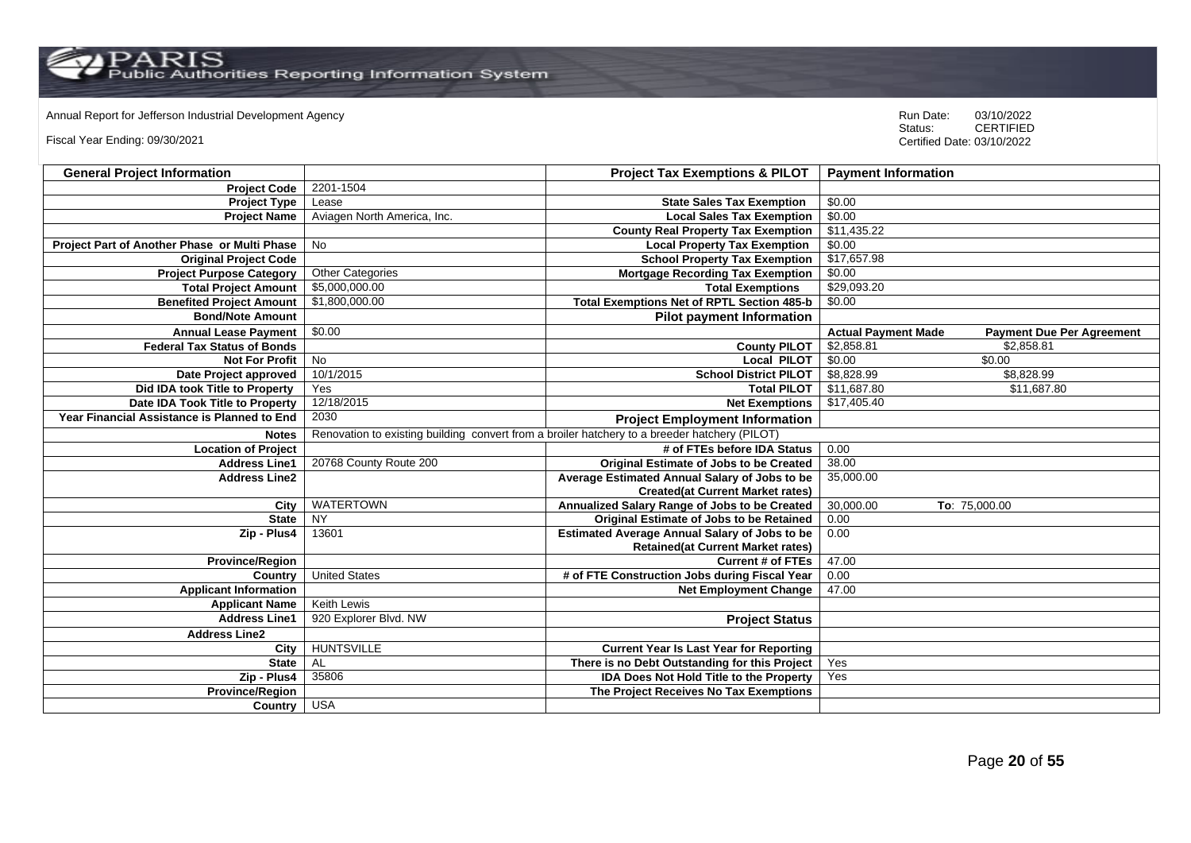Annual Report for Jefferson Industrial Development Agency<br>
Status: CERTIFIED

Fiscal Year Ending: 09/30/2021

| <b>General Project Information</b>           |                                                                                               | <b>Project Tax Exemptions &amp; PILOT</b>            | <b>Payment Information</b>                                     |
|----------------------------------------------|-----------------------------------------------------------------------------------------------|------------------------------------------------------|----------------------------------------------------------------|
| <b>Project Code</b>                          | 2201-1504                                                                                     |                                                      |                                                                |
| <b>Project Type</b>                          | Lease                                                                                         | <b>State Sales Tax Exemption</b>                     | \$0.00                                                         |
| <b>Project Name</b>                          | Aviagen North America, Inc.                                                                   | <b>Local Sales Tax Exemption</b>                     | \$0.00                                                         |
|                                              |                                                                                               | <b>County Real Property Tax Exemption</b>            | \$11,435.22                                                    |
| Project Part of Another Phase or Multi Phase | <b>No</b>                                                                                     | <b>Local Property Tax Exemption</b>                  | \$0.00                                                         |
| <b>Original Project Code</b>                 |                                                                                               | <b>School Property Tax Exemption</b>                 | \$17,657.98                                                    |
| <b>Project Purpose Category</b>              | <b>Other Categories</b>                                                                       | <b>Mortgage Recording Tax Exemption</b>              | \$0.00                                                         |
| <b>Total Project Amount</b>                  | \$5,000,000.00                                                                                | <b>Total Exemptions</b>                              | \$29,093.20                                                    |
| <b>Benefited Project Amount</b>              | \$1,800,000.00                                                                                | <b>Total Exemptions Net of RPTL Section 485-b</b>    | \$0.00                                                         |
| <b>Bond/Note Amount</b>                      |                                                                                               | <b>Pilot payment Information</b>                     |                                                                |
| <b>Annual Lease Payment</b>                  | \$0.00                                                                                        |                                                      | <b>Actual Payment Made</b><br><b>Payment Due Per Agreement</b> |
| <b>Federal Tax Status of Bonds</b>           |                                                                                               | <b>County PILOT</b>                                  | \$2,858.81<br>\$2,858.81                                       |
| <b>Not For Profit</b>                        | <b>No</b>                                                                                     | <b>Local PILOT</b>                                   | \$0.00<br>\$0.00                                               |
| Date Project approved                        | 10/1/2015                                                                                     | <b>School District PILOT</b>                         | \$8,828.99<br>\$8,828.99                                       |
| Did IDA took Title to Property               | Yes                                                                                           | <b>Total PILOT</b>                                   | \$11,687.80<br>\$11,687.80                                     |
| Date IDA Took Title to Property              | 12/18/2015                                                                                    | <b>Net Exemptions</b>                                | \$17,405.40                                                    |
| Year Financial Assistance is Planned to End  | 2030                                                                                          | <b>Project Employment Information</b>                |                                                                |
| <b>Notes</b>                                 | Renovation to existing building convert from a broiler hatchery to a breeder hatchery (PILOT) |                                                      |                                                                |
| <b>Location of Project</b>                   |                                                                                               | # of FTEs before IDA Status                          | 0.00                                                           |
| <b>Address Line1</b>                         | 20768 County Route 200                                                                        | Original Estimate of Jobs to be Created              | 38.00                                                          |
| <b>Address Line2</b>                         |                                                                                               | Average Estimated Annual Salary of Jobs to be        | 35,000.00                                                      |
|                                              |                                                                                               | <b>Created(at Current Market rates)</b>              |                                                                |
| City                                         | <b>WATERTOWN</b>                                                                              | Annualized Salary Range of Jobs to be Created        | 30,000.00<br>To: 75,000.00                                     |
| <b>State</b>                                 | <b>NY</b>                                                                                     | Original Estimate of Jobs to be Retained             | 0.00                                                           |
| Zip - Plus4                                  | 13601                                                                                         | <b>Estimated Average Annual Salary of Jobs to be</b> | 0.00                                                           |
|                                              |                                                                                               | <b>Retained(at Current Market rates)</b>             |                                                                |
| <b>Province/Region</b>                       |                                                                                               | <b>Current # of FTEs</b>                             | 47.00                                                          |
| Country                                      | <b>United States</b>                                                                          | # of FTE Construction Jobs during Fiscal Year        | 0.00                                                           |
| <b>Applicant Information</b>                 |                                                                                               | <b>Net Employment Change</b>                         | 47.00                                                          |
| <b>Applicant Name</b>                        | Keith Lewis                                                                                   |                                                      |                                                                |
| <b>Address Line1</b>                         | 920 Explorer Blvd. NW                                                                         | <b>Project Status</b>                                |                                                                |
| <b>Address Line2</b>                         |                                                                                               |                                                      |                                                                |
| City                                         | <b>HUNTSVILLE</b>                                                                             | <b>Current Year Is Last Year for Reporting</b>       |                                                                |
| <b>State</b>                                 | AL                                                                                            | There is no Debt Outstanding for this Project        | Yes                                                            |
| Zip - Plus4                                  | 35806                                                                                         | IDA Does Not Hold Title to the Property              | Yes                                                            |
| <b>Province/Region</b>                       |                                                                                               | The Project Receives No Tax Exemptions               |                                                                |
| Country                                      | <b>USA</b>                                                                                    |                                                      |                                                                |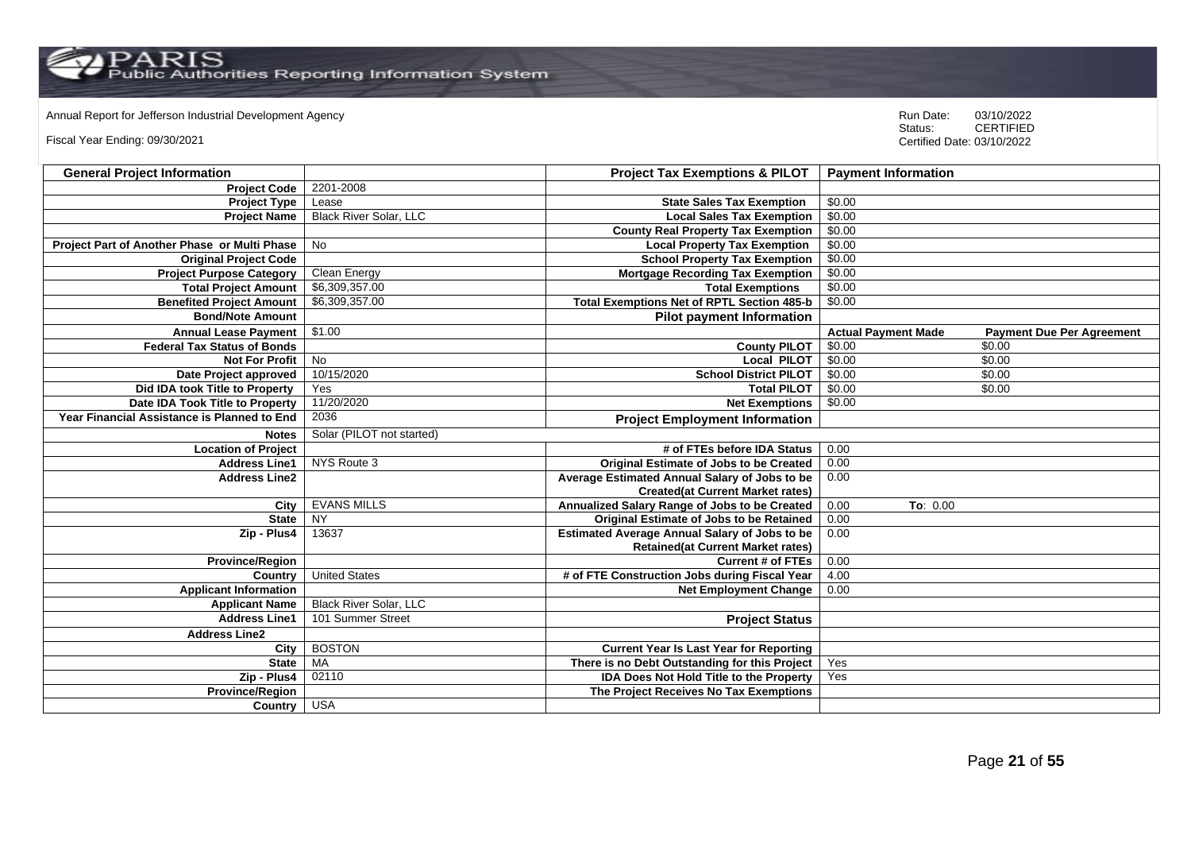Annual Report for Jefferson Industrial Development Agency<br>
Status: CERTIFIED

Fiscal Year Ending: 09/30/2021

| <b>General Project Information</b>           |                               | <b>Project Tax Exemptions &amp; PILOT</b>            | <b>Payment Information</b> |                                  |
|----------------------------------------------|-------------------------------|------------------------------------------------------|----------------------------|----------------------------------|
| <b>Project Code</b>                          | 2201-2008                     |                                                      |                            |                                  |
| <b>Project Type</b>                          | Lease                         | <b>State Sales Tax Exemption</b>                     | \$0.00                     |                                  |
| <b>Project Name</b>                          | <b>Black River Solar, LLC</b> | <b>Local Sales Tax Exemption</b>                     | \$0.00                     |                                  |
|                                              |                               | <b>County Real Property Tax Exemption</b>            | \$0.00                     |                                  |
| Project Part of Another Phase or Multi Phase | No                            | <b>Local Property Tax Exemption</b>                  | \$0.00                     |                                  |
| <b>Original Project Code</b>                 |                               | <b>School Property Tax Exemption</b>                 | \$0.00                     |                                  |
| <b>Project Purpose Category</b>              | Clean Energy                  | <b>Mortgage Recording Tax Exemption</b>              | \$0.00                     |                                  |
| <b>Total Project Amount</b>                  | \$6,309,357.00                | <b>Total Exemptions</b>                              | \$0.00                     |                                  |
| <b>Benefited Project Amount</b>              | \$6,309,357.00                | <b>Total Exemptions Net of RPTL Section 485-b</b>    | \$0.00                     |                                  |
| <b>Bond/Note Amount</b>                      |                               | <b>Pilot payment Information</b>                     |                            |                                  |
| <b>Annual Lease Payment</b>                  | \$1.00                        |                                                      | <b>Actual Payment Made</b> | <b>Payment Due Per Agreement</b> |
| <b>Federal Tax Status of Bonds</b>           |                               | <b>County PILOT</b>                                  | \$0.00                     | \$0.00                           |
| <b>Not For Profit</b>                        | No                            | <b>Local PILOT</b>                                   | \$0.00                     | \$0.00                           |
| Date Project approved                        | 10/15/2020                    | <b>School District PILOT</b>                         | \$0.00                     | \$0.00                           |
| Did IDA took Title to Property               | Yes                           | <b>Total PILOT</b>                                   | \$0.00                     | \$0.00                           |
| Date IDA Took Title to Property              | 11/20/2020                    | <b>Net Exemptions</b>                                | \$0.00                     |                                  |
| Year Financial Assistance is Planned to End  | 2036                          | <b>Project Employment Information</b>                |                            |                                  |
| <b>Notes</b>                                 | Solar (PILOT not started)     |                                                      |                            |                                  |
| <b>Location of Project</b>                   |                               | # of FTEs before IDA Status                          | 0.00                       |                                  |
| <b>Address Line1</b>                         | NYS Route 3                   | <b>Original Estimate of Jobs to be Created</b>       | 0.00                       |                                  |
| <b>Address Line2</b>                         |                               | Average Estimated Annual Salary of Jobs to be        | 0.00                       |                                  |
|                                              |                               | <b>Created(at Current Market rates)</b>              |                            |                                  |
| City                                         | <b>EVANS MILLS</b>            | Annualized Salary Range of Jobs to be Created        | 0.00<br>To: 0.00           |                                  |
| <b>State</b>                                 | <b>NY</b>                     | Original Estimate of Jobs to be Retained             | 0.00                       |                                  |
| Zip - Plus4                                  | 13637                         | <b>Estimated Average Annual Salary of Jobs to be</b> | 0.00                       |                                  |
|                                              |                               | <b>Retained (at Current Market rates)</b>            |                            |                                  |
| <b>Province/Region</b>                       |                               | <b>Current # of FTEs</b>                             | 0.00                       |                                  |
| Country                                      | <b>United States</b>          | # of FTE Construction Jobs during Fiscal Year        | 4.00                       |                                  |
| <b>Applicant Information</b>                 |                               | <b>Net Employment Change</b>                         | 0.00                       |                                  |
| <b>Applicant Name</b>                        | <b>Black River Solar, LLC</b> |                                                      |                            |                                  |
| <b>Address Line1</b>                         | 101 Summer Street             | <b>Project Status</b>                                |                            |                                  |
| <b>Address Line2</b>                         |                               |                                                      |                            |                                  |
| City                                         | <b>BOSTON</b>                 | <b>Current Year Is Last Year for Reporting</b>       |                            |                                  |
| <b>State</b>                                 | MA                            | There is no Debt Outstanding for this Project        | Yes                        |                                  |
| Zip - Plus4                                  | 02110                         | <b>IDA Does Not Hold Title to the Property</b>       | Yes                        |                                  |
| <b>Province/Region</b>                       |                               | The Project Receives No Tax Exemptions               |                            |                                  |
| Country                                      | <b>USA</b>                    |                                                      |                            |                                  |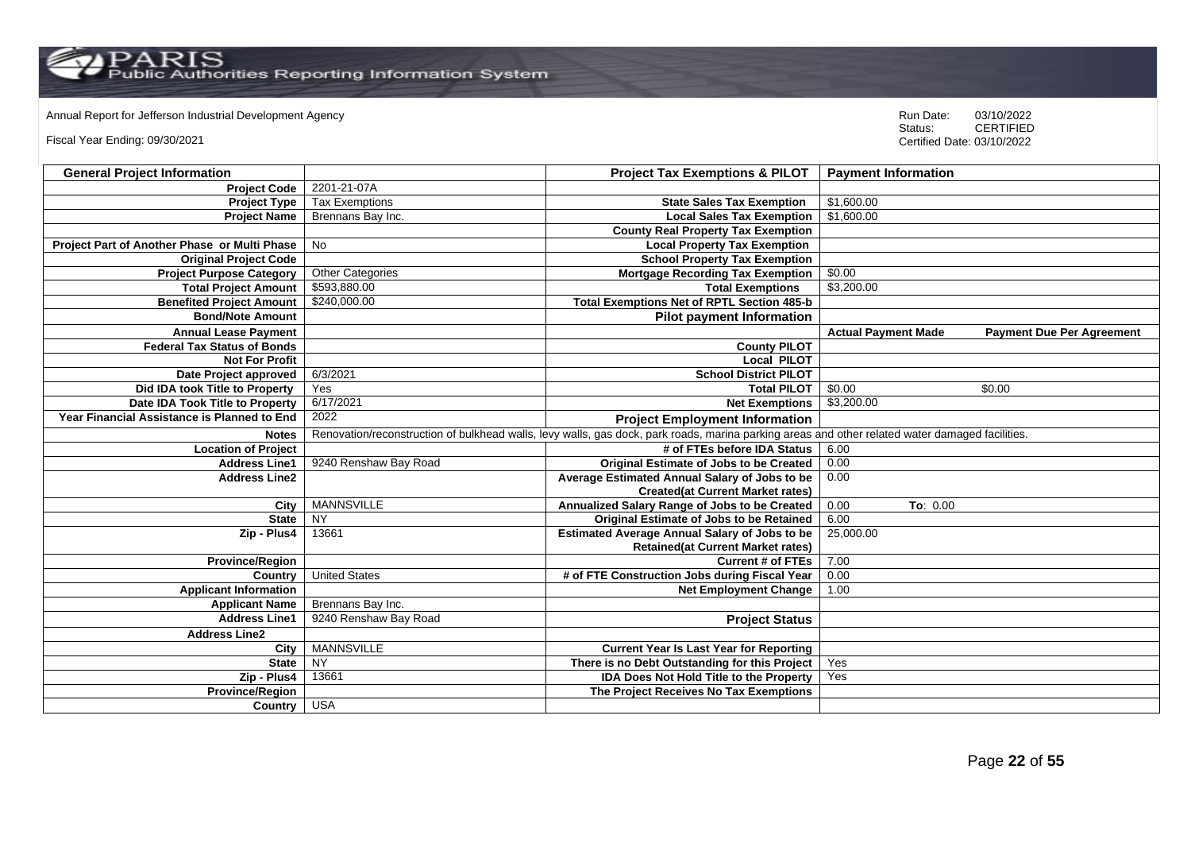Annual Report for Jefferson Industrial Development Agency<br>
Status: CERTIFIED

Fiscal Year Ending: 09/30/2021

| <b>General Project Information</b>           |                         | <b>Project Tax Exemptions &amp; PILOT</b>                                                                                                       | <b>Payment Information</b>                                     |
|----------------------------------------------|-------------------------|-------------------------------------------------------------------------------------------------------------------------------------------------|----------------------------------------------------------------|
| <b>Project Code</b>                          | 2201-21-07A             |                                                                                                                                                 |                                                                |
| <b>Project Type</b>                          | <b>Tax Exemptions</b>   | <b>State Sales Tax Exemption</b>                                                                                                                | \$1,600.00                                                     |
| <b>Project Name</b>                          | Brennans Bay Inc.       | <b>Local Sales Tax Exemption</b>                                                                                                                | \$1,600.00                                                     |
|                                              |                         | <b>County Real Property Tax Exemption</b>                                                                                                       |                                                                |
| Project Part of Another Phase or Multi Phase | No                      | <b>Local Property Tax Exemption</b>                                                                                                             |                                                                |
| <b>Original Project Code</b>                 |                         | <b>School Property Tax Exemption</b>                                                                                                            |                                                                |
| <b>Project Purpose Category</b>              | <b>Other Categories</b> | <b>Mortgage Recording Tax Exemption</b>                                                                                                         | \$0.00                                                         |
| <b>Total Project Amount</b>                  | \$593,880.00            | <b>Total Exemptions</b>                                                                                                                         | \$3,200.00                                                     |
| <b>Benefited Project Amount</b>              | \$240,000.00            | <b>Total Exemptions Net of RPTL Section 485-b</b>                                                                                               |                                                                |
| <b>Bond/Note Amount</b>                      |                         | <b>Pilot payment Information</b>                                                                                                                |                                                                |
| <b>Annual Lease Payment</b>                  |                         |                                                                                                                                                 | <b>Actual Payment Made</b><br><b>Payment Due Per Agreement</b> |
| <b>Federal Tax Status of Bonds</b>           |                         | <b>County PILOT</b>                                                                                                                             |                                                                |
| <b>Not For Profit</b>                        |                         | <b>Local PILOT</b>                                                                                                                              |                                                                |
| Date Project approved                        | 6/3/2021                | <b>School District PILOT</b>                                                                                                                    |                                                                |
| Did IDA took Title to Property               | Yes                     | <b>Total PILOT</b>                                                                                                                              | \$0.00<br>\$0.00                                               |
| Date IDA Took Title to Property              | 6/17/2021               | <b>Net Exemptions</b>                                                                                                                           | \$3,200.00                                                     |
| Year Financial Assistance is Planned to End  | 2022                    | <b>Project Employment Information</b>                                                                                                           |                                                                |
| <b>Notes</b>                                 |                         | Renovation/reconstruction of bulkhead walls, levy walls, gas dock, park roads, marina parking areas and other related water damaged facilities. |                                                                |
| <b>Location of Project</b>                   |                         | # of FTEs before IDA Status                                                                                                                     | 6.00                                                           |
| <b>Address Line1</b>                         | 9240 Renshaw Bay Road   | <b>Original Estimate of Jobs to be Created</b>                                                                                                  | 0.00                                                           |
| <b>Address Line2</b>                         |                         | Average Estimated Annual Salary of Jobs to be                                                                                                   | 0.00                                                           |
|                                              |                         | <b>Created(at Current Market rates)</b>                                                                                                         |                                                                |
| City                                         | <b>MANNSVILLE</b>       | Annualized Salary Range of Jobs to be Created                                                                                                   | 0.00<br>To: 0.00                                               |
| <b>State</b>                                 | NY                      | Original Estimate of Jobs to be Retained                                                                                                        | 6.00                                                           |
| Zip - Plus4                                  | 13661                   | <b>Estimated Average Annual Salary of Jobs to be</b>                                                                                            | 25,000.00                                                      |
|                                              |                         | <b>Retained(at Current Market rates)</b>                                                                                                        |                                                                |
| <b>Province/Region</b>                       |                         | <b>Current # of FTEs</b>                                                                                                                        | 7.00                                                           |
| Country                                      | <b>United States</b>    | # of FTE Construction Jobs during Fiscal Year                                                                                                   | 0.00                                                           |
| <b>Applicant Information</b>                 |                         | <b>Net Employment Change</b>                                                                                                                    | 1.00                                                           |
| <b>Applicant Name</b>                        | Brennans Bay Inc.       |                                                                                                                                                 |                                                                |
| <b>Address Line1</b>                         | 9240 Renshaw Bay Road   | <b>Project Status</b>                                                                                                                           |                                                                |
| <b>Address Line2</b>                         |                         |                                                                                                                                                 |                                                                |
| City                                         | <b>MANNSVILLE</b>       | <b>Current Year Is Last Year for Reporting</b>                                                                                                  |                                                                |
| <b>State</b>                                 | <b>NY</b>               | There is no Debt Outstanding for this Project                                                                                                   | Yes                                                            |
| Zip - Plus4                                  | 13661                   | <b>IDA Does Not Hold Title to the Property</b>                                                                                                  | Yes                                                            |
| <b>Province/Region</b>                       |                         | The Project Receives No Tax Exemptions                                                                                                          |                                                                |
| <b>Country</b>                               | <b>USA</b>              |                                                                                                                                                 |                                                                |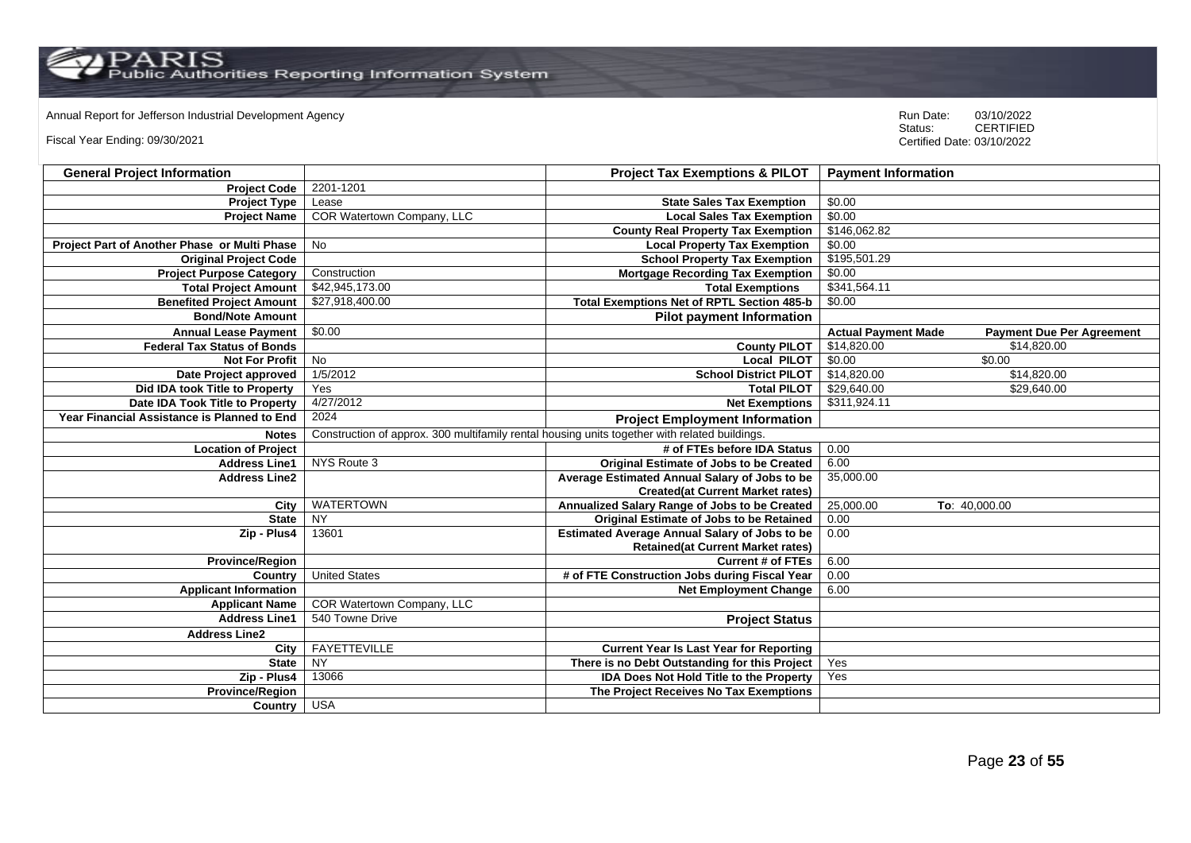# Annual Report for Jefferson Industrial Development Agency<br>
Status: CERTIFIED

Fiscal Year Ending: 09/30/2021

| <b>General Project Information</b>           |                                                                                               | <b>Project Tax Exemptions &amp; PILOT</b>            | <b>Payment Information</b>                                     |
|----------------------------------------------|-----------------------------------------------------------------------------------------------|------------------------------------------------------|----------------------------------------------------------------|
| <b>Project Code</b>                          | 2201-1201                                                                                     |                                                      |                                                                |
| <b>Project Type</b>                          | Lease                                                                                         | <b>State Sales Tax Exemption</b>                     | \$0.00                                                         |
| <b>Project Name</b>                          | COR Watertown Company, LLC                                                                    | <b>Local Sales Tax Exemption</b>                     | \$0.00                                                         |
|                                              |                                                                                               | <b>County Real Property Tax Exemption</b>            | \$146,062.82                                                   |
| Project Part of Another Phase or Multi Phase | <b>No</b>                                                                                     | <b>Local Property Tax Exemption</b>                  | \$0.00                                                         |
| <b>Original Project Code</b>                 |                                                                                               | <b>School Property Tax Exemption</b>                 | \$195,501.29                                                   |
| <b>Project Purpose Category</b>              | Construction                                                                                  | <b>Mortgage Recording Tax Exemption</b>              | \$0.00                                                         |
| <b>Total Project Amount</b>                  | \$42,945,173.00                                                                               | <b>Total Exemptions</b>                              | \$341,564.11                                                   |
| <b>Benefited Project Amount</b>              | \$27,918,400.00                                                                               | <b>Total Exemptions Net of RPTL Section 485-b</b>    | \$0.00                                                         |
| <b>Bond/Note Amount</b>                      |                                                                                               | <b>Pilot payment Information</b>                     |                                                                |
| <b>Annual Lease Payment</b>                  | \$0.00                                                                                        |                                                      | <b>Actual Payment Made</b><br><b>Payment Due Per Agreement</b> |
| <b>Federal Tax Status of Bonds</b>           |                                                                                               | <b>County PILOT</b>                                  | \$14,820.00<br>\$14,820.00                                     |
| <b>Not For Profit</b>                        | <b>No</b>                                                                                     | Local PILOT                                          | \$0.00<br>\$0.00                                               |
| Date Project approved                        | 1/5/2012                                                                                      | <b>School District PILOT</b>                         | \$14,820.00<br>\$14,820.00                                     |
| Did IDA took Title to Property               | Yes                                                                                           | <b>Total PILOT</b>                                   | \$29,640.00<br>\$29,640.00                                     |
| Date IDA Took Title to Property              | 4/27/2012                                                                                     | <b>Net Exemptions</b>                                | \$311,924.11                                                   |
| Year Financial Assistance is Planned to End  | 2024                                                                                          | <b>Project Employment Information</b>                |                                                                |
| <b>Notes</b>                                 | Construction of approx. 300 multifamily rental housing units together with related buildings. |                                                      |                                                                |
| <b>Location of Project</b>                   |                                                                                               | # of FTEs before IDA Status                          | 0.00                                                           |
| <b>Address Line1</b>                         | NYS Route 3                                                                                   | Original Estimate of Jobs to be Created              | 6.00                                                           |
| <b>Address Line2</b>                         |                                                                                               | Average Estimated Annual Salary of Jobs to be        | 35,000.00                                                      |
|                                              |                                                                                               | <b>Created(at Current Market rates)</b>              |                                                                |
| City                                         | <b>WATERTOWN</b>                                                                              | Annualized Salary Range of Jobs to be Created        | 25,000.00<br>To: 40,000.00                                     |
| <b>State</b>                                 | <b>NY</b>                                                                                     | <b>Original Estimate of Jobs to be Retained</b>      | 0.00                                                           |
| Zip - Plus4                                  | 13601                                                                                         | <b>Estimated Average Annual Salary of Jobs to be</b> | 0.00                                                           |
|                                              |                                                                                               | <b>Retained(at Current Market rates)</b>             |                                                                |
| <b>Province/Region</b>                       |                                                                                               | <b>Current # of FTEs</b>                             | 6.00                                                           |
| Country                                      | <b>United States</b>                                                                          | # of FTE Construction Jobs during Fiscal Year        | 0.00                                                           |
| <b>Applicant Information</b>                 |                                                                                               | <b>Net Employment Change</b>                         | 6.00                                                           |
| <b>Applicant Name</b>                        | COR Watertown Company, LLC                                                                    |                                                      |                                                                |
| <b>Address Line1</b>                         | 540 Towne Drive                                                                               | <b>Project Status</b>                                |                                                                |
| <b>Address Line2</b>                         |                                                                                               |                                                      |                                                                |
| City                                         | <b>FAYETTEVILLE</b>                                                                           | <b>Current Year Is Last Year for Reporting</b>       |                                                                |
| <b>State</b>                                 | NY                                                                                            | There is no Debt Outstanding for this Project        | Yes                                                            |
| Zip - Plus4                                  | 13066                                                                                         | <b>IDA Does Not Hold Title to the Property</b>       | Yes                                                            |
| <b>Province/Region</b>                       |                                                                                               | The Project Receives No Tax Exemptions               |                                                                |
| Country                                      | <b>USA</b>                                                                                    |                                                      |                                                                |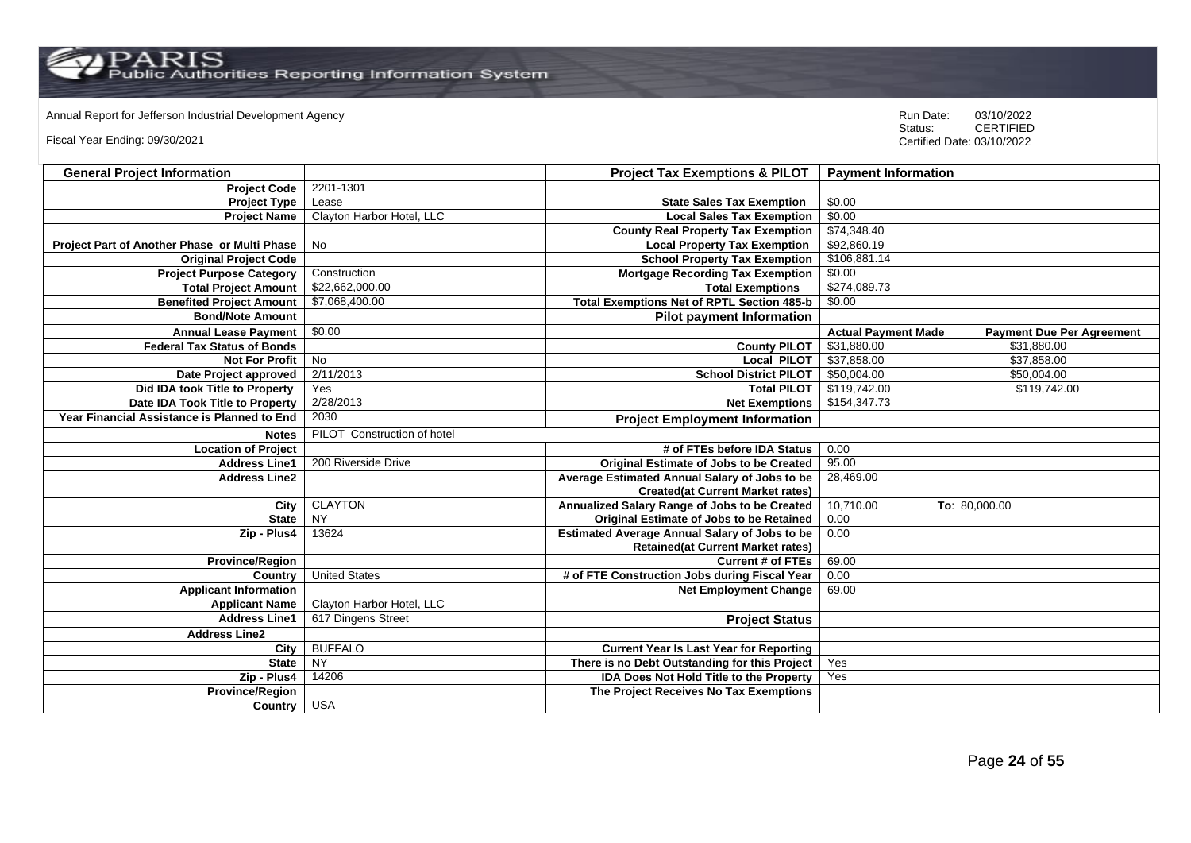Annual Report for Jefferson Industrial Development Agency<br>
Status: CERTIFIED

Fiscal Year Ending: 09/30/2021

| <b>General Project Information</b>           |                             | <b>Project Tax Exemptions &amp; PILOT</b>            | <b>Payment Information</b>                                     |
|----------------------------------------------|-----------------------------|------------------------------------------------------|----------------------------------------------------------------|
| <b>Project Code</b>                          | 2201-1301                   |                                                      |                                                                |
| <b>Project Type</b>                          | Lease                       | <b>State Sales Tax Exemption</b>                     | \$0.00                                                         |
| <b>Project Name</b>                          | Clayton Harbor Hotel, LLC   | <b>Local Sales Tax Exemption</b>                     | \$0.00                                                         |
|                                              |                             | <b>County Real Property Tax Exemption</b>            | \$74,348.40                                                    |
| Project Part of Another Phase or Multi Phase | <b>No</b>                   | <b>Local Property Tax Exemption</b>                  | \$92,860.19                                                    |
| <b>Original Project Code</b>                 |                             | <b>School Property Tax Exemption</b>                 | \$106,881.14                                                   |
| <b>Project Purpose Category</b>              | Construction                | <b>Mortgage Recording Tax Exemption</b>              | \$0.00                                                         |
| <b>Total Project Amount</b>                  | \$22,662,000.00             | <b>Total Exemptions</b>                              | \$274,089.73                                                   |
| <b>Benefited Project Amount</b>              | \$7,068,400.00              | <b>Total Exemptions Net of RPTL Section 485-b</b>    | \$0.00                                                         |
| <b>Bond/Note Amount</b>                      |                             | <b>Pilot payment Information</b>                     |                                                                |
| <b>Annual Lease Payment</b>                  | \$0.00                      |                                                      | <b>Actual Payment Made</b><br><b>Payment Due Per Agreement</b> |
| <b>Federal Tax Status of Bonds</b>           |                             | <b>County PILOT</b>                                  | \$31,880.00<br>\$31,880.00                                     |
| <b>Not For Profit</b>                        | <b>No</b>                   | Local PILOT                                          | \$37,858.00<br>\$37,858.00                                     |
| Date Project approved                        | 2/11/2013                   | <b>School District PILOT</b>                         | \$50,004.00<br>\$50,004.00                                     |
| Did IDA took Title to Property               | Yes                         | <b>Total PILOT</b>                                   | \$119,742.00<br>\$119,742.00                                   |
| Date IDA Took Title to Property              | 2/28/2013                   | <b>Net Exemptions</b>                                | \$154,347.73                                                   |
| Year Financial Assistance is Planned to End  | 2030                        | <b>Project Employment Information</b>                |                                                                |
| <b>Notes</b>                                 | PILOT Construction of hotel |                                                      |                                                                |
| <b>Location of Project</b>                   |                             | # of FTEs before IDA Status                          | 0.00                                                           |
| <b>Address Line1</b>                         | 200 Riverside Drive         | Original Estimate of Jobs to be Created              | 95.00                                                          |
| <b>Address Line2</b>                         |                             | Average Estimated Annual Salary of Jobs to be        | 28,469.00                                                      |
|                                              |                             | <b>Created(at Current Market rates)</b>              |                                                                |
| City                                         | <b>CLAYTON</b>              | Annualized Salary Range of Jobs to be Created        | 10,710.00<br>To: 80,000.00                                     |
| <b>State</b>                                 | <b>NY</b>                   | Original Estimate of Jobs to be Retained             | 0.00                                                           |
| Zip - Plus4                                  | 13624                       | <b>Estimated Average Annual Salary of Jobs to be</b> | 0.00                                                           |
|                                              |                             | <b>Retained(at Current Market rates)</b>             |                                                                |
| <b>Province/Region</b>                       |                             | <b>Current # of FTEs</b>                             | 69.00                                                          |
| Country                                      | <b>United States</b>        | # of FTE Construction Jobs during Fiscal Year        | 0.00                                                           |
| <b>Applicant Information</b>                 |                             | <b>Net Employment Change</b>                         | 69.00                                                          |
| <b>Applicant Name</b>                        | Clayton Harbor Hotel, LLC   |                                                      |                                                                |
| <b>Address Line1</b>                         | 617 Dingens Street          | <b>Project Status</b>                                |                                                                |
| <b>Address Line2</b>                         |                             |                                                      |                                                                |
| City                                         | <b>BUFFALO</b>              | <b>Current Year Is Last Year for Reporting</b>       |                                                                |
| <b>State</b>                                 | <b>NY</b>                   | There is no Debt Outstanding for this Project        | Yes                                                            |
| Zip - Plus4                                  | 14206                       | IDA Does Not Hold Title to the Property              | Yes                                                            |
| Province/Region                              |                             | The Project Receives No Tax Exemptions               |                                                                |
| Country                                      | <b>USA</b>                  |                                                      |                                                                |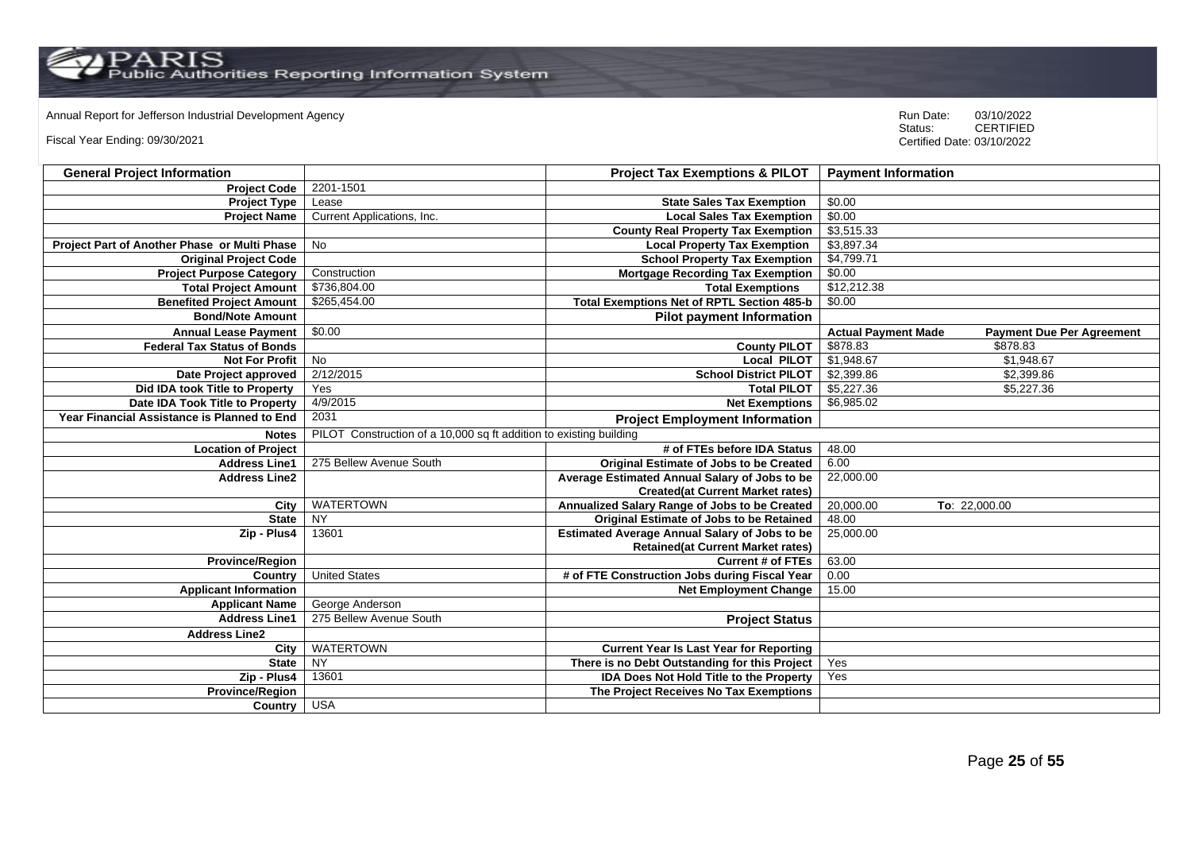Annual Report for Jefferson Industrial Development Agency<br>
Status: CERTIFIED

Fiscal Year Ending: 09/30/2021

| <b>General Project Information</b>           |                                                                    | <b>Project Tax Exemptions &amp; PILOT</b>            | <b>Payment Information</b>                                     |
|----------------------------------------------|--------------------------------------------------------------------|------------------------------------------------------|----------------------------------------------------------------|
| <b>Project Code</b>                          | 2201-1501                                                          |                                                      |                                                                |
| <b>Project Type</b>                          | Lease                                                              | <b>State Sales Tax Exemption</b>                     | \$0.00                                                         |
| <b>Project Name</b>                          | Current Applications, Inc.                                         | <b>Local Sales Tax Exemption</b>                     | \$0.00                                                         |
|                                              |                                                                    | <b>County Real Property Tax Exemption</b>            | \$3,515.33                                                     |
| Project Part of Another Phase or Multi Phase | No                                                                 | <b>Local Property Tax Exemption</b>                  | \$3,897.34                                                     |
| <b>Original Project Code</b>                 |                                                                    | <b>School Property Tax Exemption</b>                 | \$4,799.71                                                     |
| <b>Project Purpose Category</b>              | Construction                                                       | <b>Mortgage Recording Tax Exemption</b>              | \$0.00                                                         |
| <b>Total Project Amount</b>                  | \$736,804.00                                                       | <b>Total Exemptions</b>                              | \$12,212.38                                                    |
| <b>Benefited Project Amount</b>              | \$265,454.00                                                       | <b>Total Exemptions Net of RPTL Section 485-b</b>    | \$0.00                                                         |
| <b>Bond/Note Amount</b>                      |                                                                    | <b>Pilot payment Information</b>                     |                                                                |
| <b>Annual Lease Payment</b>                  | \$0.00                                                             |                                                      | <b>Actual Payment Made</b><br><b>Payment Due Per Agreement</b> |
| <b>Federal Tax Status of Bonds</b>           |                                                                    | <b>County PILOT</b>                                  | \$878.83<br>\$878.83                                           |
| <b>Not For Profit</b>                        | No                                                                 | <b>Local PILOT</b>                                   | \$1,948.67<br>\$1,948.67                                       |
| Date Project approved                        | 2/12/2015                                                          | <b>School District PILOT</b>                         | \$2,399.86<br>\$2,399.86                                       |
| Did IDA took Title to Property               | Yes                                                                | <b>Total PILOT</b>                                   | \$5,227.36<br>\$5,227.36                                       |
| Date IDA Took Title to Property              | 4/9/2015                                                           | <b>Net Exemptions</b>                                | \$6,985.02                                                     |
| Year Financial Assistance is Planned to End  | 2031                                                               | <b>Project Employment Information</b>                |                                                                |
| <b>Notes</b>                                 | PILOT Construction of a 10,000 sq ft addition to existing building |                                                      |                                                                |
| <b>Location of Project</b>                   |                                                                    | # of FTEs before IDA Status                          | 48.00                                                          |
| <b>Address Line1</b>                         | 275 Bellew Avenue South                                            | Original Estimate of Jobs to be Created              | 6.00                                                           |
| <b>Address Line2</b>                         |                                                                    | Average Estimated Annual Salary of Jobs to be        | 22,000.00                                                      |
|                                              |                                                                    | <b>Created(at Current Market rates)</b>              |                                                                |
| City                                         | <b>WATERTOWN</b>                                                   | Annualized Salary Range of Jobs to be Created        | 20,000.00<br>To: 22,000.00                                     |
| <b>State</b>                                 | <b>NY</b>                                                          | Original Estimate of Jobs to be Retained             | 48.00                                                          |
| Zip - Plus4                                  | 13601                                                              | <b>Estimated Average Annual Salary of Jobs to be</b> | 25,000.00                                                      |
|                                              |                                                                    | <b>Retained(at Current Market rates)</b>             |                                                                |
| <b>Province/Region</b>                       |                                                                    | <b>Current # of FTEs</b>                             | 63.00                                                          |
| Country                                      | <b>United States</b>                                               | # of FTE Construction Jobs during Fiscal Year        | 0.00                                                           |
| <b>Applicant Information</b>                 |                                                                    | <b>Net Employment Change</b>                         | 15.00                                                          |
| <b>Applicant Name</b>                        | George Anderson                                                    |                                                      |                                                                |
| <b>Address Line1</b>                         | 275 Bellew Avenue South                                            | <b>Project Status</b>                                |                                                                |
| <b>Address Line2</b>                         |                                                                    |                                                      |                                                                |
| City                                         | <b>WATERTOWN</b>                                                   | <b>Current Year Is Last Year for Reporting</b>       |                                                                |
| <b>State</b>                                 | NY                                                                 | There is no Debt Outstanding for this Project        | Yes                                                            |
| Zip - Plus4                                  | 13601                                                              | <b>IDA Does Not Hold Title to the Property</b>       | Yes                                                            |
| <b>Province/Region</b>                       |                                                                    | The Project Receives No Tax Exemptions               |                                                                |
| Country                                      | <b>USA</b>                                                         |                                                      |                                                                |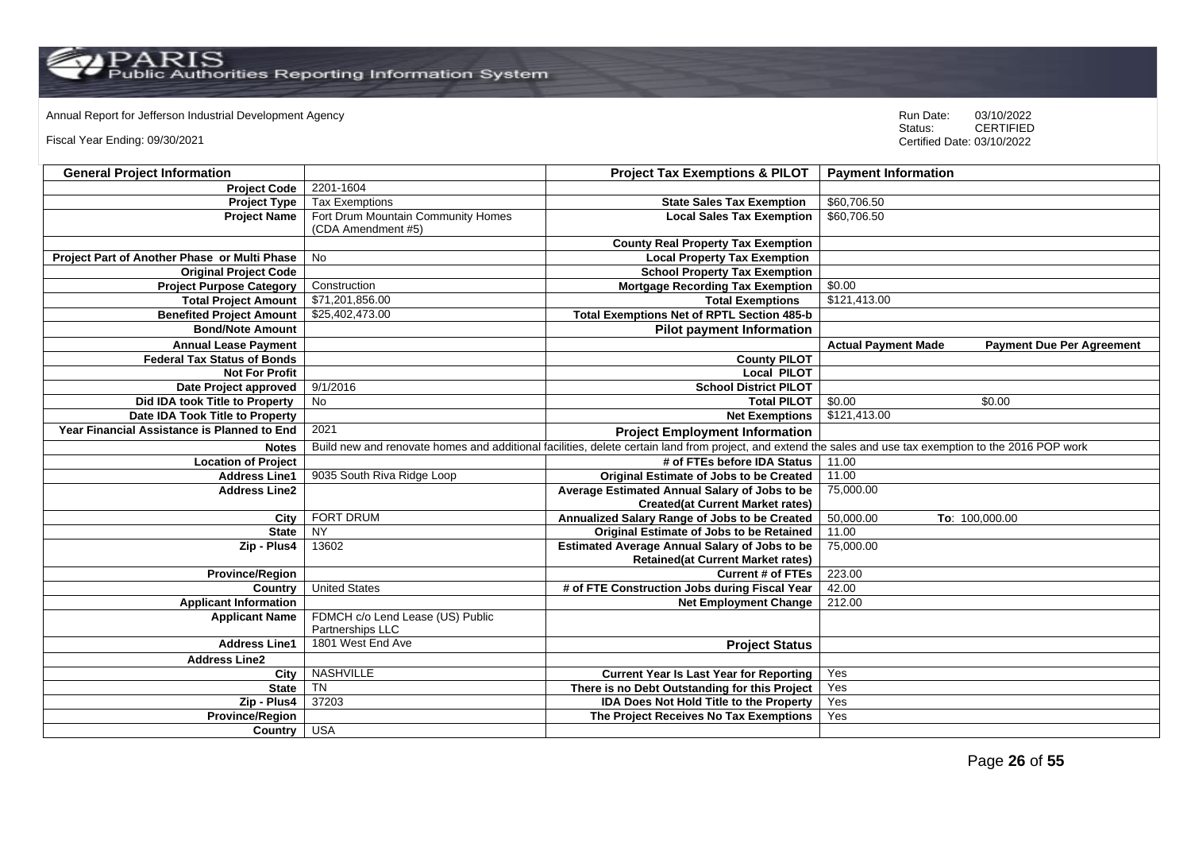Annual Report for Jefferson Industrial Development Agency<br>
Status: CERTIFIED

Fiscal Year Ending: 09/30/2021

| <b>General Project Information</b>           |                                                          | <b>Project Tax Exemptions &amp; PILOT</b>                                                                                                                 | <b>Payment Information</b>                                     |
|----------------------------------------------|----------------------------------------------------------|-----------------------------------------------------------------------------------------------------------------------------------------------------------|----------------------------------------------------------------|
| <b>Project Code</b>                          | 2201-1604                                                |                                                                                                                                                           |                                                                |
| <b>Project Type</b>                          | <b>Tax Exemptions</b>                                    | <b>State Sales Tax Exemption</b>                                                                                                                          | \$60,706.50                                                    |
| <b>Project Name</b>                          | Fort Drum Mountain Community Homes<br>(CDA Amendment #5) | <b>Local Sales Tax Exemption</b>                                                                                                                          | \$60,706.50                                                    |
|                                              |                                                          | <b>County Real Property Tax Exemption</b>                                                                                                                 |                                                                |
| Project Part of Another Phase or Multi Phase | No                                                       | <b>Local Property Tax Exemption</b>                                                                                                                       |                                                                |
| <b>Original Project Code</b>                 |                                                          | <b>School Property Tax Exemption</b>                                                                                                                      |                                                                |
| <b>Project Purpose Category</b>              | Construction                                             | <b>Mortgage Recording Tax Exemption</b>                                                                                                                   | \$0.00                                                         |
| <b>Total Project Amount</b>                  | \$71,201,856.00                                          | <b>Total Exemptions</b>                                                                                                                                   | \$121,413.00                                                   |
| <b>Benefited Project Amount</b>              | \$25,402,473.00                                          | <b>Total Exemptions Net of RPTL Section 485-b</b>                                                                                                         |                                                                |
| <b>Bond/Note Amount</b>                      |                                                          | <b>Pilot payment Information</b>                                                                                                                          |                                                                |
| <b>Annual Lease Payment</b>                  |                                                          |                                                                                                                                                           | <b>Actual Payment Made</b><br><b>Payment Due Per Agreement</b> |
| <b>Federal Tax Status of Bonds</b>           |                                                          | <b>County PILOT</b>                                                                                                                                       |                                                                |
| <b>Not For Profit</b>                        |                                                          | <b>Local PILOT</b>                                                                                                                                        |                                                                |
| Date Project approved                        | 9/1/2016                                                 | <b>School District PILOT</b>                                                                                                                              |                                                                |
| Did IDA took Title to Property               | No                                                       | <b>Total PILOT</b>                                                                                                                                        | \$0.00<br>\$0.00                                               |
| Date IDA Took Title to Property              |                                                          | <b>Net Exemptions</b>                                                                                                                                     | \$121,413.00                                                   |
| Year Financial Assistance is Planned to End  | 2021                                                     | <b>Project Employment Information</b>                                                                                                                     |                                                                |
| <b>Notes</b>                                 |                                                          | Build new and renovate homes and additional facilities, delete certain land from project, and extend the sales and use tax exemption to the 2016 POP work |                                                                |
| <b>Location of Project</b>                   |                                                          | # of FTEs before IDA Status                                                                                                                               | 11.00                                                          |
| <b>Address Line1</b>                         | 9035 South Riva Ridge Loop                               | Original Estimate of Jobs to be Created                                                                                                                   | 11.00                                                          |
| <b>Address Line2</b>                         |                                                          | Average Estimated Annual Salary of Jobs to be                                                                                                             | 75,000.00                                                      |
|                                              |                                                          | <b>Created(at Current Market rates)</b>                                                                                                                   |                                                                |
| City                                         | FORT DRUM                                                | Annualized Salary Range of Jobs to be Created                                                                                                             | 50,000.00<br>To: 100,000.00                                    |
| <b>State</b>                                 | <b>NY</b>                                                | <b>Original Estimate of Jobs to be Retained</b>                                                                                                           | 11.00                                                          |
| Zip - Plus4                                  | 13602                                                    | <b>Estimated Average Annual Salary of Jobs to be</b>                                                                                                      | 75,000.00                                                      |
|                                              |                                                          | <b>Retained(at Current Market rates)</b>                                                                                                                  |                                                                |
| <b>Province/Region</b>                       |                                                          | <b>Current # of FTEs</b>                                                                                                                                  | 223.00                                                         |
| Country                                      | <b>United States</b>                                     | # of FTE Construction Jobs during Fiscal Year                                                                                                             | 42.00                                                          |
| <b>Applicant Information</b>                 |                                                          | <b>Net Employment Change</b>                                                                                                                              | 212.00                                                         |
| <b>Applicant Name</b>                        | FDMCH c/o Lend Lease (US) Public<br>Partnerships LLC     |                                                                                                                                                           |                                                                |
| <b>Address Line1</b>                         | 1801 West End Ave                                        | <b>Project Status</b>                                                                                                                                     |                                                                |
| <b>Address Line2</b>                         |                                                          |                                                                                                                                                           |                                                                |
| City                                         | <b>NASHVILLE</b>                                         | <b>Current Year Is Last Year for Reporting</b>                                                                                                            | Yes                                                            |
| <b>State</b>                                 | <b>TN</b>                                                | There is no Debt Outstanding for this Project                                                                                                             | Yes                                                            |
| Zip - Plus4                                  | 37203                                                    | IDA Does Not Hold Title to the Property                                                                                                                   | Yes                                                            |
| <b>Province/Region</b>                       |                                                          | The Project Receives No Tax Exemptions                                                                                                                    | Yes                                                            |
| Country                                      | <b>USA</b>                                               |                                                                                                                                                           |                                                                |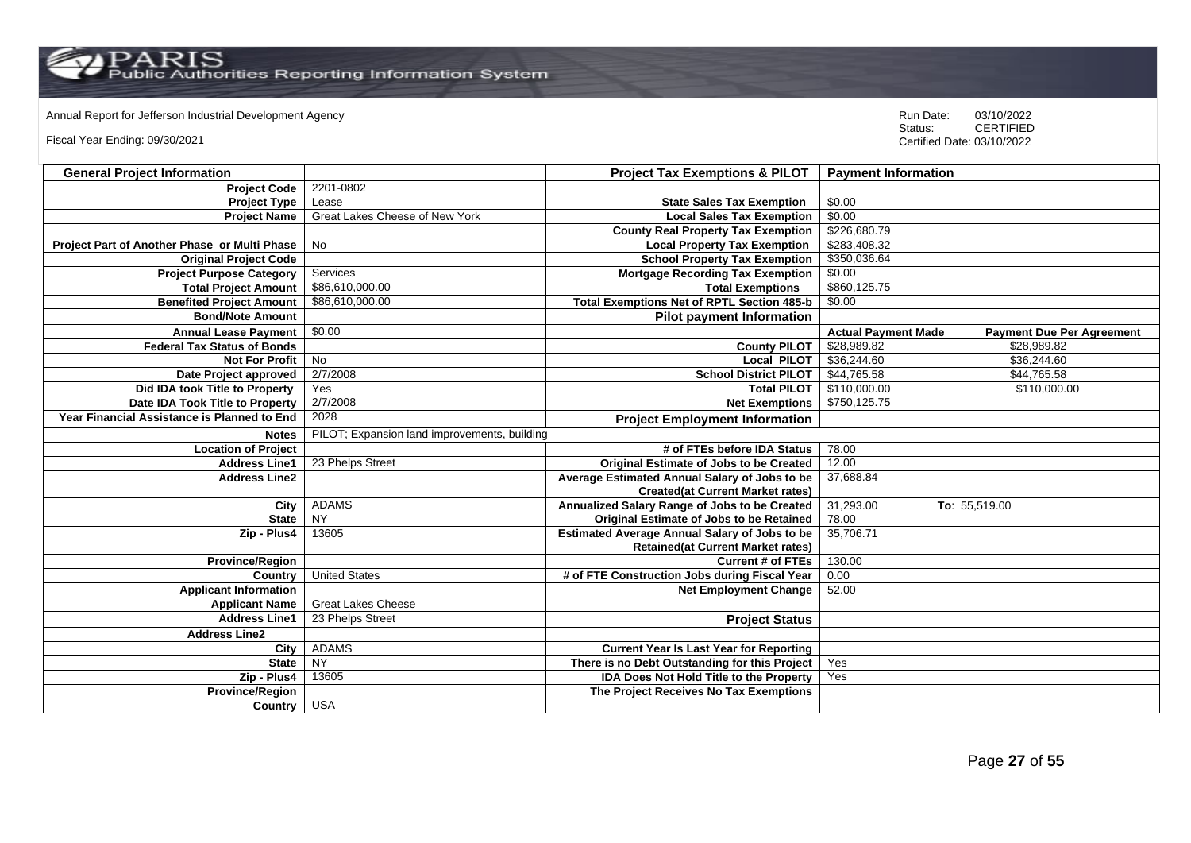$\mathrm{PARS} \ \mathrm{Fuss}$ 

Annual Report for Jefferson Industrial Development Agency<br>
Status: CERTIFIED

Fiscal Year Ending: 09/30/2021

| <b>General Project Information</b>           |                                              | <b>Project Tax Exemptions &amp; PILOT</b>            | <b>Payment Information</b>                                     |
|----------------------------------------------|----------------------------------------------|------------------------------------------------------|----------------------------------------------------------------|
| <b>Project Code</b>                          | 2201-0802                                    |                                                      |                                                                |
| <b>Project Type</b>                          | Lease                                        | <b>State Sales Tax Exemption</b>                     | \$0.00                                                         |
| <b>Project Name</b>                          | Great Lakes Cheese of New York               | <b>Local Sales Tax Exemption</b>                     | \$0.00                                                         |
|                                              |                                              | <b>County Real Property Tax Exemption</b>            | \$226,680.79                                                   |
| Project Part of Another Phase or Multi Phase | No                                           | <b>Local Property Tax Exemption</b>                  | \$283,408.32                                                   |
| <b>Original Project Code</b>                 |                                              | <b>School Property Tax Exemption</b>                 | \$350,036.64                                                   |
| <b>Project Purpose Category</b>              | Services                                     | <b>Mortgage Recording Tax Exemption</b>              | \$0.00                                                         |
| <b>Total Project Amount</b>                  | \$86,610,000.00                              | <b>Total Exemptions</b>                              | \$860,125.75                                                   |
| <b>Benefited Project Amount</b>              | \$86,610,000.00                              | <b>Total Exemptions Net of RPTL Section 485-b</b>    | \$0.00                                                         |
| <b>Bond/Note Amount</b>                      |                                              | <b>Pilot payment Information</b>                     |                                                                |
| <b>Annual Lease Payment</b>                  | \$0.00                                       |                                                      | <b>Actual Payment Made</b><br><b>Payment Due Per Agreement</b> |
| <b>Federal Tax Status of Bonds</b>           |                                              | <b>County PILOT</b>                                  | \$28,989.82<br>\$28,989.82                                     |
| <b>Not For Profit</b>                        | No                                           | <b>Local PILOT</b>                                   | \$36,244.60<br>\$36,244.60                                     |
| Date Project approved                        | 2/7/2008                                     | <b>School District PILOT</b>                         | \$44,765.58<br>\$44,765.58                                     |
| Did IDA took Title to Property               | Yes                                          | <b>Total PILOT</b>                                   | \$110,000.00<br>\$110,000.00                                   |
| Date IDA Took Title to Property              | 2/7/2008                                     | <b>Net Exemptions</b>                                | \$750,125.75                                                   |
| Year Financial Assistance is Planned to End  | 2028                                         | <b>Project Employment Information</b>                |                                                                |
| <b>Notes</b>                                 | PILOT; Expansion land improvements, building |                                                      |                                                                |
| <b>Location of Project</b>                   |                                              | # of FTEs before IDA Status                          | 78.00                                                          |
| <b>Address Line1</b>                         | 23 Phelps Street                             | <b>Original Estimate of Jobs to be Created</b>       | 12.00                                                          |
| <b>Address Line2</b>                         |                                              | Average Estimated Annual Salary of Jobs to be        | 37,688.84                                                      |
|                                              |                                              | <b>Created(at Current Market rates)</b>              |                                                                |
| City                                         | <b>ADAMS</b>                                 | Annualized Salary Range of Jobs to be Created        | 31,293.00<br>To: 55,519.00                                     |
| <b>State</b>                                 | <b>NY</b>                                    | Original Estimate of Jobs to be Retained             | 78.00                                                          |
| Zip - Plus4                                  | 13605                                        | <b>Estimated Average Annual Salary of Jobs to be</b> | 35,706.71                                                      |
|                                              |                                              | <b>Retained(at Current Market rates)</b>             |                                                                |
| <b>Province/Region</b>                       |                                              | <b>Current # of FTEs</b>                             | 130.00                                                         |
| Country                                      | <b>United States</b>                         | # of FTE Construction Jobs during Fiscal Year        | 0.00                                                           |
| <b>Applicant Information</b>                 |                                              | <b>Net Employment Change</b>                         | 52.00                                                          |
| <b>Applicant Name</b>                        | <b>Great Lakes Cheese</b>                    |                                                      |                                                                |
| <b>Address Line1</b>                         | 23 Phelps Street                             | <b>Project Status</b>                                |                                                                |
| <b>Address Line2</b>                         |                                              |                                                      |                                                                |
| City                                         | <b>ADAMS</b>                                 | <b>Current Year Is Last Year for Reporting</b>       |                                                                |
| <b>State</b>                                 | NY                                           | There is no Debt Outstanding for this Project        | Yes                                                            |
| Zip - Plus4                                  | 13605                                        | <b>IDA Does Not Hold Title to the Property</b>       | Yes                                                            |
| <b>Province/Region</b>                       |                                              | The Project Receives No Tax Exemptions               |                                                                |
| Country                                      | <b>USA</b>                                   |                                                      |                                                                |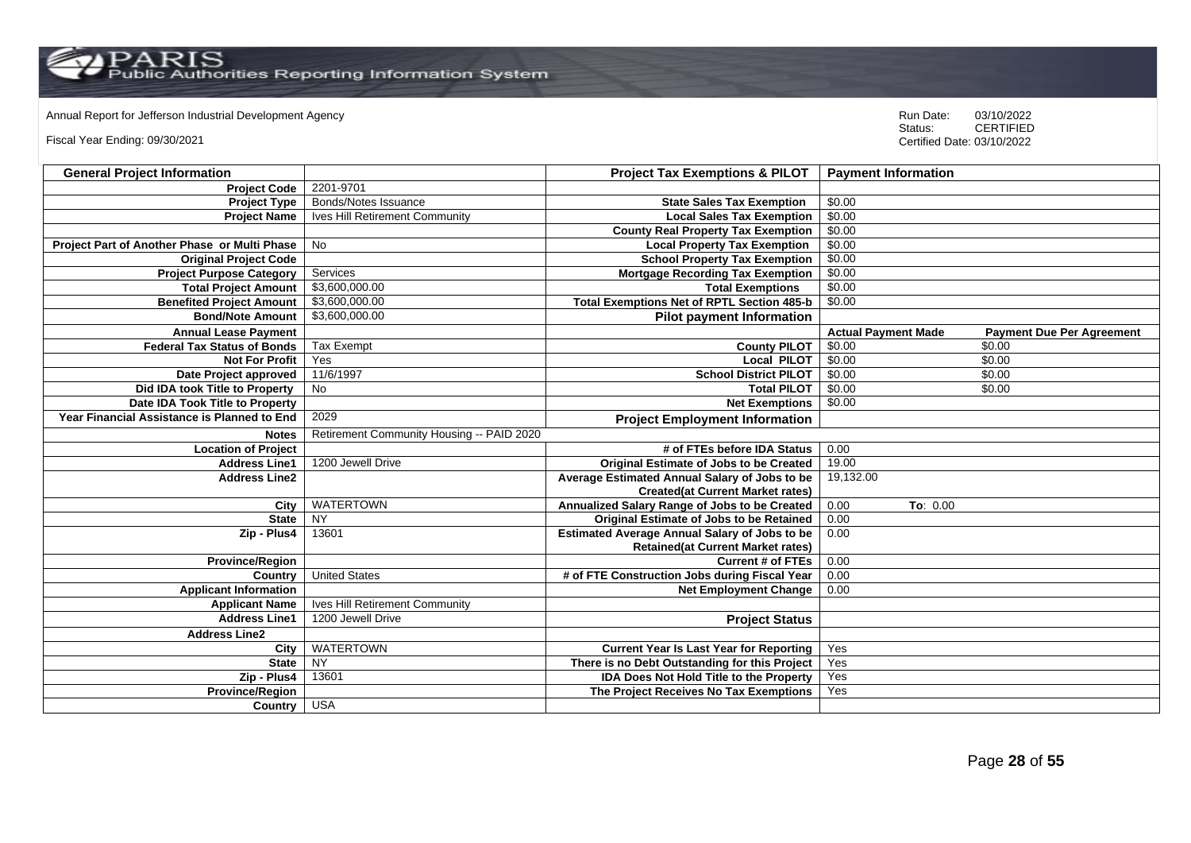Annual Report for Jefferson Industrial Development Agency<br>
Status: CERTIFIED

Fiscal Year Ending: 09/30/2021

| <b>General Project Information</b>           |                                           | <b>Project Tax Exemptions &amp; PILOT</b>            | <b>Payment Information</b> |                                  |
|----------------------------------------------|-------------------------------------------|------------------------------------------------------|----------------------------|----------------------------------|
| <b>Project Code</b>                          | 2201-9701                                 |                                                      |                            |                                  |
| <b>Project Type</b>                          | Bonds/Notes Issuance                      | <b>State Sales Tax Exemption</b>                     | \$0.00                     |                                  |
| <b>Project Name</b>                          | Ives Hill Retirement Community            | <b>Local Sales Tax Exemption</b>                     | \$0.00                     |                                  |
|                                              |                                           | <b>County Real Property Tax Exemption</b>            | \$0.00                     |                                  |
| Project Part of Another Phase or Multi Phase | <b>No</b>                                 | <b>Local Property Tax Exemption</b>                  | \$0.00                     |                                  |
| <b>Original Project Code</b>                 |                                           | <b>School Property Tax Exemption</b>                 | \$0.00                     |                                  |
| <b>Project Purpose Category</b>              | Services                                  | <b>Mortgage Recording Tax Exemption</b>              | \$0.00                     |                                  |
| <b>Total Project Amount</b>                  | \$3,600,000,00                            | <b>Total Exemptions</b>                              | \$0.00                     |                                  |
| <b>Benefited Project Amount</b>              | \$3,600,000.00                            | <b>Total Exemptions Net of RPTL Section 485-b</b>    | \$0.00                     |                                  |
| <b>Bond/Note Amount</b>                      | \$3,600,000.00                            | <b>Pilot payment Information</b>                     |                            |                                  |
| <b>Annual Lease Payment</b>                  |                                           |                                                      | <b>Actual Payment Made</b> | <b>Payment Due Per Agreement</b> |
| <b>Federal Tax Status of Bonds</b>           | <b>Tax Exempt</b>                         | <b>County PILOT</b>                                  | \$0.00                     | \$0.00                           |
| <b>Not For Profit</b>                        | Yes                                       | <b>Local PILOT</b>                                   | \$0.00                     | \$0.00                           |
| Date Project approved                        | 11/6/1997                                 | <b>School District PILOT</b>                         | \$0.00                     | \$0.00                           |
| Did IDA took Title to Property               | No                                        | <b>Total PILOT</b>                                   | \$0.00                     | \$0.00                           |
| Date IDA Took Title to Property              |                                           | <b>Net Exemptions</b>                                | \$0.00                     |                                  |
| Year Financial Assistance is Planned to End  | 2029                                      | <b>Project Employment Information</b>                |                            |                                  |
| <b>Notes</b>                                 | Retirement Community Housing -- PAID 2020 |                                                      |                            |                                  |
| <b>Location of Project</b>                   |                                           | # of FTEs before IDA Status                          | 0.00                       |                                  |
| <b>Address Line1</b>                         | 1200 Jewell Drive                         | <b>Original Estimate of Jobs to be Created</b>       | 19.00                      |                                  |
| <b>Address Line2</b>                         |                                           | Average Estimated Annual Salary of Jobs to be        | 19,132.00                  |                                  |
|                                              |                                           | <b>Created(at Current Market rates)</b>              |                            |                                  |
| City                                         | <b>WATERTOWN</b>                          | Annualized Salary Range of Jobs to be Created        | 0.00<br>To: 0.00           |                                  |
| <b>State</b>                                 | <b>NY</b>                                 | Original Estimate of Jobs to be Retained             | 0.00                       |                                  |
| Zip - Plus4                                  | 13601                                     | <b>Estimated Average Annual Salary of Jobs to be</b> | 0.00                       |                                  |
|                                              |                                           | <b>Retained(at Current Market rates)</b>             |                            |                                  |
| <b>Province/Region</b>                       |                                           | <b>Current # of FTEs</b>                             | 0.00                       |                                  |
| Country                                      | <b>United States</b>                      | # of FTE Construction Jobs during Fiscal Year        | 0.00                       |                                  |
| <b>Applicant Information</b>                 |                                           | <b>Net Employment Change</b>                         | 0.00                       |                                  |
| <b>Applicant Name</b>                        | Ives Hill Retirement Community            |                                                      |                            |                                  |
| <b>Address Line1</b>                         | 1200 Jewell Drive                         | <b>Project Status</b>                                |                            |                                  |
| <b>Address Line2</b>                         |                                           |                                                      |                            |                                  |
| City                                         | <b>WATERTOWN</b>                          | <b>Current Year Is Last Year for Reporting</b>       | Yes                        |                                  |
| <b>State</b>                                 | NY                                        | There is no Debt Outstanding for this Project        | Yes                        |                                  |
| Zip - Plus4                                  | 13601                                     | <b>IDA Does Not Hold Title to the Property</b>       | Yes                        |                                  |
| <b>Province/Region</b>                       |                                           | The Project Receives No Tax Exemptions               | Yes                        |                                  |
| Country                                      | <b>USA</b>                                |                                                      |                            |                                  |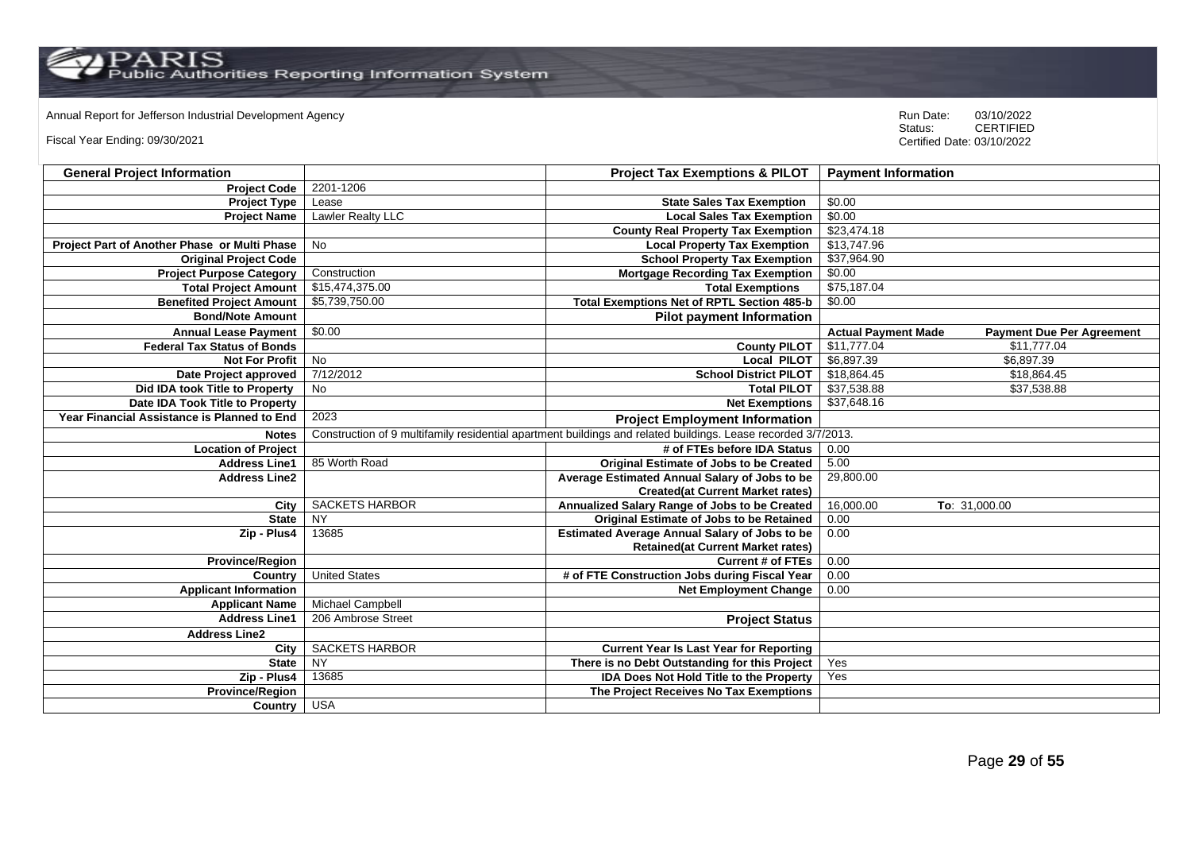Annual Report for Jefferson Industrial Development Agency<br>
Status: CERTIFIED

Fiscal Year Ending: 09/30/2021

| <b>General Project Information</b>           |                          | <b>Project Tax Exemptions &amp; PILOT</b>                                                                     | <b>Payment Information</b>                                     |
|----------------------------------------------|--------------------------|---------------------------------------------------------------------------------------------------------------|----------------------------------------------------------------|
| <b>Project Code</b>                          | 2201-1206                |                                                                                                               |                                                                |
| <b>Project Type</b>                          | Lease                    | <b>State Sales Tax Exemption</b>                                                                              | \$0.00                                                         |
| <b>Project Name</b>                          | <b>Lawler Realty LLC</b> | <b>Local Sales Tax Exemption</b>                                                                              | \$0.00                                                         |
|                                              |                          | <b>County Real Property Tax Exemption</b>                                                                     | \$23,474.18                                                    |
| Project Part of Another Phase or Multi Phase | No                       | <b>Local Property Tax Exemption</b>                                                                           | \$13,747.96                                                    |
| <b>Original Project Code</b>                 |                          | <b>School Property Tax Exemption</b>                                                                          | \$37,964.90                                                    |
| <b>Project Purpose Category</b>              | Construction             | <b>Mortgage Recording Tax Exemption</b>                                                                       | \$0.00                                                         |
| <b>Total Project Amount</b>                  | \$15,474,375.00          | <b>Total Exemptions</b>                                                                                       | \$75,187.04                                                    |
| <b>Benefited Project Amount</b>              | \$5,739,750.00           | <b>Total Exemptions Net of RPTL Section 485-b</b>                                                             | \$0.00                                                         |
| <b>Bond/Note Amount</b>                      |                          | <b>Pilot payment Information</b>                                                                              |                                                                |
| <b>Annual Lease Payment</b>                  | \$0.00                   |                                                                                                               | <b>Actual Payment Made</b><br><b>Payment Due Per Agreement</b> |
| <b>Federal Tax Status of Bonds</b>           |                          | <b>County PILOT</b>                                                                                           | \$11,777.04<br>\$11,777.04                                     |
| <b>Not For Profit</b>                        | $\overline{N}$           | <b>Local PILOT</b>                                                                                            | \$6,897.39<br>\$6,897.39                                       |
| Date Project approved                        | 7/12/2012                | <b>School District PILOT</b>                                                                                  | \$18,864.45<br>\$18,864.45                                     |
| Did IDA took Title to Property               | <b>No</b>                | <b>Total PILOT</b>                                                                                            | \$37,538.88<br>\$37,538.88                                     |
| Date IDA Took Title to Property              |                          | <b>Net Exemptions</b>                                                                                         | \$37,648.16                                                    |
| Year Financial Assistance is Planned to End  | 2023                     | <b>Project Employment Information</b>                                                                         |                                                                |
| <b>Notes</b>                                 |                          | Construction of 9 multifamily residential apartment buildings and related buildings. Lease recorded 3/7/2013. |                                                                |
| <b>Location of Project</b>                   |                          | # of FTEs before IDA Status                                                                                   | 0.00                                                           |
| <b>Address Line1</b>                         | 85 Worth Road            | Original Estimate of Jobs to be Created                                                                       | 5.00                                                           |
| <b>Address Line2</b>                         |                          | Average Estimated Annual Salary of Jobs to be                                                                 | 29,800.00                                                      |
|                                              |                          | <b>Created(at Current Market rates)</b>                                                                       |                                                                |
| City                                         | <b>SACKETS HARBOR</b>    | Annualized Salary Range of Jobs to be Created                                                                 | 16,000.00<br>To: 31,000.00                                     |
| <b>State</b>                                 | <b>NY</b>                | Original Estimate of Jobs to be Retained                                                                      | 0.00                                                           |
| Zip - Plus4                                  | 13685                    | <b>Estimated Average Annual Salary of Jobs to be</b>                                                          | 0.00                                                           |
|                                              |                          | <b>Retained(at Current Market rates)</b>                                                                      |                                                                |
| <b>Province/Region</b>                       |                          | <b>Current # of FTEs</b>                                                                                      | 0.00                                                           |
| Country                                      | <b>United States</b>     | # of FTE Construction Jobs during Fiscal Year                                                                 | 0.00                                                           |
| <b>Applicant Information</b>                 |                          | <b>Net Employment Change</b>                                                                                  | 0.00                                                           |
| <b>Applicant Name</b>                        | Michael Campbell         |                                                                                                               |                                                                |
| <b>Address Line1</b>                         | 206 Ambrose Street       | <b>Project Status</b>                                                                                         |                                                                |
| <b>Address Line2</b>                         |                          |                                                                                                               |                                                                |
| City                                         | <b>SACKETS HARBOR</b>    | <b>Current Year Is Last Year for Reporting</b>                                                                |                                                                |
| <b>State</b>                                 | <b>NY</b>                | There is no Debt Outstanding for this Project                                                                 | Yes                                                            |
| Zip - Plus4                                  | 13685                    | <b>IDA Does Not Hold Title to the Property</b>                                                                | Yes                                                            |
| <b>Province/Region</b>                       |                          | The Project Receives No Tax Exemptions                                                                        |                                                                |
| Country                                      | <b>USA</b>               |                                                                                                               |                                                                |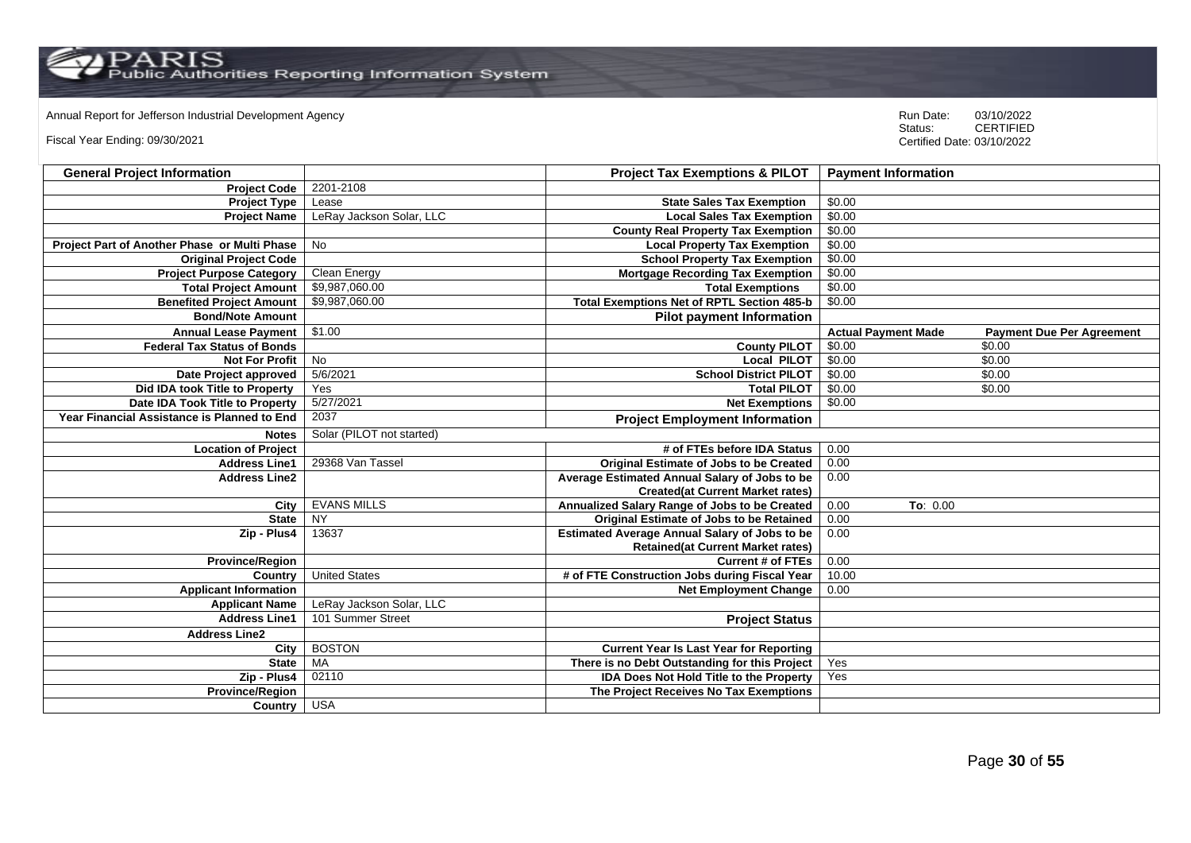Annual Report for Jefferson Industrial Development Agency<br>
Status: CERTIFIED

Fiscal Year Ending: 09/30/2021

| <b>General Project Information</b>           |                           | <b>Project Tax Exemptions &amp; PILOT</b>            | <b>Payment Information</b> |                                  |
|----------------------------------------------|---------------------------|------------------------------------------------------|----------------------------|----------------------------------|
| <b>Project Code</b>                          | 2201-2108                 |                                                      |                            |                                  |
| <b>Project Type</b>                          | Lease                     | <b>State Sales Tax Exemption</b>                     | \$0.00                     |                                  |
| <b>Project Name</b>                          | LeRay Jackson Solar, LLC  | <b>Local Sales Tax Exemption</b>                     | \$0.00                     |                                  |
|                                              |                           | <b>County Real Property Tax Exemption</b>            | \$0.00                     |                                  |
| Project Part of Another Phase or Multi Phase | <b>No</b>                 | <b>Local Property Tax Exemption</b>                  | \$0.00                     |                                  |
| <b>Original Project Code</b>                 |                           | <b>School Property Tax Exemption</b>                 | \$0.00                     |                                  |
| <b>Project Purpose Category</b>              | Clean Energy              | <b>Mortgage Recording Tax Exemption</b>              | \$0.00                     |                                  |
| <b>Total Project Amount</b>                  | \$9,987,060.00            | <b>Total Exemptions</b>                              | \$0.00                     |                                  |
| <b>Benefited Project Amount</b>              | \$9,987,060.00            | <b>Total Exemptions Net of RPTL Section 485-b</b>    | \$0.00                     |                                  |
| <b>Bond/Note Amount</b>                      |                           | <b>Pilot payment Information</b>                     |                            |                                  |
| <b>Annual Lease Payment</b>                  | \$1.00                    |                                                      | <b>Actual Payment Made</b> | <b>Payment Due Per Agreement</b> |
| <b>Federal Tax Status of Bonds</b>           |                           | <b>County PILOT</b>                                  | \$0.00                     | \$0.00                           |
| <b>Not For Profit</b>                        | No                        | <b>Local PILOT</b>                                   | \$0.00                     | \$0.00                           |
| Date Project approved                        | 5/6/2021                  | <b>School District PILOT</b>                         | \$0.00                     | \$0.00                           |
| Did IDA took Title to Property               | Yes                       | <b>Total PILOT</b>                                   | \$0.00                     | \$0.00                           |
| Date IDA Took Title to Property              | 5/27/2021                 | <b>Net Exemptions</b>                                | \$0.00                     |                                  |
| Year Financial Assistance is Planned to End  | 2037                      | <b>Project Employment Information</b>                |                            |                                  |
| <b>Notes</b>                                 | Solar (PILOT not started) |                                                      |                            |                                  |
| <b>Location of Project</b>                   |                           | # of FTEs before IDA Status                          | 0.00                       |                                  |
| <b>Address Line1</b>                         | 29368 Van Tassel          | <b>Original Estimate of Jobs to be Created</b>       | 0.00                       |                                  |
| <b>Address Line2</b>                         |                           | Average Estimated Annual Salary of Jobs to be        | 0.00                       |                                  |
|                                              |                           | <b>Created(at Current Market rates)</b>              |                            |                                  |
| City                                         | <b>EVANS MILLS</b>        | Annualized Salary Range of Jobs to be Created        | 0.00<br>To: 0.00           |                                  |
| <b>State</b>                                 | <b>NY</b>                 | Original Estimate of Jobs to be Retained             | 0.00                       |                                  |
| Zip - Plus4                                  | 13637                     | <b>Estimated Average Annual Salary of Jobs to be</b> | 0.00                       |                                  |
|                                              |                           | <b>Retained (at Current Market rates)</b>            |                            |                                  |
| <b>Province/Region</b>                       |                           | <b>Current # of FTEs</b>                             | 0.00                       |                                  |
| Country                                      | <b>United States</b>      | # of FTE Construction Jobs during Fiscal Year        | 10.00                      |                                  |
| <b>Applicant Information</b>                 |                           | <b>Net Employment Change</b>                         | 0.00                       |                                  |
| <b>Applicant Name</b>                        | LeRay Jackson Solar, LLC  |                                                      |                            |                                  |
| <b>Address Line1</b>                         | 101 Summer Street         | <b>Project Status</b>                                |                            |                                  |
| <b>Address Line2</b>                         |                           |                                                      |                            |                                  |
| City                                         | <b>BOSTON</b>             | <b>Current Year Is Last Year for Reporting</b>       |                            |                                  |
| <b>State</b>                                 | MA                        | There is no Debt Outstanding for this Project        | Yes                        |                                  |
| Zip - Plus4                                  | 02110                     | <b>IDA Does Not Hold Title to the Property</b>       | Yes                        |                                  |
| Province/Region                              |                           | The Project Receives No Tax Exemptions               |                            |                                  |
| Country                                      | <b>USA</b>                |                                                      |                            |                                  |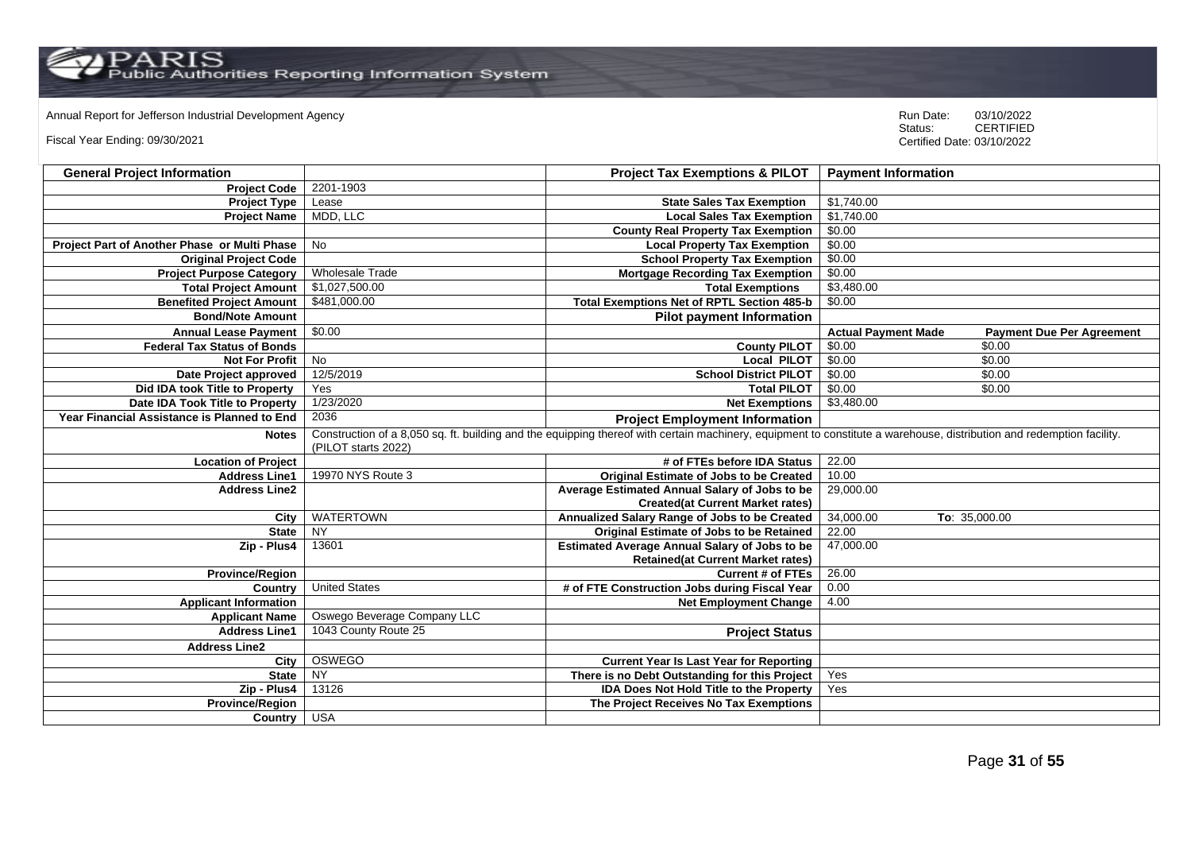Annual Report for Jefferson Industrial Development Agency<br>
Status: CERTIFIED

Fiscal Year Ending: 09/30/2021

| <b>General Project Information</b>           |                             | <b>Project Tax Exemptions &amp; PILOT</b>                                                                                                                             | <b>Payment Information</b> |                                  |
|----------------------------------------------|-----------------------------|-----------------------------------------------------------------------------------------------------------------------------------------------------------------------|----------------------------|----------------------------------|
| <b>Project Code</b>                          | 2201-1903                   |                                                                                                                                                                       |                            |                                  |
| <b>Project Type</b>                          | Lease                       | <b>State Sales Tax Exemption</b>                                                                                                                                      | \$1,740.00                 |                                  |
| <b>Project Name</b>                          | MDD, LLC                    | <b>Local Sales Tax Exemption</b>                                                                                                                                      | \$1,740.00                 |                                  |
|                                              |                             | <b>County Real Property Tax Exemption</b>                                                                                                                             | \$0.00                     |                                  |
| Project Part of Another Phase or Multi Phase | <b>No</b>                   | <b>Local Property Tax Exemption</b>                                                                                                                                   | \$0.00                     |                                  |
| <b>Original Project Code</b>                 |                             | <b>School Property Tax Exemption</b>                                                                                                                                  | \$0.00                     |                                  |
| <b>Project Purpose Category</b>              | <b>Wholesale Trade</b>      | <b>Mortgage Recording Tax Exemption</b>                                                                                                                               | \$0.00                     |                                  |
| <b>Total Project Amount</b>                  | \$1,027,500.00              | <b>Total Exemptions</b>                                                                                                                                               | \$3,480.00                 |                                  |
| <b>Benefited Project Amount</b>              | \$481,000.00                | <b>Total Exemptions Net of RPTL Section 485-b</b>                                                                                                                     | \$0.00                     |                                  |
| <b>Bond/Note Amount</b>                      |                             | <b>Pilot payment Information</b>                                                                                                                                      |                            |                                  |
| <b>Annual Lease Payment</b>                  | \$0.00                      |                                                                                                                                                                       | <b>Actual Payment Made</b> | <b>Payment Due Per Agreement</b> |
| <b>Federal Tax Status of Bonds</b>           |                             | <b>County PILOT</b>                                                                                                                                                   | \$0.00                     | \$0.00                           |
| <b>Not For Profit</b>                        | No                          | <b>Local PILOT</b>                                                                                                                                                    | \$0.00                     | \$0.00                           |
| Date Project approved                        | 12/5/2019                   | <b>School District PILOT</b>                                                                                                                                          | \$0.00                     | \$0.00                           |
| Did IDA took Title to Property               | Yes                         | <b>Total PILOT</b>                                                                                                                                                    | \$0.00                     | \$0.00                           |
| Date IDA Took Title to Property              | 1/23/2020                   | <b>Net Exemptions</b>                                                                                                                                                 | \$3,480.00                 |                                  |
| Year Financial Assistance is Planned to End  | 2036                        | <b>Project Employment Information</b>                                                                                                                                 |                            |                                  |
| <b>Notes</b>                                 | (PILOT starts 2022)         | Construction of a 8,050 sq. ft. building and the equipping thereof with certain machinery, equipment to constitute a warehouse, distribution and redemption facility. |                            |                                  |
| <b>Location of Project</b>                   |                             | # of FTEs before IDA Status                                                                                                                                           | 22.00                      |                                  |
| <b>Address Line1</b>                         | 19970 NYS Route 3           | <b>Original Estimate of Jobs to be Created</b>                                                                                                                        | 10.00                      |                                  |
| <b>Address Line2</b>                         |                             | Average Estimated Annual Salary of Jobs to be                                                                                                                         | 29,000.00                  |                                  |
|                                              |                             | <b>Created(at Current Market rates)</b>                                                                                                                               |                            |                                  |
| City                                         | <b>WATERTOWN</b>            | Annualized Salary Range of Jobs to be Created                                                                                                                         | 34,000.00                  | To: 35,000.00                    |
| <b>State</b>                                 | <b>NY</b>                   | Original Estimate of Jobs to be Retained                                                                                                                              | 22.00                      |                                  |
| Zip - Plus4                                  | 13601                       | <b>Estimated Average Annual Salary of Jobs to be</b>                                                                                                                  | 47,000.00                  |                                  |
|                                              |                             | <b>Retained(at Current Market rates)</b>                                                                                                                              |                            |                                  |
| <b>Province/Region</b>                       |                             | <b>Current # of FTEs</b>                                                                                                                                              | 26.00                      |                                  |
| Country                                      | <b>United States</b>        | # of FTE Construction Jobs during Fiscal Year                                                                                                                         | 0.00                       |                                  |
| <b>Applicant Information</b>                 |                             | <b>Net Employment Change</b>                                                                                                                                          | 4.00                       |                                  |
| <b>Applicant Name</b>                        | Oswego Beverage Company LLC |                                                                                                                                                                       |                            |                                  |
| <b>Address Line1</b>                         | 1043 County Route 25        | <b>Project Status</b>                                                                                                                                                 |                            |                                  |
| <b>Address Line2</b>                         |                             |                                                                                                                                                                       |                            |                                  |
| City                                         | <b>OSWEGO</b>               | <b>Current Year Is Last Year for Reporting</b>                                                                                                                        |                            |                                  |
| <b>State</b>                                 | <b>NY</b>                   | There is no Debt Outstanding for this Project                                                                                                                         | Yes                        |                                  |
| Zip - Plus4                                  | 13126                       | <b>IDA Does Not Hold Title to the Property</b>                                                                                                                        | Yes                        |                                  |
| <b>Province/Region</b>                       |                             | The Project Receives No Tax Exemptions                                                                                                                                |                            |                                  |
| Country USA                                  |                             |                                                                                                                                                                       |                            |                                  |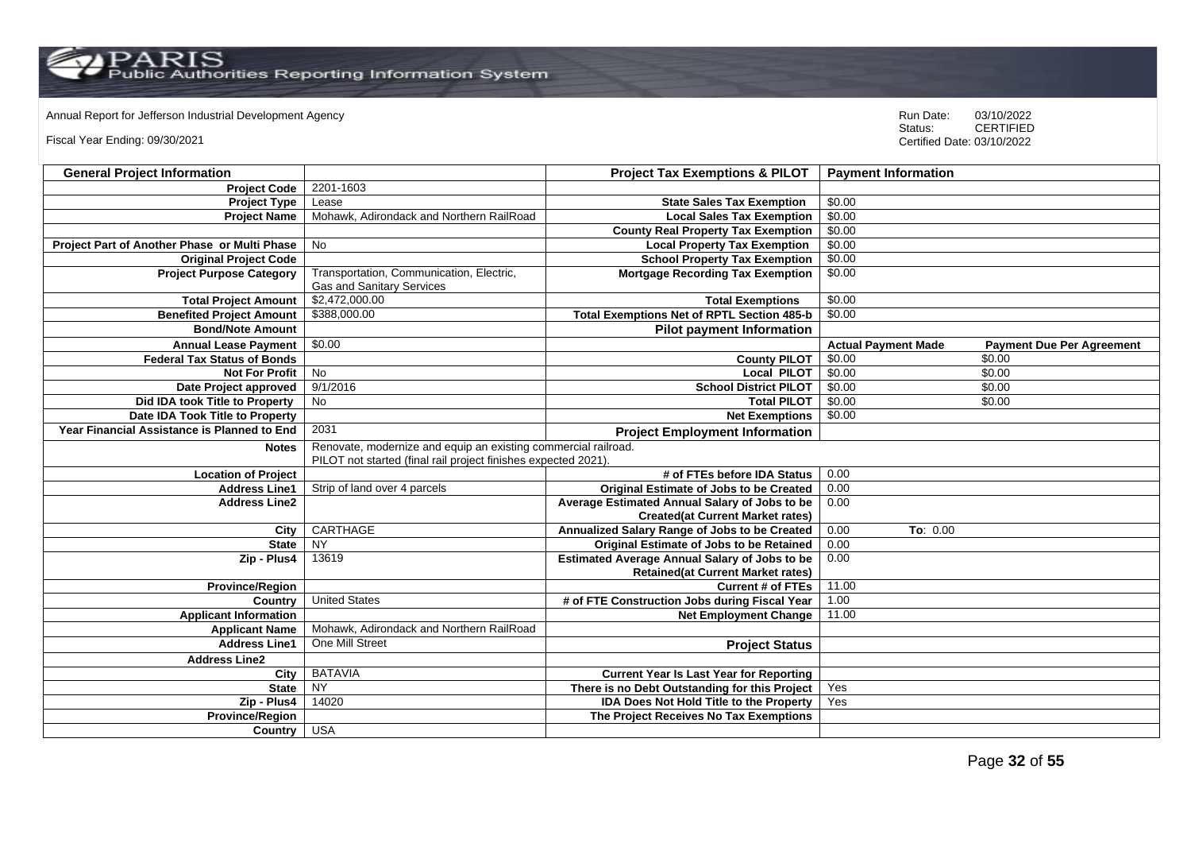# Annual Report for Jefferson Industrial Development Agency<br>
Status: CERTIFIED

Fiscal Year Ending: 09/30/2021

| <b>General Project Information</b>           |                                                                                                                                  | <b>Project Tax Exemptions &amp; PILOT</b>            | <b>Payment Information</b> |                                  |
|----------------------------------------------|----------------------------------------------------------------------------------------------------------------------------------|------------------------------------------------------|----------------------------|----------------------------------|
| <b>Project Code</b>                          | 2201-1603                                                                                                                        |                                                      |                            |                                  |
| <b>Project Type</b>                          | Lease                                                                                                                            | <b>State Sales Tax Exemption</b>                     | \$0.00                     |                                  |
| <b>Project Name</b>                          | Mohawk, Adirondack and Northern RailRoad                                                                                         | <b>Local Sales Tax Exemption</b>                     | \$0.00                     |                                  |
|                                              |                                                                                                                                  | <b>County Real Property Tax Exemption</b>            | \$0.00                     |                                  |
| Project Part of Another Phase or Multi Phase | <b>No</b>                                                                                                                        | <b>Local Property Tax Exemption</b>                  | \$0.00                     |                                  |
| <b>Original Project Code</b>                 |                                                                                                                                  | <b>School Property Tax Exemption</b>                 | \$0.00                     |                                  |
| <b>Project Purpose Category</b>              | Transportation, Communication, Electric,<br><b>Gas and Sanitary Services</b>                                                     | <b>Mortgage Recording Tax Exemption</b>              | \$0.00                     |                                  |
| <b>Total Project Amount</b>                  | \$2,472,000.00                                                                                                                   | <b>Total Exemptions</b>                              | \$0.00                     |                                  |
| <b>Benefited Project Amount</b>              | \$388,000.00                                                                                                                     | Total Exemptions Net of RPTL Section 485-b           | \$0.00                     |                                  |
| <b>Bond/Note Amount</b>                      |                                                                                                                                  | <b>Pilot payment Information</b>                     |                            |                                  |
| <b>Annual Lease Payment</b>                  | \$0.00                                                                                                                           |                                                      | <b>Actual Payment Made</b> | <b>Payment Due Per Agreement</b> |
| <b>Federal Tax Status of Bonds</b>           |                                                                                                                                  | <b>County PILOT</b>                                  | \$0.00                     | \$0.00                           |
| <b>Not For Profit</b>                        | <b>No</b>                                                                                                                        | <b>Local PILOT</b>                                   | \$0.00                     | \$0.00                           |
| Date Project approved                        | 9/1/2016                                                                                                                         | <b>School District PILOT</b>                         | \$0.00                     | \$0.00                           |
| Did IDA took Title to Property               | <b>No</b>                                                                                                                        | <b>Total PILOT</b>                                   | \$0.00                     | \$0.00                           |
| Date IDA Took Title to Property              |                                                                                                                                  | <b>Net Exemptions</b>                                | \$0.00                     |                                  |
| Year Financial Assistance is Planned to End  | 2031                                                                                                                             | <b>Project Employment Information</b>                |                            |                                  |
| <b>Notes</b>                                 | Renovate, modernize and equip an existing commercial railroad.<br>PILOT not started (final rail project finishes expected 2021). |                                                      |                            |                                  |
| <b>Location of Project</b>                   |                                                                                                                                  | # of FTEs before IDA Status                          | 0.00                       |                                  |
| <b>Address Line1</b>                         | Strip of land over 4 parcels                                                                                                     | Original Estimate of Jobs to be Created              | 0.00                       |                                  |
| <b>Address Line2</b>                         |                                                                                                                                  | Average Estimated Annual Salary of Jobs to be        | 0.00                       |                                  |
|                                              |                                                                                                                                  | <b>Created(at Current Market rates)</b>              |                            |                                  |
| City                                         | CARTHAGE                                                                                                                         | Annualized Salary Range of Jobs to be Created        | 0.00<br>To: 0.00           |                                  |
| <b>State</b>                                 | <b>NY</b>                                                                                                                        | Original Estimate of Jobs to be Retained             | 0.00                       |                                  |
| Zip - Plus4                                  | 13619                                                                                                                            | <b>Estimated Average Annual Salary of Jobs to be</b> | 0.00                       |                                  |
|                                              |                                                                                                                                  | <b>Retained(at Current Market rates)</b>             |                            |                                  |
| <b>Province/Region</b>                       |                                                                                                                                  | <b>Current # of FTEs</b>                             | 11.00                      |                                  |
| Country                                      | <b>United States</b>                                                                                                             | # of FTE Construction Jobs during Fiscal Year        | 1.00                       |                                  |
| <b>Applicant Information</b>                 |                                                                                                                                  | <b>Net Employment Change</b>                         | 11.00                      |                                  |
| <b>Applicant Name</b>                        | Mohawk, Adirondack and Northern RailRoad                                                                                         |                                                      |                            |                                  |
| <b>Address Line1</b>                         | One Mill Street                                                                                                                  | <b>Project Status</b>                                |                            |                                  |
| <b>Address Line2</b>                         |                                                                                                                                  |                                                      |                            |                                  |
| City                                         | <b>BATAVIA</b>                                                                                                                   | <b>Current Year Is Last Year for Reporting</b>       |                            |                                  |
| <b>State</b>                                 | <b>NY</b>                                                                                                                        | There is no Debt Outstanding for this Project        | Yes                        |                                  |
| Zip - Plus4                                  | 14020                                                                                                                            | IDA Does Not Hold Title to the Property              | Yes                        |                                  |
| <b>Province/Region</b>                       |                                                                                                                                  | The Project Receives No Tax Exemptions               |                            |                                  |
| Country                                      | <b>USA</b>                                                                                                                       |                                                      |                            |                                  |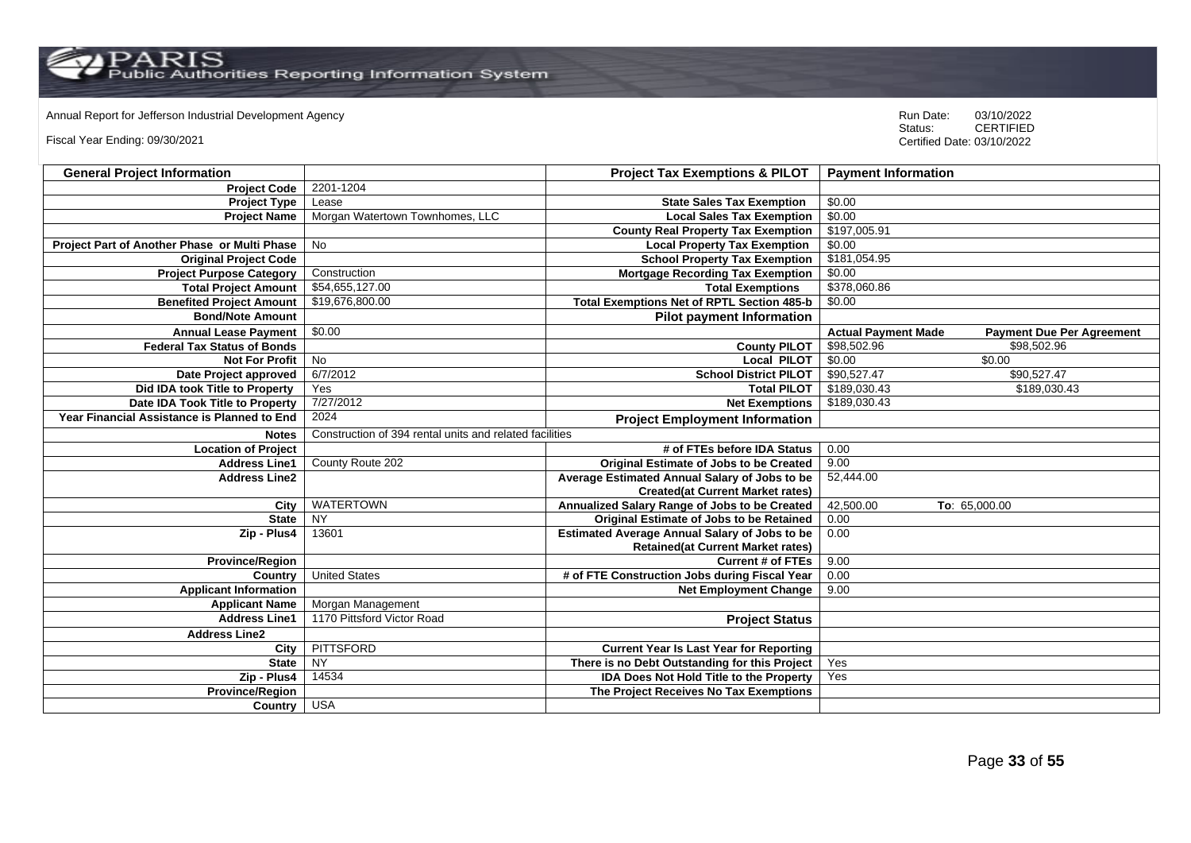Annual Report for Jefferson Industrial Development Agency<br>
Status: CERTIFIED

Fiscal Year Ending: 09/30/2021

| <b>General Project Information</b>           |                                                         | <b>Project Tax Exemptions &amp; PILOT</b>            | <b>Payment Information</b> |                                  |
|----------------------------------------------|---------------------------------------------------------|------------------------------------------------------|----------------------------|----------------------------------|
| <b>Project Code</b>                          | 2201-1204                                               |                                                      |                            |                                  |
| <b>Project Type</b>                          | Lease                                                   | <b>State Sales Tax Exemption</b>                     | \$0.00                     |                                  |
| <b>Project Name</b>                          | Morgan Watertown Townhomes, LLC                         | <b>Local Sales Tax Exemption</b>                     | \$0.00                     |                                  |
|                                              |                                                         | <b>County Real Property Tax Exemption</b>            | \$197,005.91               |                                  |
| Project Part of Another Phase or Multi Phase | No                                                      | <b>Local Property Tax Exemption</b>                  | \$0.00                     |                                  |
| <b>Original Project Code</b>                 |                                                         | <b>School Property Tax Exemption</b>                 | \$181,054.95               |                                  |
| <b>Project Purpose Category</b>              | Construction                                            | <b>Mortgage Recording Tax Exemption</b>              | \$0.00                     |                                  |
| <b>Total Project Amount</b>                  | \$54,655,127.00                                         | <b>Total Exemptions</b>                              | \$378,060.86               |                                  |
| <b>Benefited Project Amount</b>              | \$19,676,800.00                                         | <b>Total Exemptions Net of RPTL Section 485-b</b>    | \$0.00                     |                                  |
| <b>Bond/Note Amount</b>                      |                                                         | <b>Pilot payment Information</b>                     |                            |                                  |
| <b>Annual Lease Payment</b>                  | \$0.00                                                  |                                                      | <b>Actual Payment Made</b> | <b>Payment Due Per Agreement</b> |
| <b>Federal Tax Status of Bonds</b>           |                                                         | <b>County PILOT</b>                                  | \$98,502.96                | \$98,502.96                      |
| <b>Not For Profit</b>                        | No                                                      | <b>Local PILOT</b>                                   | \$0.00                     | \$0.00                           |
| Date Project approved                        | 6/7/2012                                                | <b>School District PILOT</b>                         | \$90,527.47                | \$90,527.47                      |
| Did IDA took Title to Property               | Yes                                                     | <b>Total PILOT</b>                                   | \$189,030.43               | \$189,030.43                     |
| Date IDA Took Title to Property              | 7/27/2012                                               | <b>Net Exemptions</b>                                | \$189,030.43               |                                  |
| Year Financial Assistance is Planned to End  | 2024                                                    | <b>Project Employment Information</b>                |                            |                                  |
| <b>Notes</b>                                 | Construction of 394 rental units and related facilities |                                                      |                            |                                  |
| <b>Location of Project</b>                   |                                                         | # of FTEs before IDA Status                          | 0.00                       |                                  |
| <b>Address Line1</b>                         | County Route 202                                        | Original Estimate of Jobs to be Created              | 9.00                       |                                  |
| <b>Address Line2</b>                         |                                                         | Average Estimated Annual Salary of Jobs to be        | 52,444.00                  |                                  |
|                                              |                                                         | <b>Created(at Current Market rates)</b>              |                            |                                  |
| City                                         | <b>WATERTOWN</b>                                        | Annualized Salary Range of Jobs to be Created        | 42,500.00                  | To: 65,000.00                    |
| <b>State</b>                                 | <b>NY</b>                                               | Original Estimate of Jobs to be Retained             | 0.00                       |                                  |
| Zip - Plus4                                  | 13601                                                   | <b>Estimated Average Annual Salary of Jobs to be</b> | 0.00                       |                                  |
|                                              |                                                         | <b>Retained(at Current Market rates)</b>             |                            |                                  |
| <b>Province/Region</b>                       |                                                         | <b>Current # of FTEs</b>                             | 9.00                       |                                  |
| Country                                      | <b>United States</b>                                    | # of FTE Construction Jobs during Fiscal Year        | 0.00                       |                                  |
| <b>Applicant Information</b>                 |                                                         | <b>Net Employment Change</b>                         | 9.00                       |                                  |
| <b>Applicant Name</b>                        | Morgan Management                                       |                                                      |                            |                                  |
| <b>Address Line1</b>                         | 1170 Pittsford Victor Road                              | <b>Project Status</b>                                |                            |                                  |
| <b>Address Line2</b>                         |                                                         |                                                      |                            |                                  |
| City                                         | <b>PITTSFORD</b>                                        | <b>Current Year Is Last Year for Reporting</b>       |                            |                                  |
| <b>State</b>                                 | NY                                                      | There is no Debt Outstanding for this Project        | Yes                        |                                  |
| Zip - Plus4                                  | 14534                                                   | <b>IDA Does Not Hold Title to the Property</b>       | Yes                        |                                  |
| <b>Province/Region</b>                       |                                                         | The Project Receives No Tax Exemptions               |                            |                                  |
| Country                                      | <b>USA</b>                                              |                                                      |                            |                                  |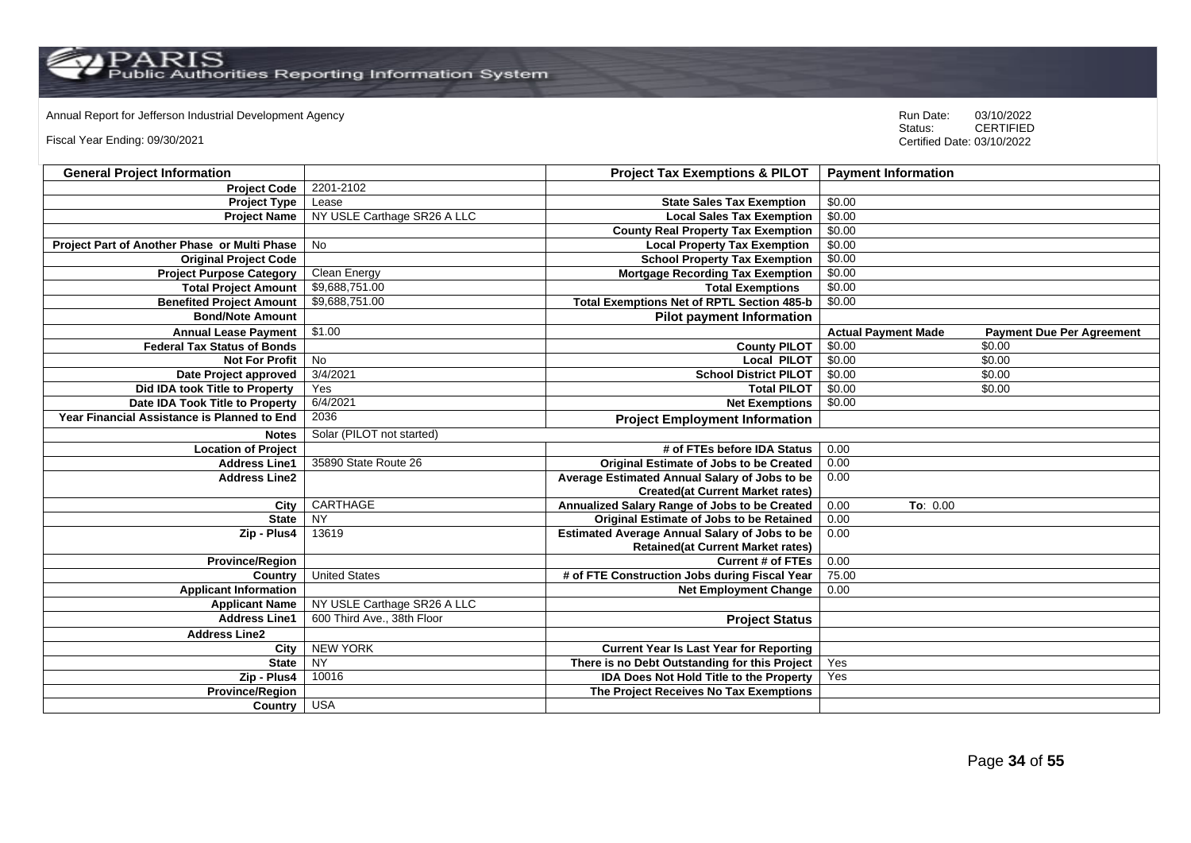Annual Report for Jefferson Industrial Development Agency<br>
Status: CERTIFIED

Fiscal Year Ending: 09/30/2021

| <b>General Project Information</b>           |                             | <b>Project Tax Exemptions &amp; PILOT</b>            | <b>Payment Information</b> |                                  |
|----------------------------------------------|-----------------------------|------------------------------------------------------|----------------------------|----------------------------------|
| <b>Project Code</b>                          | 2201-2102                   |                                                      |                            |                                  |
| <b>Project Type</b>                          | Lease                       | <b>State Sales Tax Exemption</b>                     | \$0.00                     |                                  |
| <b>Project Name</b>                          | NY USLE Carthage SR26 A LLC | <b>Local Sales Tax Exemption</b>                     | \$0.00                     |                                  |
|                                              |                             | <b>County Real Property Tax Exemption</b>            | \$0.00                     |                                  |
| Project Part of Another Phase or Multi Phase | <b>No</b>                   | <b>Local Property Tax Exemption</b>                  | \$0.00                     |                                  |
| <b>Original Project Code</b>                 |                             | <b>School Property Tax Exemption</b>                 | \$0.00                     |                                  |
| <b>Project Purpose Category</b>              | Clean Energy                | <b>Mortgage Recording Tax Exemption</b>              | \$0.00                     |                                  |
| <b>Total Project Amount</b>                  | \$9,688,751.00              | <b>Total Exemptions</b>                              | \$0.00                     |                                  |
| <b>Benefited Project Amount</b>              | \$9,688,751.00              | <b>Total Exemptions Net of RPTL Section 485-b</b>    | \$0.00                     |                                  |
| <b>Bond/Note Amount</b>                      |                             | <b>Pilot payment Information</b>                     |                            |                                  |
| <b>Annual Lease Payment</b>                  | \$1.00                      |                                                      | <b>Actual Payment Made</b> | <b>Payment Due Per Agreement</b> |
| <b>Federal Tax Status of Bonds</b>           |                             | <b>County PILOT</b>                                  | \$0.00                     | \$0.00                           |
| <b>Not For Profit</b>                        | No                          | <b>Local PILOT</b>                                   | \$0.00                     | \$0.00                           |
| Date Project approved                        | 3/4/2021                    | <b>School District PILOT</b>                         | \$0.00                     | \$0.00                           |
| Did IDA took Title to Property               | Yes                         | <b>Total PILOT</b>                                   | \$0.00                     | \$0.00                           |
| Date IDA Took Title to Property              | 6/4/2021                    | <b>Net Exemptions</b>                                | \$0.00                     |                                  |
| Year Financial Assistance is Planned to End  | 2036                        | <b>Project Employment Information</b>                |                            |                                  |
| <b>Notes</b>                                 | Solar (PILOT not started)   |                                                      |                            |                                  |
| <b>Location of Project</b>                   |                             | # of FTEs before IDA Status                          | 0.00                       |                                  |
| <b>Address Line1</b>                         | 35890 State Route 26        | <b>Original Estimate of Jobs to be Created</b>       | 0.00                       |                                  |
| <b>Address Line2</b>                         |                             | Average Estimated Annual Salary of Jobs to be        | 0.00                       |                                  |
|                                              |                             | <b>Created(at Current Market rates)</b>              |                            |                                  |
| City                                         | CARTHAGE                    | Annualized Salary Range of Jobs to be Created        | 0.00<br>To: 0.00           |                                  |
| <b>State</b>                                 | <b>NY</b>                   | Original Estimate of Jobs to be Retained             | 0.00                       |                                  |
| Zip - Plus4                                  | 13619                       | <b>Estimated Average Annual Salary of Jobs to be</b> | 0.00                       |                                  |
|                                              |                             | <b>Retained(at Current Market rates)</b>             |                            |                                  |
| <b>Province/Region</b>                       |                             | <b>Current # of FTEs</b>                             | 0.00                       |                                  |
| Country                                      | <b>United States</b>        | # of FTE Construction Jobs during Fiscal Year        | 75.00                      |                                  |
| <b>Applicant Information</b>                 |                             | <b>Net Employment Change</b>                         | 0.00                       |                                  |
| <b>Applicant Name</b>                        | NY USLE Carthage SR26 A LLC |                                                      |                            |                                  |
| <b>Address Line1</b>                         | 600 Third Ave., 38th Floor  | <b>Project Status</b>                                |                            |                                  |
| <b>Address Line2</b>                         |                             |                                                      |                            |                                  |
| City                                         | <b>NEW YORK</b>             | <b>Current Year Is Last Year for Reporting</b>       |                            |                                  |
| <b>State</b>                                 | $\overline{NY}$             | There is no Debt Outstanding for this Project        | Yes                        |                                  |
| Zip - Plus4                                  | 10016                       | <b>IDA Does Not Hold Title to the Property</b>       | Yes                        |                                  |
| <b>Province/Region</b>                       |                             | The Project Receives No Tax Exemptions               |                            |                                  |
| Country                                      | <b>USA</b>                  |                                                      |                            |                                  |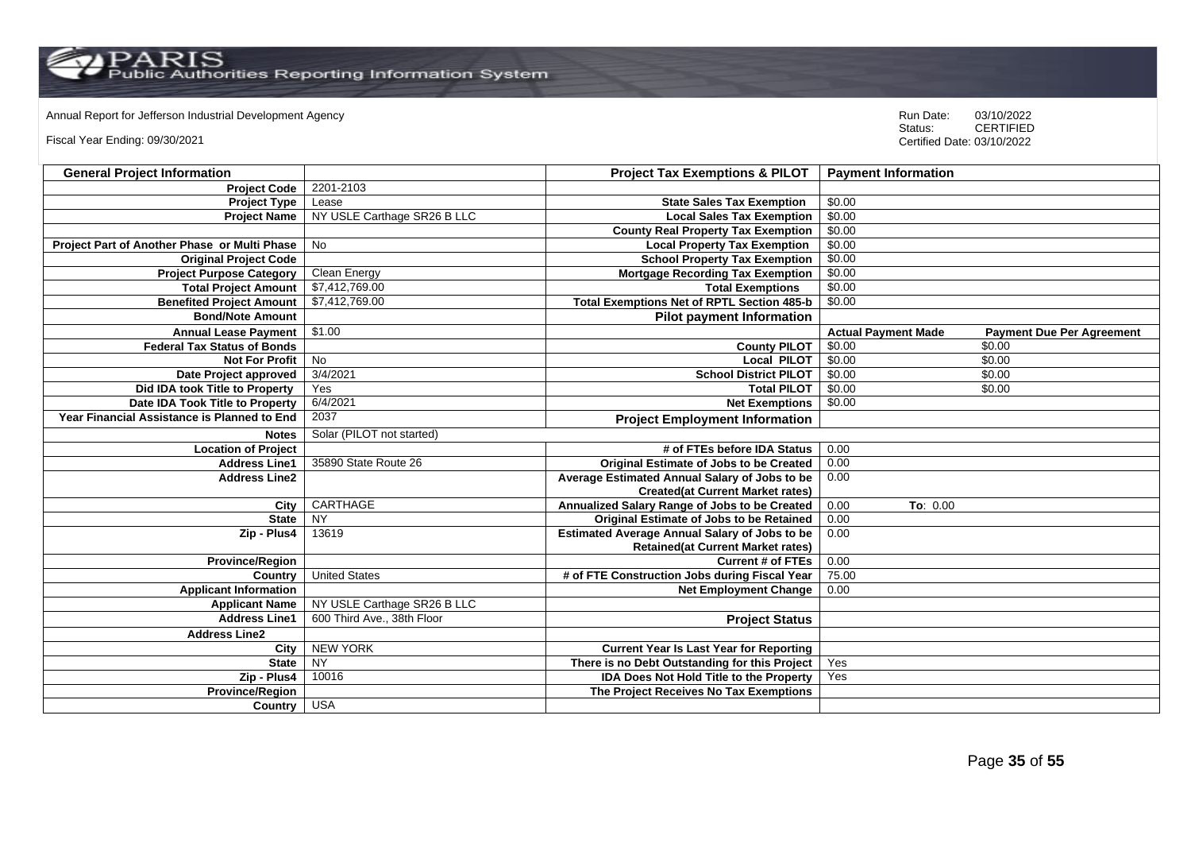# Annual Report for Jefferson Industrial Development Agency<br>
Status: CERTIFIED

Fiscal Year Ending: 09/30/2021

| <b>General Project Information</b>           |                             | <b>Project Tax Exemptions &amp; PILOT</b>            | <b>Payment Information</b> |                                  |
|----------------------------------------------|-----------------------------|------------------------------------------------------|----------------------------|----------------------------------|
| <b>Project Code</b>                          | 2201-2103                   |                                                      |                            |                                  |
| <b>Project Type</b>                          | Lease                       | <b>State Sales Tax Exemption</b>                     | \$0.00                     |                                  |
| <b>Project Name</b>                          | NY USLE Carthage SR26 B LLC | <b>Local Sales Tax Exemption</b>                     | \$0.00                     |                                  |
|                                              |                             | <b>County Real Property Tax Exemption</b>            | \$0.00                     |                                  |
| Project Part of Another Phase or Multi Phase | <b>No</b>                   | <b>Local Property Tax Exemption</b>                  | \$0.00                     |                                  |
| <b>Original Project Code</b>                 |                             | <b>School Property Tax Exemption</b>                 | \$0.00                     |                                  |
| <b>Project Purpose Category</b>              | <b>Clean Energy</b>         | <b>Mortgage Recording Tax Exemption</b>              | \$0.00                     |                                  |
| <b>Total Project Amount</b>                  | \$7,412,769.00              | <b>Total Exemptions</b>                              | \$0.00                     |                                  |
| <b>Benefited Project Amount</b>              | \$7,412,769.00              | <b>Total Exemptions Net of RPTL Section 485-b</b>    | \$0.00                     |                                  |
| <b>Bond/Note Amount</b>                      |                             | <b>Pilot payment Information</b>                     |                            |                                  |
| <b>Annual Lease Payment</b>                  | \$1.00                      |                                                      | <b>Actual Payment Made</b> | <b>Payment Due Per Agreement</b> |
| <b>Federal Tax Status of Bonds</b>           |                             | <b>County PILOT</b>                                  | \$0.00                     | \$0.00                           |
| <b>Not For Profit</b>                        | No                          | <b>Local PILOT</b>                                   | \$0.00                     | \$0.00                           |
| Date Project approved                        | 3/4/2021                    | <b>School District PILOT</b>                         | \$0.00                     | \$0.00                           |
| Did IDA took Title to Property               | Yes                         | <b>Total PILOT</b>                                   | \$0.00                     | \$0.00                           |
| Date IDA Took Title to Property              | 6/4/2021                    | <b>Net Exemptions</b>                                | \$0.00                     |                                  |
| Year Financial Assistance is Planned to End  | 2037                        | <b>Project Employment Information</b>                |                            |                                  |
| <b>Notes</b>                                 | Solar (PILOT not started)   |                                                      |                            |                                  |
| <b>Location of Project</b>                   |                             | # of FTEs before IDA Status                          | 0.00                       |                                  |
| <b>Address Line1</b>                         | 35890 State Route 26        | <b>Original Estimate of Jobs to be Created</b>       | 0.00                       |                                  |
| <b>Address Line2</b>                         |                             | Average Estimated Annual Salary of Jobs to be        | 0.00                       |                                  |
|                                              |                             | <b>Created(at Current Market rates)</b>              |                            |                                  |
| City                                         | CARTHAGE                    | Annualized Salary Range of Jobs to be Created        | 0.00<br>To: 0.00           |                                  |
| <b>State</b>                                 | <b>NY</b>                   | Original Estimate of Jobs to be Retained             | 0.00                       |                                  |
| Zip - Plus4                                  | 13619                       | <b>Estimated Average Annual Salary of Jobs to be</b> | 0.00                       |                                  |
|                                              |                             | <b>Retained(at Current Market rates)</b>             |                            |                                  |
| <b>Province/Region</b>                       |                             | <b>Current # of FTEs</b>                             | 0.00                       |                                  |
| Country                                      | <b>United States</b>        | # of FTE Construction Jobs during Fiscal Year        | 75.00                      |                                  |
| <b>Applicant Information</b>                 |                             | <b>Net Employment Change</b>                         | 0.00                       |                                  |
| <b>Applicant Name</b>                        | NY USLE Carthage SR26 B LLC |                                                      |                            |                                  |
| <b>Address Line1</b>                         | 600 Third Ave., 38th Floor  | <b>Project Status</b>                                |                            |                                  |
| <b>Address Line2</b>                         |                             |                                                      |                            |                                  |
| City                                         | <b>NEW YORK</b>             | <b>Current Year Is Last Year for Reporting</b>       |                            |                                  |
| <b>State</b>                                 | NY                          | There is no Debt Outstanding for this Project        | Yes                        |                                  |
| Zip - Plus4                                  | 10016                       | <b>IDA Does Not Hold Title to the Property</b>       | Yes                        |                                  |
| <b>Province/Region</b>                       |                             | The Project Receives No Tax Exemptions               |                            |                                  |
| Country                                      | <b>USA</b>                  |                                                      |                            |                                  |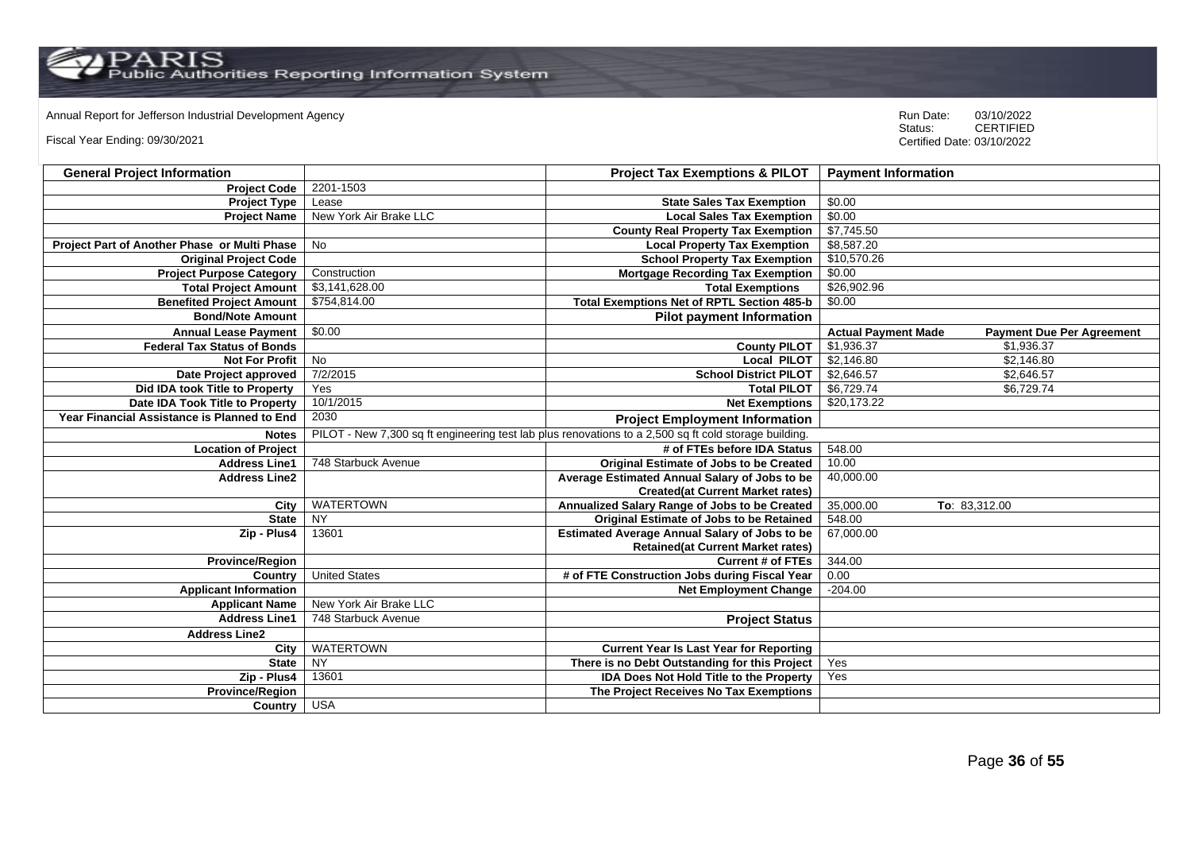Annual Report for Jefferson Industrial Development Agency<br>
Status: CERTIFIED

Fiscal Year Ending: 09/30/2021

| <b>General Project Information</b>           |                        | <b>Project Tax Exemptions &amp; PILOT</b>                                                             | <b>Payment Information</b>                                     |
|----------------------------------------------|------------------------|-------------------------------------------------------------------------------------------------------|----------------------------------------------------------------|
| <b>Project Code</b>                          | 2201-1503              |                                                                                                       |                                                                |
| <b>Project Type</b>                          | Lease                  | <b>State Sales Tax Exemption</b>                                                                      | \$0.00                                                         |
| <b>Project Name</b>                          | New York Air Brake LLC | <b>Local Sales Tax Exemption</b>                                                                      | \$0.00                                                         |
|                                              |                        | <b>County Real Property Tax Exemption</b>                                                             | \$7,745.50                                                     |
| Project Part of Another Phase or Multi Phase | No                     | <b>Local Property Tax Exemption</b>                                                                   | \$8,587.20                                                     |
| <b>Original Project Code</b>                 |                        | <b>School Property Tax Exemption</b>                                                                  | \$10,570.26                                                    |
| <b>Project Purpose Category</b>              | Construction           | <b>Mortgage Recording Tax Exemption</b>                                                               | \$0.00                                                         |
| <b>Total Project Amount</b>                  | \$3,141,628.00         | <b>Total Exemptions</b>                                                                               | \$26,902.96                                                    |
| <b>Benefited Project Amount</b>              | \$754,814.00           | Total Exemptions Net of RPTL Section 485-b                                                            | \$0.00                                                         |
| <b>Bond/Note Amount</b>                      |                        | <b>Pilot payment Information</b>                                                                      |                                                                |
| <b>Annual Lease Payment</b>                  | \$0.00                 |                                                                                                       | <b>Actual Payment Made</b><br><b>Payment Due Per Agreement</b> |
| <b>Federal Tax Status of Bonds</b>           |                        | <b>County PILOT</b>                                                                                   | \$1,936.37<br>\$1,936.37                                       |
| <b>Not For Profit</b>                        | No                     | Local PILOT                                                                                           | \$2,146.80<br>\$2,146.80                                       |
| Date Project approved                        | 7/2/2015               | <b>School District PILOT</b>                                                                          | \$2,646.57<br>\$2,646.57                                       |
| Did IDA took Title to Property               | Yes                    | <b>Total PILOT</b>                                                                                    | \$6,729.74<br>\$6,729.74                                       |
| Date IDA Took Title to Property              | 10/1/2015              | <b>Net Exemptions</b>                                                                                 | \$20,173.22                                                    |
| Year Financial Assistance is Planned to End  | 2030                   | <b>Project Employment Information</b>                                                                 |                                                                |
| <b>Notes</b>                                 |                        | PILOT - New 7,300 sq ft engineering test lab plus renovations to a 2,500 sq ft cold storage building. |                                                                |
| <b>Location of Project</b>                   |                        | # of FTEs before IDA Status                                                                           | 548.00                                                         |
| <b>Address Line1</b>                         | 748 Starbuck Avenue    | Original Estimate of Jobs to be Created                                                               | 10.00                                                          |
| <b>Address Line2</b>                         |                        | Average Estimated Annual Salary of Jobs to be                                                         | 40,000.00                                                      |
|                                              |                        | <b>Created(at Current Market rates)</b>                                                               |                                                                |
| City                                         | <b>WATERTOWN</b>       | Annualized Salary Range of Jobs to be Created                                                         | 35,000.00<br>To: 83,312.00                                     |
| <b>State</b>                                 | <b>NY</b>              | Original Estimate of Jobs to be Retained                                                              | 548.00                                                         |
| Zip - Plus4                                  | 13601                  | <b>Estimated Average Annual Salary of Jobs to be</b>                                                  | 67,000.00                                                      |
|                                              |                        | <b>Retained(at Current Market rates)</b>                                                              |                                                                |
| <b>Province/Region</b>                       |                        | <b>Current # of FTEs</b>                                                                              | 344.00                                                         |
| Country                                      | <b>United States</b>   | # of FTE Construction Jobs during Fiscal Year                                                         | 0.00                                                           |
| <b>Applicant Information</b>                 |                        | <b>Net Employment Change</b>                                                                          | $-204.00$                                                      |
| <b>Applicant Name</b>                        | New York Air Brake LLC |                                                                                                       |                                                                |
| <b>Address Line1</b>                         | 748 Starbuck Avenue    | <b>Project Status</b>                                                                                 |                                                                |
| <b>Address Line2</b>                         |                        |                                                                                                       |                                                                |
| City                                         | <b>WATERTOWN</b>       | <b>Current Year Is Last Year for Reporting</b>                                                        |                                                                |
| <b>State</b>                                 | $\overline{NY}$        | There is no Debt Outstanding for this Project                                                         | Yes                                                            |
| Zip - Plus4                                  | 13601                  | <b>IDA Does Not Hold Title to the Property</b>                                                        | Yes                                                            |
| Province/Region                              |                        | The Project Receives No Tax Exemptions                                                                |                                                                |
| Country                                      | <b>USA</b>             |                                                                                                       |                                                                |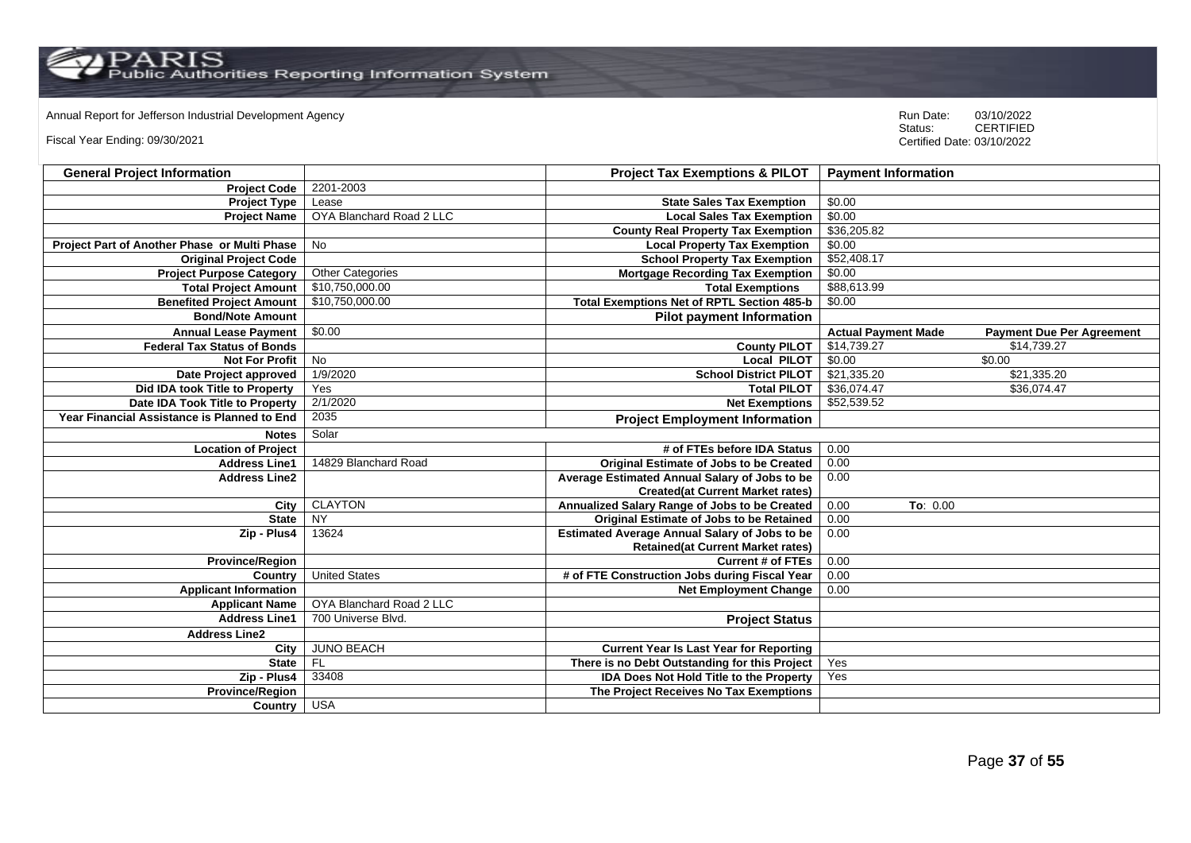$\mathrm{PARS} \ \mathrm{Fuss}$ 

Annual Report for Jefferson Industrial Development Agency<br>
Status: CERTIFIED

Fiscal Year Ending: 09/30/2021

| <b>General Project Information</b>                 |                          | <b>Project Tax Exemptions &amp; PILOT</b>            | <b>Payment Information</b> |                                  |
|----------------------------------------------------|--------------------------|------------------------------------------------------|----------------------------|----------------------------------|
| <b>Project Code</b>                                | 2201-2003                |                                                      |                            |                                  |
| <b>Project Type</b>                                | Lease                    | <b>State Sales Tax Exemption</b>                     | \$0.00                     |                                  |
| <b>Project Name</b>                                | OYA Blanchard Road 2 LLC | <b>Local Sales Tax Exemption</b>                     | \$0.00                     |                                  |
|                                                    |                          | <b>County Real Property Tax Exemption</b>            | \$36,205.82                |                                  |
| Project Part of Another Phase or Multi Phase       | <b>No</b>                | <b>Local Property Tax Exemption</b>                  | \$0.00                     |                                  |
| <b>Original Project Code</b>                       |                          | <b>School Property Tax Exemption</b>                 | \$52,408.17                |                                  |
| <b>Project Purpose Category</b>                    | <b>Other Categories</b>  | <b>Mortgage Recording Tax Exemption</b>              | \$0.00                     |                                  |
| <b>Total Project Amount</b>                        | \$10,750,000.00          | <b>Total Exemptions</b>                              | \$88,613.99                |                                  |
| <b>Benefited Project Amount</b>                    | \$10,750,000.00          | <b>Total Exemptions Net of RPTL Section 485-b</b>    | \$0.00                     |                                  |
| <b>Bond/Note Amount</b>                            |                          | <b>Pilot payment Information</b>                     |                            |                                  |
| <b>Annual Lease Payment</b>                        | \$0.00                   |                                                      | <b>Actual Payment Made</b> | <b>Payment Due Per Agreement</b> |
| <b>Federal Tax Status of Bonds</b>                 |                          | <b>County PILOT</b>                                  | \$14,739.27                | \$14,739.27                      |
| <b>Not For Profit</b>                              | No                       | <b>Local PILOT</b>                                   | \$0.00                     | \$0.00                           |
| Date Project approved                              | 1/9/2020                 | <b>School District PILOT</b>                         | \$21,335.20                | \$21,335.20                      |
| Did IDA took Title to Property                     | Yes                      | <b>Total PILOT</b>                                   | \$36,074.47                | \$36,074.47                      |
| Date IDA Took Title to Property                    | 2/1/2020                 | <b>Net Exemptions</b>                                | \$52,539.52                |                                  |
| <b>Year Financial Assistance is Planned to End</b> | 2035                     | <b>Project Employment Information</b>                |                            |                                  |
| <b>Notes</b>                                       | Solar                    |                                                      |                            |                                  |
| <b>Location of Project</b>                         |                          | # of FTEs before IDA Status                          | 0.00                       |                                  |
| <b>Address Line1</b>                               | 14829 Blanchard Road     | Original Estimate of Jobs to be Created              | 0.00                       |                                  |
| <b>Address Line2</b>                               |                          | Average Estimated Annual Salary of Jobs to be        | 0.00                       |                                  |
|                                                    |                          | <b>Created(at Current Market rates)</b>              |                            |                                  |
| City                                               | <b>CLAYTON</b>           | Annualized Salary Range of Jobs to be Created        | 0.00<br>To: $0.00$         |                                  |
| <b>State</b>                                       | <b>NY</b>                | Original Estimate of Jobs to be Retained             | 0.00                       |                                  |
| Zip - Plus4                                        | 13624                    | <b>Estimated Average Annual Salary of Jobs to be</b> | 0.00                       |                                  |
|                                                    |                          | <b>Retained(at Current Market rates)</b>             |                            |                                  |
| <b>Province/Region</b>                             |                          | <b>Current # of FTEs</b>                             | 0.00                       |                                  |
| Country                                            | <b>United States</b>     | # of FTE Construction Jobs during Fiscal Year        | 0.00                       |                                  |
| <b>Applicant Information</b>                       |                          | <b>Net Employment Change</b>                         | 0.00                       |                                  |
| <b>Applicant Name</b>                              | OYA Blanchard Road 2 LLC |                                                      |                            |                                  |
| <b>Address Line1</b>                               | 700 Universe Blvd.       | <b>Project Status</b>                                |                            |                                  |
| <b>Address Line2</b>                               |                          |                                                      |                            |                                  |
| City                                               | <b>JUNO BEACH</b>        | <b>Current Year Is Last Year for Reporting</b>       |                            |                                  |
| <b>State</b>                                       | <b>FL</b>                | There is no Debt Outstanding for this Project        | Yes                        |                                  |
| Zip - Plus4                                        | 33408                    | <b>IDA Does Not Hold Title to the Property</b>       | Yes                        |                                  |
| Province/Region                                    |                          | The Project Receives No Tax Exemptions               |                            |                                  |
| Country                                            | <b>USA</b>               |                                                      |                            |                                  |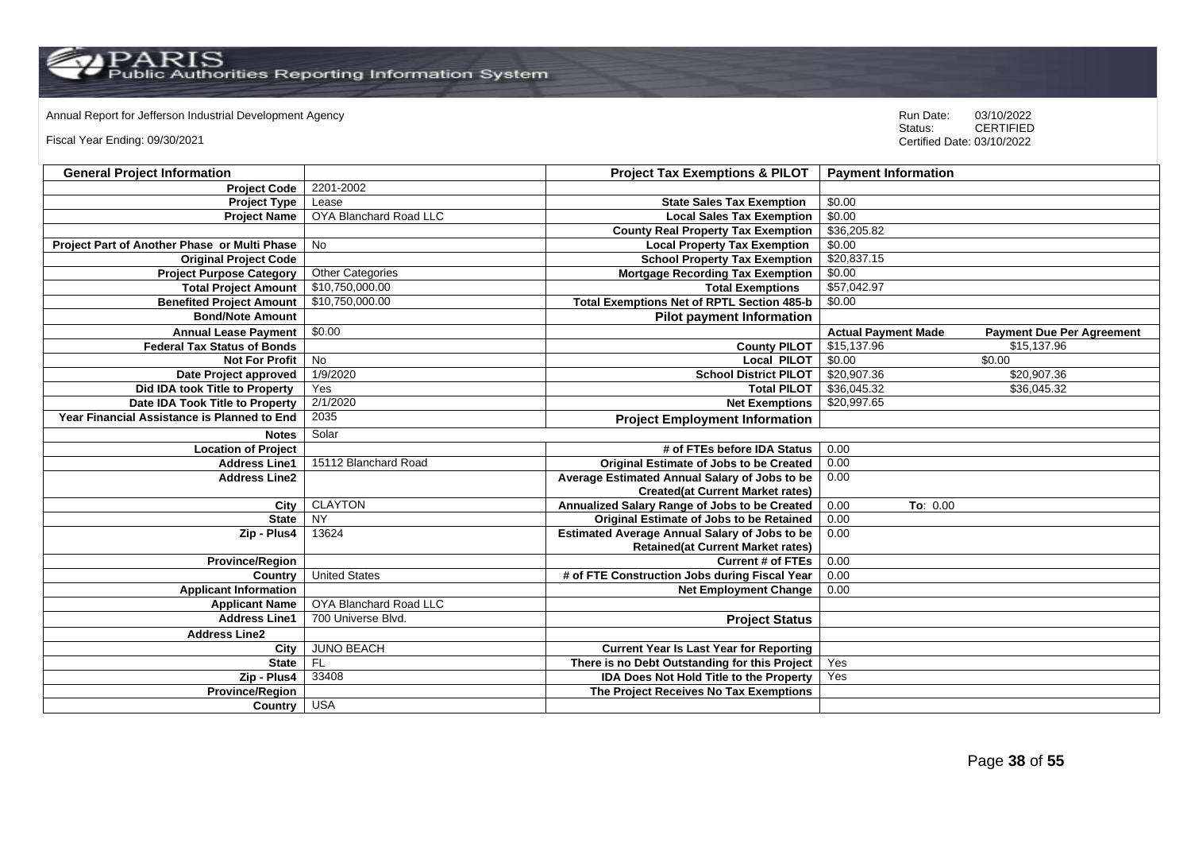Annual Report for Jefferson Industrial Development Agency<br>
Status: CERTIFIED

Fiscal Year Ending: 09/30/2021

| <b>General Project Information</b>                 |                         | <b>Project Tax Exemptions &amp; PILOT</b>            | <b>Payment Information</b> |                                  |
|----------------------------------------------------|-------------------------|------------------------------------------------------|----------------------------|----------------------------------|
| <b>Project Code</b>                                | 2201-2002               |                                                      |                            |                                  |
| <b>Project Type</b>                                | Lease                   | <b>State Sales Tax Exemption</b>                     | \$0.00                     |                                  |
| <b>Project Name</b>                                | OYA Blanchard Road LLC  | <b>Local Sales Tax Exemption</b>                     | \$0.00                     |                                  |
|                                                    |                         | <b>County Real Property Tax Exemption</b>            | \$36,205.82                |                                  |
| Project Part of Another Phase or Multi Phase       | <b>No</b>               | <b>Local Property Tax Exemption</b>                  | \$0.00                     |                                  |
| <b>Original Project Code</b>                       |                         | <b>School Property Tax Exemption</b>                 | \$20,837.15                |                                  |
| <b>Project Purpose Category</b>                    | <b>Other Categories</b> | <b>Mortgage Recording Tax Exemption</b>              | \$0.00                     |                                  |
| <b>Total Project Amount</b>                        | \$10,750,000.00         | <b>Total Exemptions</b>                              | \$57,042.97                |                                  |
| <b>Benefited Project Amount</b>                    | \$10,750,000.00         | <b>Total Exemptions Net of RPTL Section 485-b</b>    | \$0.00                     |                                  |
| <b>Bond/Note Amount</b>                            |                         | <b>Pilot payment Information</b>                     |                            |                                  |
| <b>Annual Lease Payment</b>                        | \$0.00                  |                                                      | <b>Actual Payment Made</b> | <b>Payment Due Per Agreement</b> |
| <b>Federal Tax Status of Bonds</b>                 |                         | <b>County PILOT</b>                                  | \$15,137.96                | \$15,137.96                      |
| <b>Not For Profit</b>                              | No                      | <b>Local PILOT</b>                                   | \$0.00                     | \$0.00                           |
| Date Project approved                              | 1/9/2020                | <b>School District PILOT</b>                         | \$20,907.36                | \$20,907.36                      |
| Did IDA took Title to Property                     | Yes                     | <b>Total PILOT</b>                                   | \$36,045.32                | \$36,045.32                      |
| Date IDA Took Title to Property                    | 2/1/2020                | <b>Net Exemptions</b>                                | \$20,997.65                |                                  |
| <b>Year Financial Assistance is Planned to End</b> | 2035                    | <b>Project Employment Information</b>                |                            |                                  |
| <b>Notes</b>                                       | Solar                   |                                                      |                            |                                  |
| <b>Location of Project</b>                         |                         | # of FTEs before IDA Status                          | 0.00                       |                                  |
| <b>Address Line1</b>                               | 15112 Blanchard Road    | Original Estimate of Jobs to be Created              | 0.00                       |                                  |
| <b>Address Line2</b>                               |                         | Average Estimated Annual Salary of Jobs to be        | 0.00                       |                                  |
|                                                    |                         | <b>Created(at Current Market rates)</b>              |                            |                                  |
| City                                               | <b>CLAYTON</b>          | Annualized Salary Range of Jobs to be Created        | 0.00<br>To: $0.00$         |                                  |
| <b>State</b>                                       | <b>NY</b>               | Original Estimate of Jobs to be Retained             | 0.00                       |                                  |
| Zip - Plus4                                        | 13624                   | <b>Estimated Average Annual Salary of Jobs to be</b> | 0.00                       |                                  |
|                                                    |                         | <b>Retained(at Current Market rates)</b>             |                            |                                  |
| <b>Province/Region</b>                             |                         | <b>Current # of FTEs</b>                             | 0.00                       |                                  |
| Country                                            | <b>United States</b>    | # of FTE Construction Jobs during Fiscal Year        | 0.00                       |                                  |
| <b>Applicant Information</b>                       |                         | <b>Net Employment Change</b>                         | 0.00                       |                                  |
| <b>Applicant Name</b>                              | OYA Blanchard Road LLC  |                                                      |                            |                                  |
| <b>Address Line1</b>                               | 700 Universe Blvd.      | <b>Project Status</b>                                |                            |                                  |
| <b>Address Line2</b>                               |                         |                                                      |                            |                                  |
| City                                               | <b>JUNO BEACH</b>       | <b>Current Year Is Last Year for Reporting</b>       |                            |                                  |
| <b>State</b>                                       | <b>FL</b>               | There is no Debt Outstanding for this Project        | Yes                        |                                  |
| Zip - Plus4                                        | 33408                   | <b>IDA Does Not Hold Title to the Property</b>       | Yes                        |                                  |
| Province/Region                                    |                         | The Project Receives No Tax Exemptions               |                            |                                  |
| Country                                            | <b>USA</b>              |                                                      |                            |                                  |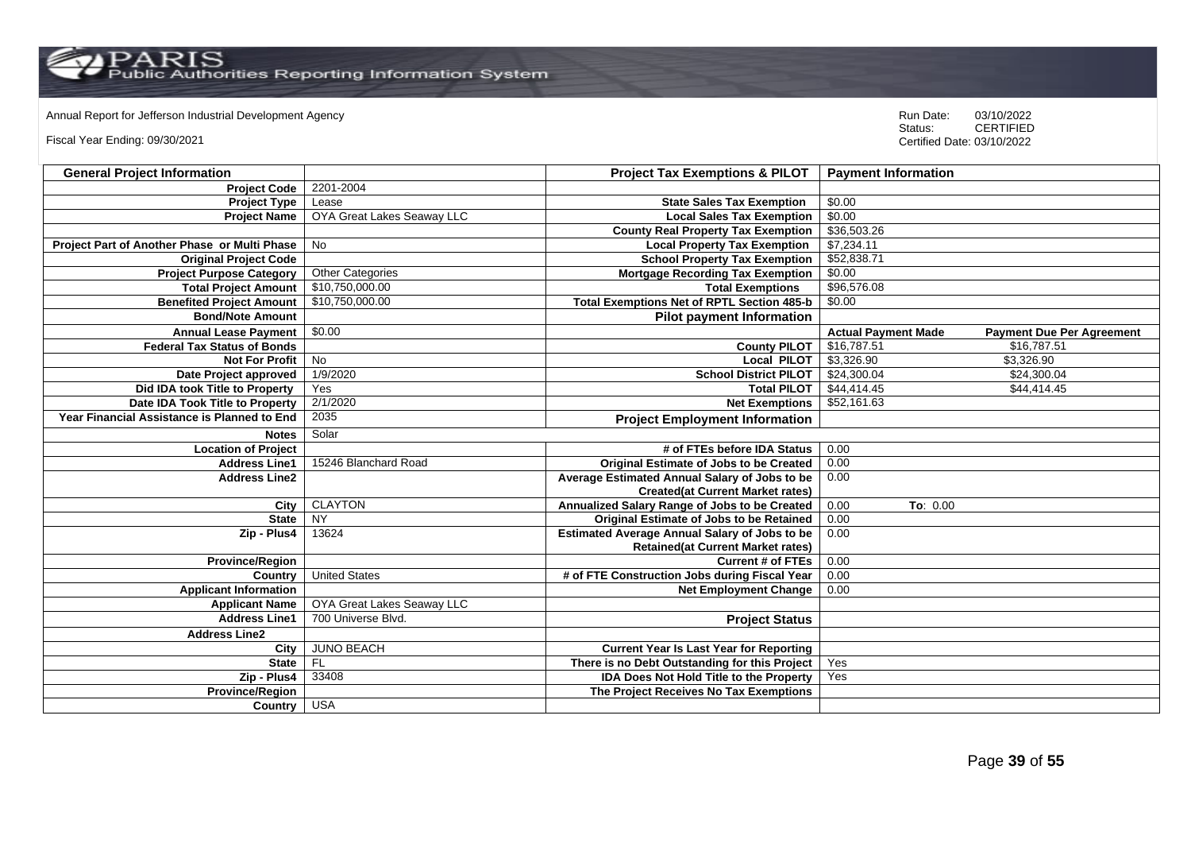Annual Report for Jefferson Industrial Development Agency<br>
Status: CERTIFIED

Fiscal Year Ending: 09/30/2021

| <b>General Project Information</b>           |                            | <b>Project Tax Exemptions &amp; PILOT</b>            | <b>Payment Information</b> |                                  |
|----------------------------------------------|----------------------------|------------------------------------------------------|----------------------------|----------------------------------|
| <b>Project Code</b>                          | 2201-2004                  |                                                      |                            |                                  |
| <b>Project Type</b>                          | Lease                      | <b>State Sales Tax Exemption</b>                     | \$0.00                     |                                  |
| <b>Project Name</b>                          | OYA Great Lakes Seaway LLC | <b>Local Sales Tax Exemption</b>                     | \$0.00                     |                                  |
|                                              |                            | <b>County Real Property Tax Exemption</b>            | \$36,503.26                |                                  |
| Project Part of Another Phase or Multi Phase | No                         | <b>Local Property Tax Exemption</b>                  | \$7,234.11                 |                                  |
| <b>Original Project Code</b>                 |                            | <b>School Property Tax Exemption</b>                 | \$52,838.71                |                                  |
| <b>Project Purpose Category</b>              | <b>Other Categories</b>    | <b>Mortgage Recording Tax Exemption</b>              | \$0.00                     |                                  |
| <b>Total Project Amount</b>                  | \$10,750,000.00            | <b>Total Exemptions</b>                              | \$96,576.08                |                                  |
| <b>Benefited Project Amount</b>              | \$10,750,000.00            | <b>Total Exemptions Net of RPTL Section 485-b</b>    | \$0.00                     |                                  |
| <b>Bond/Note Amount</b>                      |                            | <b>Pilot payment Information</b>                     |                            |                                  |
| <b>Annual Lease Payment</b>                  | \$0.00                     |                                                      | <b>Actual Payment Made</b> | <b>Payment Due Per Agreement</b> |
| <b>Federal Tax Status of Bonds</b>           |                            | <b>County PILOT</b>                                  | \$16,787.51                | \$16,787.51                      |
| <b>Not For Profit</b>                        | No                         | <b>Local PILOT</b>                                   | \$3,326.90                 | \$3,326.90                       |
| Date Project approved                        | 1/9/2020                   | <b>School District PILOT</b>                         | \$24,300.04                | \$24,300.04                      |
| Did IDA took Title to Property               | Yes                        | <b>Total PILOT</b>                                   | \$44,414.45                | \$44,414.45                      |
| Date IDA Took Title to Property              | 2/1/2020                   | <b>Net Exemptions</b>                                | \$52,161.63                |                                  |
| Year Financial Assistance is Planned to End  | 2035                       | <b>Project Employment Information</b>                |                            |                                  |
| <b>Notes</b>                                 | Solar                      |                                                      |                            |                                  |
| <b>Location of Project</b>                   |                            | # of FTEs before IDA Status                          | 0.00                       |                                  |
| <b>Address Line1</b>                         | 15246 Blanchard Road       | Original Estimate of Jobs to be Created              | 0.00                       |                                  |
| <b>Address Line2</b>                         |                            | Average Estimated Annual Salary of Jobs to be        | 0.00                       |                                  |
|                                              |                            | <b>Created(at Current Market rates)</b>              |                            |                                  |
| City                                         | <b>CLAYTON</b>             | Annualized Salary Range of Jobs to be Created        | 0.00<br>To: 0.00           |                                  |
| <b>State</b>                                 | <b>NY</b>                  | <b>Original Estimate of Jobs to be Retained</b>      | 0.00                       |                                  |
| Zip - Plus4                                  | 13624                      | <b>Estimated Average Annual Salary of Jobs to be</b> | 0.00                       |                                  |
|                                              |                            | <b>Retained(at Current Market rates)</b>             |                            |                                  |
| <b>Province/Region</b>                       |                            | <b>Current # of FTEs</b>                             | 0.00                       |                                  |
| Country                                      | <b>United States</b>       | # of FTE Construction Jobs during Fiscal Year        | 0.00                       |                                  |
| <b>Applicant Information</b>                 |                            | <b>Net Employment Change</b>                         | 0.00                       |                                  |
| <b>Applicant Name</b>                        | OYA Great Lakes Seaway LLC |                                                      |                            |                                  |
| <b>Address Line1</b>                         | 700 Universe Blvd.         | <b>Project Status</b>                                |                            |                                  |
| <b>Address Line2</b>                         |                            |                                                      |                            |                                  |
| City                                         | <b>JUNO BEACH</b>          | <b>Current Year Is Last Year for Reporting</b>       |                            |                                  |
| <b>State</b>                                 | <b>FL</b>                  | There is no Debt Outstanding for this Project        | Yes                        |                                  |
| Zip - Plus4                                  | 33408                      | IDA Does Not Hold Title to the Property              | Yes                        |                                  |
| <b>Province/Region</b>                       |                            | The Project Receives No Tax Exemptions               |                            |                                  |
| Country                                      | <b>USA</b>                 |                                                      |                            |                                  |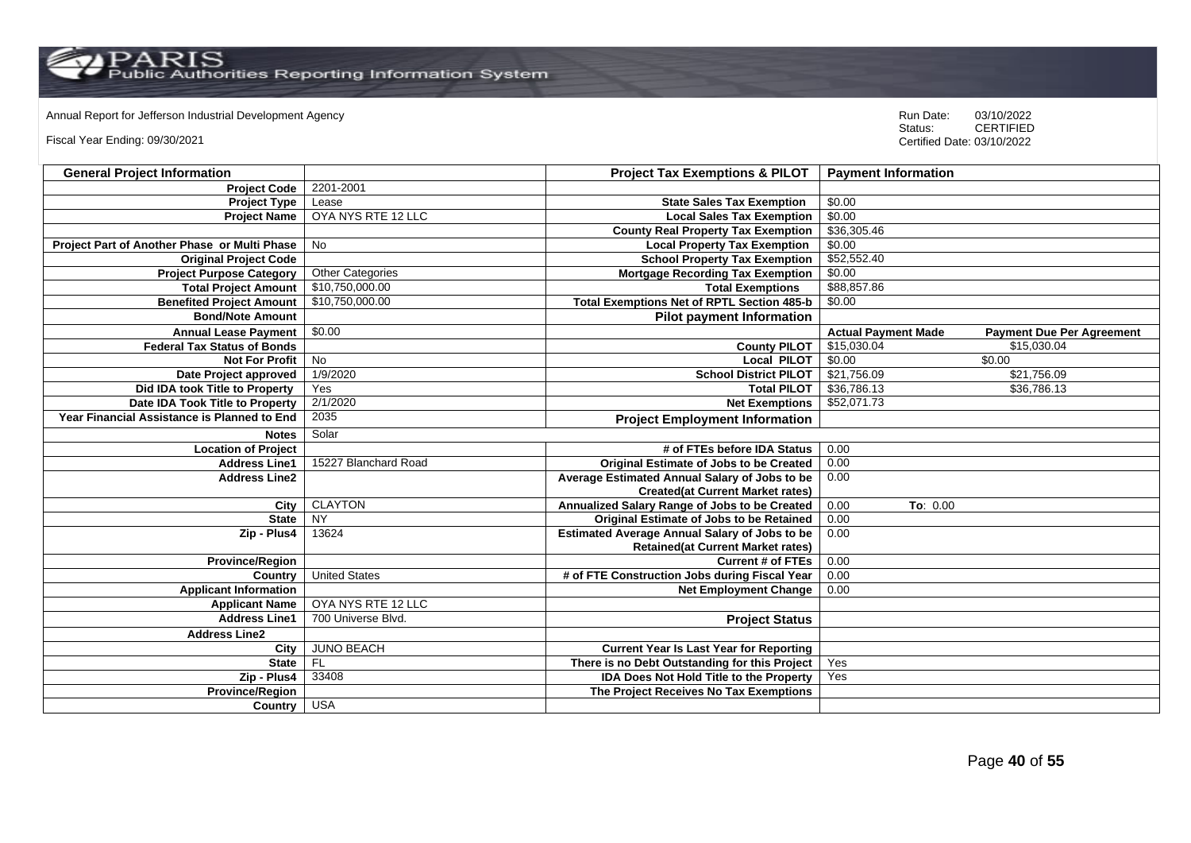Annual Report for Jefferson Industrial Development Agency<br>
Status: CERTIFIED

Fiscal Year Ending: 09/30/2021

| <b>General Project Information</b>           |                         | <b>Project Tax Exemptions &amp; PILOT</b>            | <b>Payment Information</b> |                                  |
|----------------------------------------------|-------------------------|------------------------------------------------------|----------------------------|----------------------------------|
| <b>Project Code</b>                          | 2201-2001               |                                                      |                            |                                  |
| <b>Project Type</b>                          | Lease                   | <b>State Sales Tax Exemption</b>                     | \$0.00                     |                                  |
| <b>Project Name</b>                          | OYA NYS RTE 12 LLC      | <b>Local Sales Tax Exemption</b>                     | \$0.00                     |                                  |
|                                              |                         | <b>County Real Property Tax Exemption</b>            | \$36,305.46                |                                  |
| Project Part of Another Phase or Multi Phase | No                      | <b>Local Property Tax Exemption</b>                  | \$0.00                     |                                  |
| <b>Original Project Code</b>                 |                         | <b>School Property Tax Exemption</b>                 | \$52,552.40                |                                  |
| <b>Project Purpose Category</b>              | <b>Other Categories</b> | <b>Mortgage Recording Tax Exemption</b>              | \$0.00                     |                                  |
| <b>Total Project Amount</b>                  | \$10,750,000.00         | <b>Total Exemptions</b>                              | \$88,857.86                |                                  |
| <b>Benefited Project Amount</b>              | \$10,750,000.00         | <b>Total Exemptions Net of RPTL Section 485-b</b>    | \$0.00                     |                                  |
| <b>Bond/Note Amount</b>                      |                         | <b>Pilot payment Information</b>                     |                            |                                  |
| <b>Annual Lease Payment</b>                  | \$0.00                  |                                                      | <b>Actual Payment Made</b> | <b>Payment Due Per Agreement</b> |
| <b>Federal Tax Status of Bonds</b>           |                         | <b>County PILOT</b>                                  | \$15,030.04                | \$15,030.04                      |
| <b>Not For Profit</b>                        | $\overline{N}$          | <b>Local PILOT</b>                                   | \$0.00                     | \$0.00                           |
| Date Project approved                        | 1/9/2020                | <b>School District PILOT</b>                         | \$21,756.09                | \$21,756.09                      |
| Did IDA took Title to Property               | Yes                     | <b>Total PILOT</b>                                   | \$36,786.13                | \$36,786.13                      |
| Date IDA Took Title to Property              | 2/1/2020                | <b>Net Exemptions</b>                                | \$52,071.73                |                                  |
| Year Financial Assistance is Planned to End  | 2035                    | <b>Project Employment Information</b>                |                            |                                  |
| <b>Notes</b>                                 | Solar                   |                                                      |                            |                                  |
| <b>Location of Project</b>                   |                         | # of FTEs before IDA Status                          | 0.00                       |                                  |
| <b>Address Line1</b>                         | 15227 Blanchard Road    | <b>Original Estimate of Jobs to be Created</b>       | 0.00                       |                                  |
| <b>Address Line2</b>                         |                         | Average Estimated Annual Salary of Jobs to be        | 0.00                       |                                  |
|                                              |                         | <b>Created(at Current Market rates)</b>              |                            |                                  |
| City                                         | <b>CLAYTON</b>          | Annualized Salary Range of Jobs to be Created        | 0.00<br>To: 0.00           |                                  |
| <b>State</b>                                 | NY                      | <b>Original Estimate of Jobs to be Retained</b>      | 0.00                       |                                  |
| Zip - Plus4                                  | 13624                   | <b>Estimated Average Annual Salary of Jobs to be</b> | 0.00                       |                                  |
|                                              |                         | <b>Retained(at Current Market rates)</b>             |                            |                                  |
| <b>Province/Region</b>                       |                         | <b>Current # of FTEs</b>                             | 0.00                       |                                  |
| Country                                      | <b>United States</b>    | # of FTE Construction Jobs during Fiscal Year        | 0.00                       |                                  |
| <b>Applicant Information</b>                 |                         | <b>Net Employment Change</b>                         | 0.00                       |                                  |
| <b>Applicant Name</b>                        | OYA NYS RTE 12 LLC      |                                                      |                            |                                  |
| <b>Address Line1</b>                         | 700 Universe Blvd.      | <b>Project Status</b>                                |                            |                                  |
| <b>Address Line2</b>                         |                         |                                                      |                            |                                  |
| City                                         | <b>JUNO BEACH</b>       | <b>Current Year Is Last Year for Reporting</b>       |                            |                                  |
| <b>State</b>                                 | <b>FL</b>               | There is no Debt Outstanding for this Project        | Yes                        |                                  |
| Zip - Plus4                                  | 33408                   | <b>IDA Does Not Hold Title to the Property</b>       | Yes                        |                                  |
| <b>Province/Region</b>                       |                         | The Project Receives No Tax Exemptions               |                            |                                  |
| Country USA                                  |                         |                                                      |                            |                                  |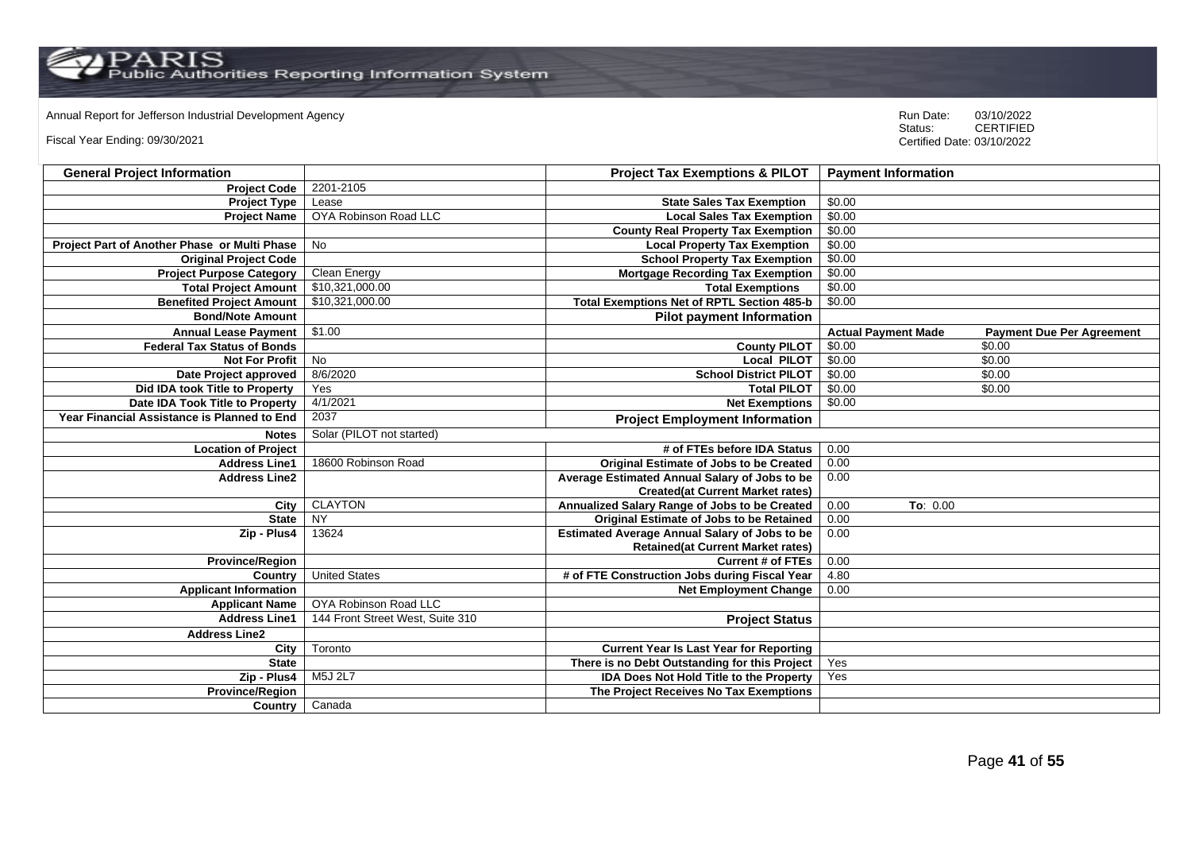Annual Report for Jefferson Industrial Development Agency<br>
Status: CERTIFIED

Fiscal Year Ending: 09/30/2021

| <b>General Project Information</b>           |                                  | <b>Project Tax Exemptions &amp; PILOT</b>            | <b>Payment Information</b> |                                  |
|----------------------------------------------|----------------------------------|------------------------------------------------------|----------------------------|----------------------------------|
| <b>Project Code</b>                          | 2201-2105                        |                                                      |                            |                                  |
| <b>Project Type</b>                          | Lease                            | <b>State Sales Tax Exemption</b>                     | \$0.00                     |                                  |
| <b>Project Name</b>                          | OYA Robinson Road LLC            | <b>Local Sales Tax Exemption</b>                     | \$0.00                     |                                  |
|                                              |                                  | <b>County Real Property Tax Exemption</b>            | \$0.00                     |                                  |
| Project Part of Another Phase or Multi Phase | No                               | <b>Local Property Tax Exemption</b>                  | \$0.00                     |                                  |
| <b>Original Project Code</b>                 |                                  | <b>School Property Tax Exemption</b>                 | \$0.00                     |                                  |
| <b>Project Purpose Category</b>              | Clean Energy                     | <b>Mortgage Recording Tax Exemption</b>              | \$0.00                     |                                  |
| <b>Total Project Amount</b>                  | \$10,321,000.00                  | <b>Total Exemptions</b>                              | \$0.00                     |                                  |
| <b>Benefited Project Amount</b>              | \$10,321,000.00                  | <b>Total Exemptions Net of RPTL Section 485-b</b>    | \$0.00                     |                                  |
| <b>Bond/Note Amount</b>                      |                                  | <b>Pilot payment Information</b>                     |                            |                                  |
| <b>Annual Lease Payment</b>                  | \$1.00                           |                                                      | <b>Actual Payment Made</b> | <b>Payment Due Per Agreement</b> |
| <b>Federal Tax Status of Bonds</b>           |                                  | <b>County PILOT</b>                                  | \$0.00                     | \$0.00                           |
| <b>Not For Profit</b>                        | No                               | <b>Local PILOT</b>                                   | \$0.00                     | \$0.00                           |
| Date Project approved                        | 8/6/2020                         | <b>School District PILOT</b>                         | \$0.00                     | \$0.00                           |
| Did IDA took Title to Property               | Yes                              | <b>Total PILOT</b>                                   | \$0.00                     | \$0.00                           |
| Date IDA Took Title to Property              | 4/1/2021                         | <b>Net Exemptions</b>                                | \$0.00                     |                                  |
| Year Financial Assistance is Planned to End  | 2037                             | <b>Project Employment Information</b>                |                            |                                  |
| <b>Notes</b>                                 | Solar (PILOT not started)        |                                                      |                            |                                  |
| <b>Location of Project</b>                   |                                  | # of FTEs before IDA Status                          | 0.00                       |                                  |
| <b>Address Line1</b>                         | 18600 Robinson Road              | <b>Original Estimate of Jobs to be Created</b>       | 0.00                       |                                  |
| <b>Address Line2</b>                         |                                  | Average Estimated Annual Salary of Jobs to be        | 0.00                       |                                  |
|                                              |                                  | <b>Created(at Current Market rates)</b>              |                            |                                  |
| City                                         | <b>CLAYTON</b>                   | Annualized Salary Range of Jobs to be Created        | 0.00<br>To: 0.00           |                                  |
| <b>State</b>                                 | <b>NY</b>                        | Original Estimate of Jobs to be Retained             | 0.00                       |                                  |
| Zip - Plus4                                  | 13624                            | <b>Estimated Average Annual Salary of Jobs to be</b> | 0.00                       |                                  |
|                                              |                                  | <b>Retained (at Current Market rates)</b>            |                            |                                  |
| <b>Province/Region</b>                       |                                  | <b>Current # of FTEs</b>                             | 0.00                       |                                  |
| Country                                      | <b>United States</b>             | # of FTE Construction Jobs during Fiscal Year        | 4.80                       |                                  |
| <b>Applicant Information</b>                 |                                  | <b>Net Employment Change</b>                         | 0.00                       |                                  |
| <b>Applicant Name</b>                        | OYA Robinson Road LLC            |                                                      |                            |                                  |
| <b>Address Line1</b>                         | 144 Front Street West, Suite 310 | <b>Project Status</b>                                |                            |                                  |
| <b>Address Line2</b>                         |                                  |                                                      |                            |                                  |
| City                                         | Toronto                          | <b>Current Year Is Last Year for Reporting</b>       |                            |                                  |
| <b>State</b>                                 |                                  | There is no Debt Outstanding for this Project        | Yes                        |                                  |
| Zip - Plus4                                  | M5J 2L7                          | <b>IDA Does Not Hold Title to the Property</b>       | Yes                        |                                  |
| <b>Province/Region</b>                       |                                  | The Project Receives No Tax Exemptions               |                            |                                  |
| Country                                      | Canada                           |                                                      |                            |                                  |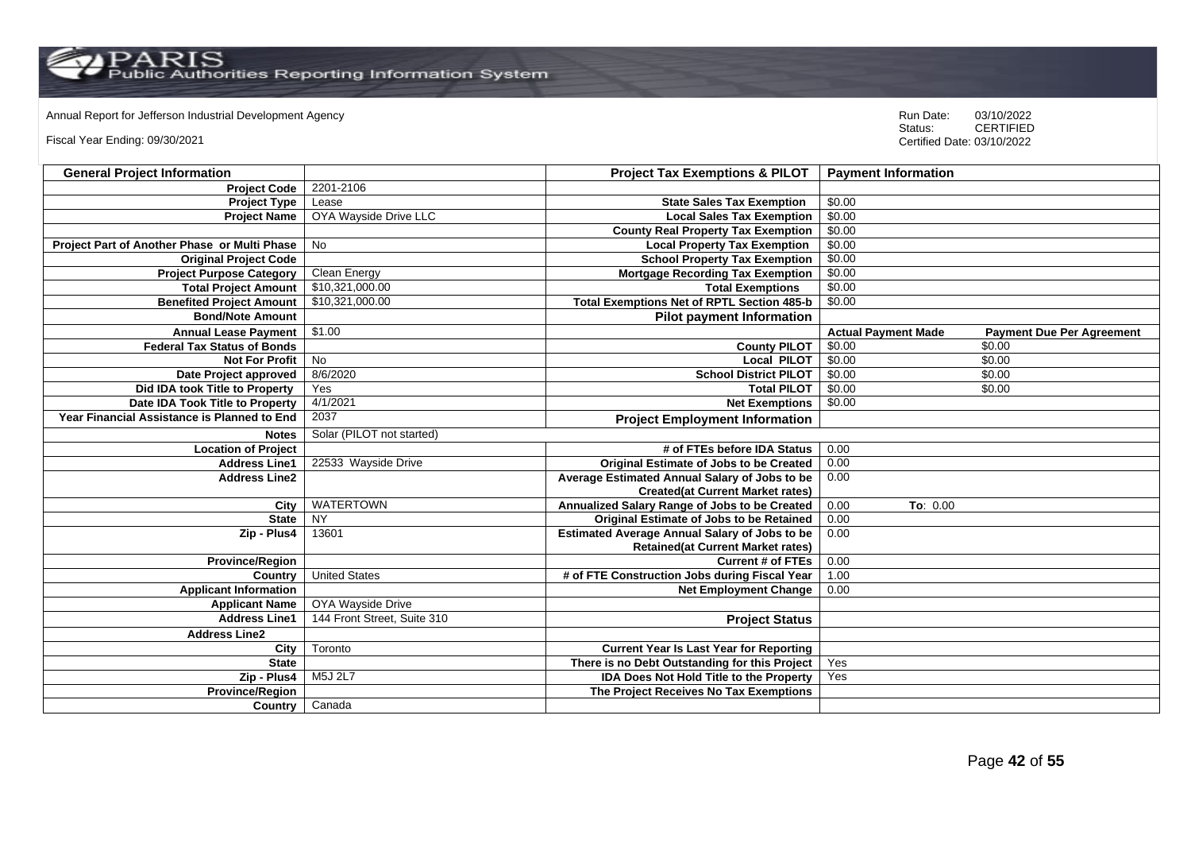Annual Report for Jefferson Industrial Development Agency<br>
Status: CERTIFIED

Fiscal Year Ending: 09/30/2021

| <b>General Project Information</b>           |                             | <b>Project Tax Exemptions &amp; PILOT</b>            | <b>Payment Information</b> |                                  |
|----------------------------------------------|-----------------------------|------------------------------------------------------|----------------------------|----------------------------------|
| <b>Project Code</b>                          | 2201-2106                   |                                                      |                            |                                  |
| <b>Project Type</b>                          | Lease                       | <b>State Sales Tax Exemption</b>                     | \$0.00                     |                                  |
| <b>Project Name</b>                          | OYA Wayside Drive LLC       | <b>Local Sales Tax Exemption</b>                     | \$0.00                     |                                  |
|                                              |                             | <b>County Real Property Tax Exemption</b>            | \$0.00                     |                                  |
| Project Part of Another Phase or Multi Phase | No                          | <b>Local Property Tax Exemption</b>                  | \$0.00                     |                                  |
| <b>Original Project Code</b>                 |                             | <b>School Property Tax Exemption</b>                 | \$0.00                     |                                  |
| <b>Project Purpose Category</b>              | Clean Energy                | <b>Mortgage Recording Tax Exemption</b>              | \$0.00                     |                                  |
| <b>Total Project Amount</b>                  | \$10,321,000.00             | <b>Total Exemptions</b>                              | \$0.00                     |                                  |
| <b>Benefited Project Amount</b>              | \$10,321,000.00             | <b>Total Exemptions Net of RPTL Section 485-b</b>    | \$0.00                     |                                  |
| <b>Bond/Note Amount</b>                      |                             | <b>Pilot payment Information</b>                     |                            |                                  |
| <b>Annual Lease Payment</b>                  | \$1.00                      |                                                      | <b>Actual Payment Made</b> | <b>Payment Due Per Agreement</b> |
| <b>Federal Tax Status of Bonds</b>           |                             | <b>County PILOT</b>                                  | \$0.00                     | \$0.00                           |
| <b>Not For Profit</b>                        | No                          | <b>Local PILOT</b>                                   | \$0.00                     | \$0.00                           |
| Date Project approved                        | 8/6/2020                    | <b>School District PILOT</b>                         | \$0.00                     | \$0.00                           |
| Did IDA took Title to Property               | Yes                         | <b>Total PILOT</b>                                   | \$0.00                     | \$0.00                           |
| Date IDA Took Title to Property              | 4/1/2021                    | <b>Net Exemptions</b>                                | \$0.00                     |                                  |
| Year Financial Assistance is Planned to End  | 2037                        | <b>Project Employment Information</b>                |                            |                                  |
| <b>Notes</b>                                 | Solar (PILOT not started)   |                                                      |                            |                                  |
| <b>Location of Project</b>                   |                             | # of FTEs before IDA Status                          | 0.00                       |                                  |
| <b>Address Line1</b>                         | 22533 Wayside Drive         | <b>Original Estimate of Jobs to be Created</b>       | 0.00                       |                                  |
| <b>Address Line2</b>                         |                             | Average Estimated Annual Salary of Jobs to be        | 0.00                       |                                  |
|                                              |                             | <b>Created(at Current Market rates)</b>              |                            |                                  |
| City                                         | <b>WATERTOWN</b>            | Annualized Salary Range of Jobs to be Created        | 0.00<br>To: 0.00           |                                  |
| <b>State</b>                                 | <b>NY</b>                   | Original Estimate of Jobs to be Retained             | 0.00                       |                                  |
| Zip - Plus4                                  | 13601                       | <b>Estimated Average Annual Salary of Jobs to be</b> | 0.00                       |                                  |
|                                              |                             | <b>Retained (at Current Market rates)</b>            |                            |                                  |
| <b>Province/Region</b>                       |                             | <b>Current # of FTEs</b>                             | 0.00                       |                                  |
| Country                                      | <b>United States</b>        | # of FTE Construction Jobs during Fiscal Year        | 1.00                       |                                  |
| <b>Applicant Information</b>                 |                             | <b>Net Employment Change</b>                         | 0.00                       |                                  |
| <b>Applicant Name</b>                        | OYA Wayside Drive           |                                                      |                            |                                  |
| <b>Address Line1</b>                         | 144 Front Street, Suite 310 | <b>Project Status</b>                                |                            |                                  |
| <b>Address Line2</b>                         |                             |                                                      |                            |                                  |
| City                                         | Toronto                     | <b>Current Year Is Last Year for Reporting</b>       |                            |                                  |
| <b>State</b>                                 |                             | There is no Debt Outstanding for this Project        | Yes                        |                                  |
| Zip - Plus4                                  | M5J 2L7                     | <b>IDA Does Not Hold Title to the Property</b>       | Yes                        |                                  |
| <b>Province/Region</b>                       |                             | The Project Receives No Tax Exemptions               |                            |                                  |
| Country                                      | Canada                      |                                                      |                            |                                  |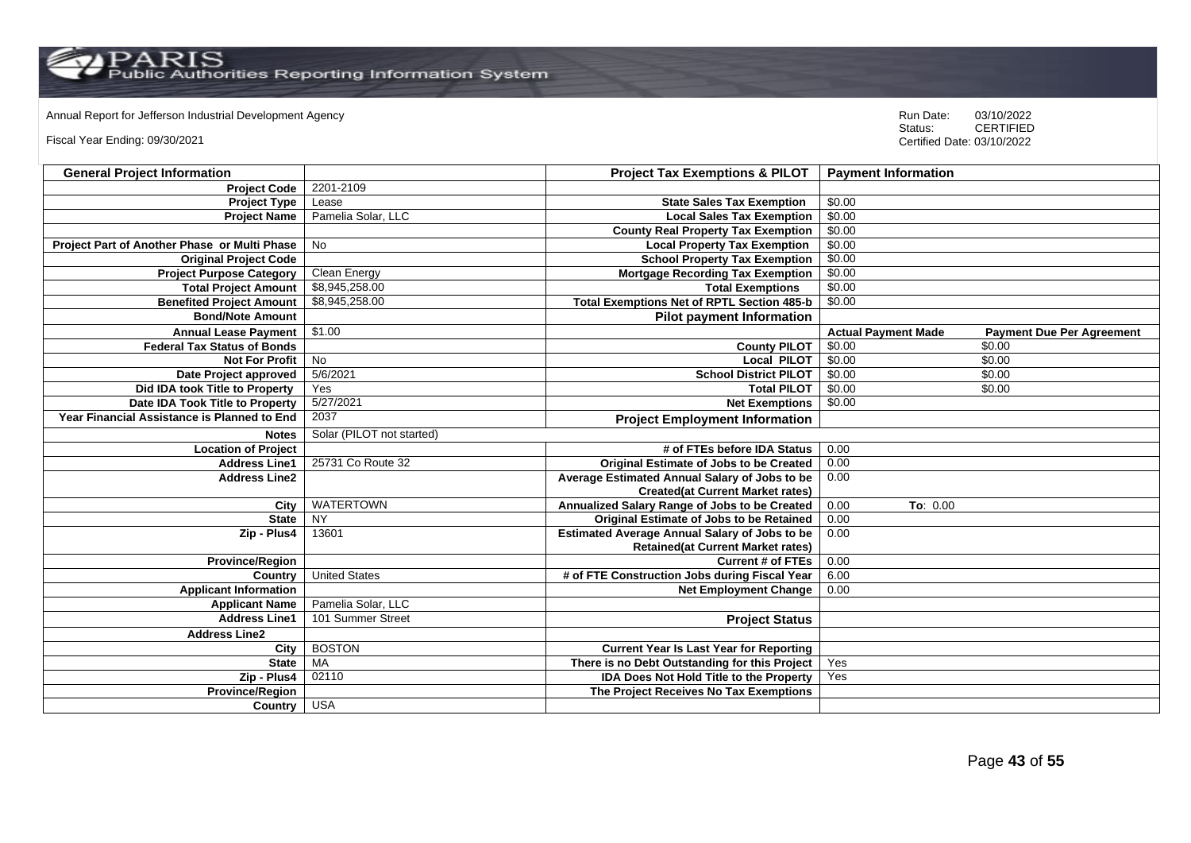Annual Report for Jefferson Industrial Development Agency<br>
Status: CERTIFIED

Fiscal Year Ending: 09/30/2021

| <b>General Project Information</b>           |                           | <b>Project Tax Exemptions &amp; PILOT</b>            | <b>Payment Information</b> |                                  |
|----------------------------------------------|---------------------------|------------------------------------------------------|----------------------------|----------------------------------|
| <b>Project Code</b>                          | 2201-2109                 |                                                      |                            |                                  |
| <b>Project Type</b>                          | Lease                     | <b>State Sales Tax Exemption</b>                     | \$0.00                     |                                  |
| <b>Project Name</b>                          | Pamelia Solar, LLC        | <b>Local Sales Tax Exemption</b>                     | \$0.00                     |                                  |
|                                              |                           | <b>County Real Property Tax Exemption</b>            | \$0.00                     |                                  |
| Project Part of Another Phase or Multi Phase | No                        | <b>Local Property Tax Exemption</b>                  | \$0.00                     |                                  |
| <b>Original Project Code</b>                 |                           | <b>School Property Tax Exemption</b>                 | \$0.00                     |                                  |
| <b>Project Purpose Category</b>              | Clean Energy              | <b>Mortgage Recording Tax Exemption</b>              | \$0.00                     |                                  |
| <b>Total Project Amount</b>                  | \$8,945,258.00            | <b>Total Exemptions</b>                              | \$0.00                     |                                  |
| <b>Benefited Project Amount</b>              | \$8,945,258.00            | <b>Total Exemptions Net of RPTL Section 485-b</b>    | \$0.00                     |                                  |
| <b>Bond/Note Amount</b>                      |                           | <b>Pilot payment Information</b>                     |                            |                                  |
| <b>Annual Lease Payment</b>                  | \$1.00                    |                                                      | <b>Actual Payment Made</b> | <b>Payment Due Per Agreement</b> |
| <b>Federal Tax Status of Bonds</b>           |                           | <b>County PILOT</b>                                  | \$0.00                     | \$0.00                           |
| <b>Not For Profit</b>                        | $\overline{N}$            | Local PILOT                                          | \$0.00                     | \$0.00                           |
| Date Project approved                        | 5/6/2021                  | <b>School District PILOT</b>                         | \$0.00                     | \$0.00                           |
| Did IDA took Title to Property               | Yes                       | <b>Total PILOT</b>                                   | \$0.00                     | \$0.00                           |
| Date IDA Took Title to Property              | 5/27/2021                 | <b>Net Exemptions</b>                                | \$0.00                     |                                  |
| Year Financial Assistance is Planned to End  | 2037                      | <b>Project Employment Information</b>                |                            |                                  |
| <b>Notes</b>                                 | Solar (PILOT not started) |                                                      |                            |                                  |
| <b>Location of Project</b>                   |                           | # of FTEs before IDA Status                          | 0.00                       |                                  |
| <b>Address Line1</b>                         | 25731 Co Route 32         | <b>Original Estimate of Jobs to be Created</b>       | 0.00                       |                                  |
| <b>Address Line2</b>                         |                           | Average Estimated Annual Salary of Jobs to be        | 0.00                       |                                  |
|                                              |                           | <b>Created(at Current Market rates)</b>              |                            |                                  |
| City                                         | <b>WATERTOWN</b>          | Annualized Salary Range of Jobs to be Created        | 0.00<br>To: 0.00           |                                  |
| <b>State</b>                                 | <b>NY</b>                 | Original Estimate of Jobs to be Retained             | 0.00                       |                                  |
| Zip - Plus4                                  | 13601                     | <b>Estimated Average Annual Salary of Jobs to be</b> | 0.00                       |                                  |
|                                              |                           | <b>Retained(at Current Market rates)</b>             |                            |                                  |
| <b>Province/Region</b>                       |                           | <b>Current # of FTEs</b>                             | 0.00                       |                                  |
| Country                                      | <b>United States</b>      | # of FTE Construction Jobs during Fiscal Year        | 6.00                       |                                  |
| <b>Applicant Information</b>                 |                           | <b>Net Employment Change</b>                         | 0.00                       |                                  |
| <b>Applicant Name</b>                        | Pamelia Solar, LLC        |                                                      |                            |                                  |
| <b>Address Line1</b>                         | 101 Summer Street         | <b>Project Status</b>                                |                            |                                  |
| <b>Address Line2</b>                         |                           |                                                      |                            |                                  |
| City                                         | <b>BOSTON</b>             | <b>Current Year Is Last Year for Reporting</b>       |                            |                                  |
| <b>State</b>                                 | <b>MA</b>                 | There is no Debt Outstanding for this Project        | Yes                        |                                  |
| Zip - Plus4                                  | 02110                     | <b>IDA Does Not Hold Title to the Property</b>       | Yes                        |                                  |
| Province/Region                              |                           | The Project Receives No Tax Exemptions               |                            |                                  |
| Country USA                                  |                           |                                                      |                            |                                  |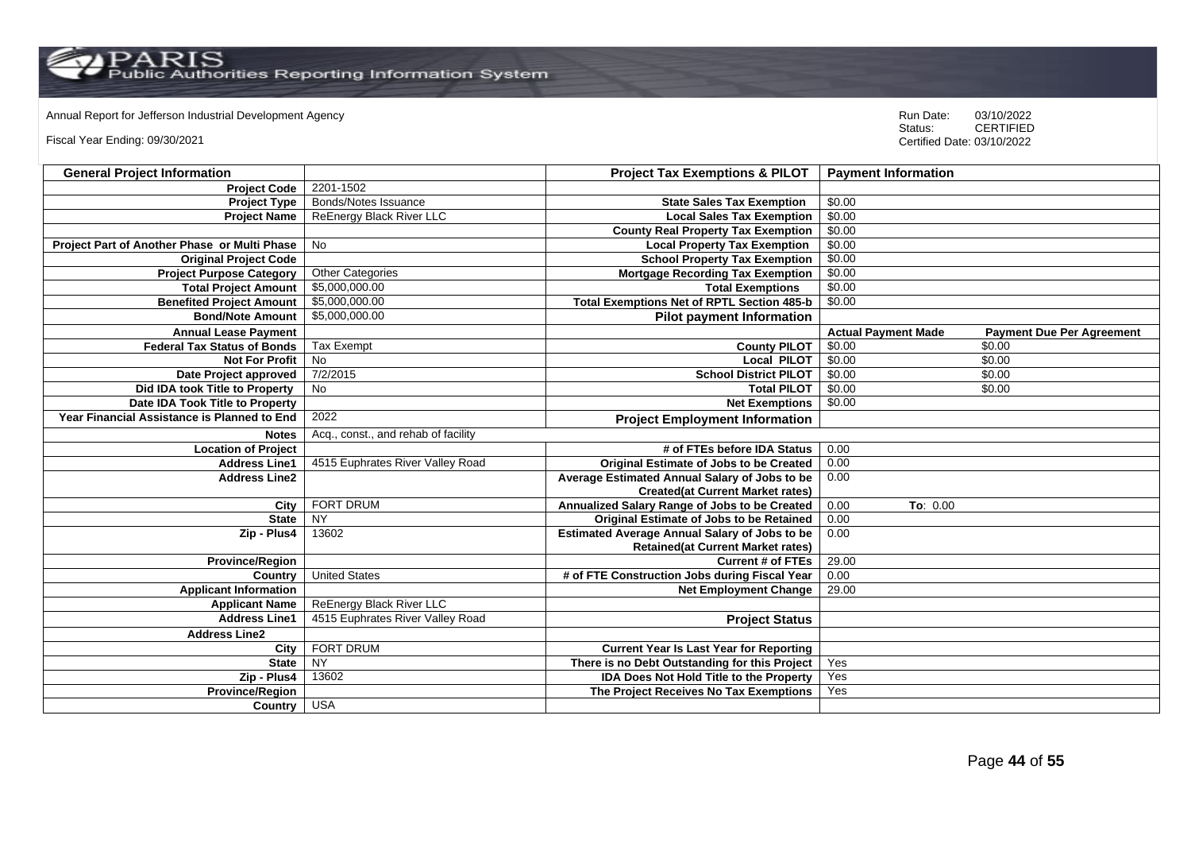Annual Report for Jefferson Industrial Development Agency<br>
Status: CERTIFIED

Fiscal Year Ending: 09/30/2021

| <b>General Project Information</b>           |                                     | <b>Project Tax Exemptions &amp; PILOT</b>            | <b>Payment Information</b> |                                  |
|----------------------------------------------|-------------------------------------|------------------------------------------------------|----------------------------|----------------------------------|
| <b>Project Code</b>                          | 2201-1502                           |                                                      |                            |                                  |
| <b>Project Type</b>                          | Bonds/Notes Issuance                | <b>State Sales Tax Exemption</b>                     | \$0.00                     |                                  |
| <b>Project Name</b>                          | ReEnergy Black River LLC            | <b>Local Sales Tax Exemption</b>                     | \$0.00                     |                                  |
|                                              |                                     | <b>County Real Property Tax Exemption</b>            | \$0.00                     |                                  |
| Project Part of Another Phase or Multi Phase | No                                  | <b>Local Property Tax Exemption</b>                  | \$0.00                     |                                  |
| <b>Original Project Code</b>                 |                                     | <b>School Property Tax Exemption</b>                 | \$0.00                     |                                  |
| <b>Project Purpose Category</b>              | <b>Other Categories</b>             | <b>Mortgage Recording Tax Exemption</b>              | \$0.00                     |                                  |
| <b>Total Project Amount</b>                  | \$5,000,000.00                      | <b>Total Exemptions</b>                              | \$0.00                     |                                  |
| <b>Benefited Project Amount</b>              | \$5,000,000.00                      | <b>Total Exemptions Net of RPTL Section 485-b</b>    | \$0.00                     |                                  |
| <b>Bond/Note Amount</b>                      | \$5,000,000.00                      | <b>Pilot payment Information</b>                     |                            |                                  |
| <b>Annual Lease Payment</b>                  |                                     |                                                      | <b>Actual Payment Made</b> | <b>Payment Due Per Agreement</b> |
| <b>Federal Tax Status of Bonds</b>           | <b>Tax Exempt</b>                   | <b>County PILOT</b>                                  | \$0.00                     | \$0.00                           |
| <b>Not For Profit</b>                        | No                                  | Local PILOT                                          | \$0.00                     | \$0.00                           |
| Date Project approved                        | 7/2/2015                            | <b>School District PILOT</b>                         | \$0.00                     | \$0.00                           |
| Did IDA took Title to Property               | <b>No</b>                           | <b>Total PILOT</b>                                   | \$0.00                     | \$0.00                           |
| Date IDA Took Title to Property              |                                     | <b>Net Exemptions</b>                                | \$0.00                     |                                  |
| Year Financial Assistance is Planned to End  | 2022                                | <b>Project Employment Information</b>                |                            |                                  |
| <b>Notes</b>                                 | Acq., const., and rehab of facility |                                                      |                            |                                  |
| <b>Location of Project</b>                   |                                     | # of FTEs before IDA Status                          | 0.00                       |                                  |
| <b>Address Line1</b>                         | 4515 Euphrates River Valley Road    | <b>Original Estimate of Jobs to be Created</b>       | 0.00                       |                                  |
| <b>Address Line2</b>                         |                                     | Average Estimated Annual Salary of Jobs to be        | 0.00                       |                                  |
|                                              |                                     | <b>Created(at Current Market rates)</b>              |                            |                                  |
| City                                         | <b>FORT DRUM</b>                    | Annualized Salary Range of Jobs to be Created        | 0.00<br>To: 0.00           |                                  |
| <b>State</b>                                 | NY                                  | Original Estimate of Jobs to be Retained             | 0.00                       |                                  |
| Zip - Plus4                                  | 13602                               | <b>Estimated Average Annual Salary of Jobs to be</b> | 0.00                       |                                  |
|                                              |                                     | <b>Retained(at Current Market rates)</b>             |                            |                                  |
| <b>Province/Region</b>                       |                                     | <b>Current # of FTEs</b>                             | 29.00                      |                                  |
| Country                                      | <b>United States</b>                | # of FTE Construction Jobs during Fiscal Year        | 0.00                       |                                  |
| <b>Applicant Information</b>                 |                                     | <b>Net Employment Change</b>                         | 29.00                      |                                  |
| <b>Applicant Name</b>                        | ReEnergy Black River LLC            |                                                      |                            |                                  |
| <b>Address Line1</b>                         | 4515 Euphrates River Valley Road    | <b>Project Status</b>                                |                            |                                  |
| <b>Address Line2</b>                         |                                     |                                                      |                            |                                  |
| <b>City</b>                                  | <b>FORT DRUM</b>                    | <b>Current Year Is Last Year for Reporting</b>       |                            |                                  |
| <b>State</b>                                 | $\overline{NY}$                     | There is no Debt Outstanding for this Project        | Yes                        |                                  |
| Zip - Plus4                                  | 13602                               | <b>IDA Does Not Hold Title to the Property</b>       | Yes                        |                                  |
| Province/Region                              |                                     | The Project Receives No Tax Exemptions               | Yes                        |                                  |
| Country                                      | <b>USA</b>                          |                                                      |                            |                                  |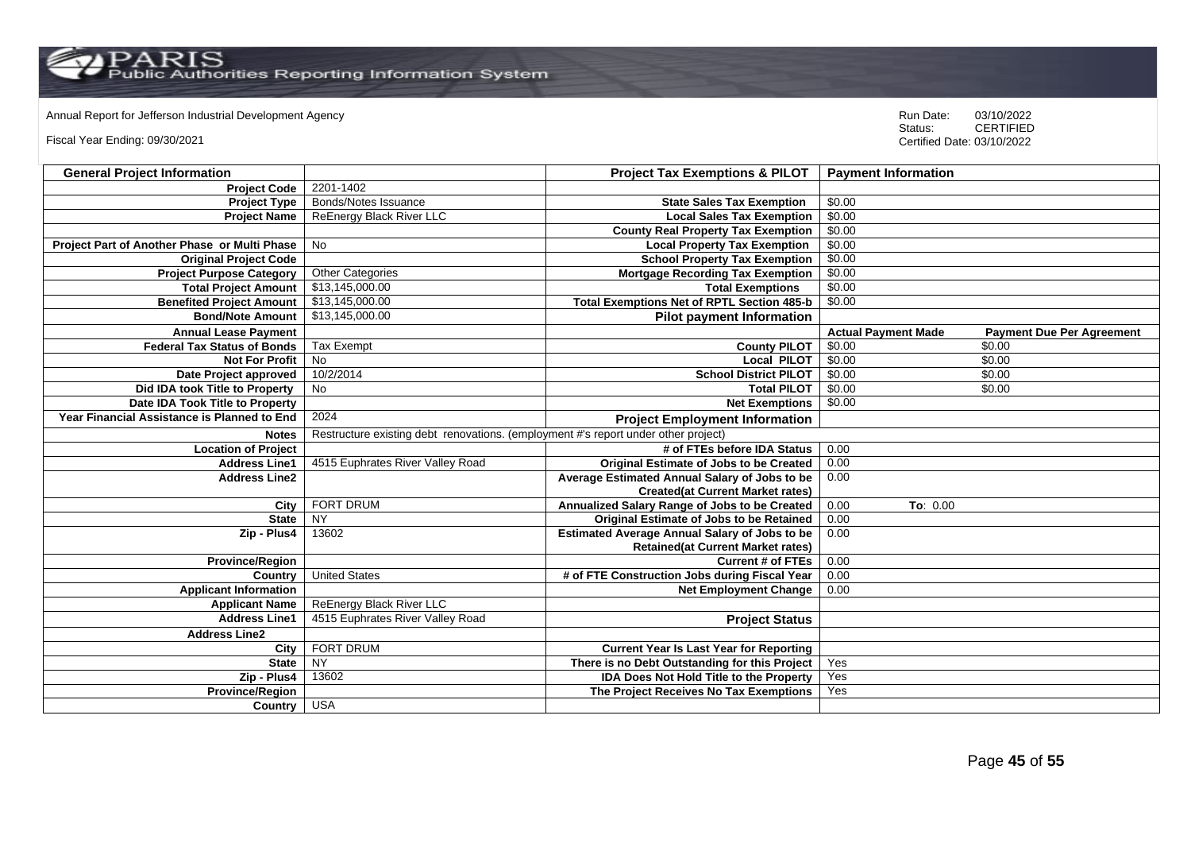Annual Report for Jefferson Industrial Development Agency<br>
Status: CERTIFIED

Fiscal Year Ending: 09/30/2021

| <b>General Project Information</b>           |                                                                                    | <b>Project Tax Exemptions &amp; PILOT</b>            | <b>Payment Information</b> |                                  |
|----------------------------------------------|------------------------------------------------------------------------------------|------------------------------------------------------|----------------------------|----------------------------------|
| <b>Project Code</b>                          | 2201-1402                                                                          |                                                      |                            |                                  |
| <b>Project Type</b>                          | Bonds/Notes Issuance                                                               | <b>State Sales Tax Exemption</b>                     | \$0.00                     |                                  |
| <b>Project Name</b>                          | ReEnergy Black River LLC                                                           | <b>Local Sales Tax Exemption</b>                     | \$0.00                     |                                  |
|                                              |                                                                                    | <b>County Real Property Tax Exemption</b>            | \$0.00                     |                                  |
| Project Part of Another Phase or Multi Phase | No                                                                                 | <b>Local Property Tax Exemption</b>                  | \$0.00                     |                                  |
| <b>Original Project Code</b>                 |                                                                                    | <b>School Property Tax Exemption</b>                 | \$0.00                     |                                  |
| <b>Project Purpose Category</b>              | <b>Other Categories</b>                                                            | <b>Mortgage Recording Tax Exemption</b>              | \$0.00                     |                                  |
| <b>Total Project Amount</b>                  | \$13,145,000.00                                                                    | <b>Total Exemptions</b>                              | \$0.00                     |                                  |
| <b>Benefited Project Amount</b>              | \$13,145,000.00                                                                    | <b>Total Exemptions Net of RPTL Section 485-b</b>    | \$0.00                     |                                  |
| <b>Bond/Note Amount</b>                      | \$13,145,000.00                                                                    | <b>Pilot payment Information</b>                     |                            |                                  |
| <b>Annual Lease Payment</b>                  |                                                                                    |                                                      | <b>Actual Payment Made</b> | <b>Payment Due Per Agreement</b> |
| <b>Federal Tax Status of Bonds</b>           | <b>Tax Exempt</b>                                                                  | <b>County PILOT</b>                                  | \$0.00                     | \$0.00                           |
| <b>Not For Profit</b>                        | No                                                                                 | Local PILOT                                          | \$0.00                     | \$0.00                           |
| Date Project approved                        | 10/2/2014                                                                          | <b>School District PILOT</b>                         | \$0.00                     | \$0.00                           |
| Did IDA took Title to Property               | <b>No</b>                                                                          | <b>Total PILOT</b>                                   | \$0.00                     | \$0.00                           |
| Date IDA Took Title to Property              |                                                                                    | <b>Net Exemptions</b>                                | \$0.00                     |                                  |
| Year Financial Assistance is Planned to End  | 2024                                                                               | <b>Project Employment Information</b>                |                            |                                  |
| <b>Notes</b>                                 | Restructure existing debt renovations. (employment #'s report under other project) |                                                      |                            |                                  |
| <b>Location of Project</b>                   |                                                                                    | # of FTEs before IDA Status                          | 0.00                       |                                  |
| <b>Address Line1</b>                         | 4515 Euphrates River Valley Road                                                   | Original Estimate of Jobs to be Created              | 0.00                       |                                  |
| <b>Address Line2</b>                         |                                                                                    | Average Estimated Annual Salary of Jobs to be        | 0.00                       |                                  |
|                                              |                                                                                    | <b>Created(at Current Market rates)</b>              |                            |                                  |
| City                                         | <b>FORT DRUM</b>                                                                   | Annualized Salary Range of Jobs to be Created        | 0.00<br>To: 0.00           |                                  |
| <b>State</b>                                 | <b>NY</b>                                                                          | Original Estimate of Jobs to be Retained             | 0.00                       |                                  |
| Zip - Plus4                                  | 13602                                                                              | <b>Estimated Average Annual Salary of Jobs to be</b> | 0.00                       |                                  |
|                                              |                                                                                    | <b>Retained(at Current Market rates)</b>             |                            |                                  |
| <b>Province/Region</b>                       |                                                                                    | <b>Current # of FTEs</b>                             | 0.00                       |                                  |
| Country                                      | <b>United States</b>                                                               | # of FTE Construction Jobs during Fiscal Year        | 0.00                       |                                  |
| <b>Applicant Information</b>                 |                                                                                    | <b>Net Employment Change</b>                         | 0.00                       |                                  |
| <b>Applicant Name</b>                        | ReEnergy Black River LLC                                                           |                                                      |                            |                                  |
| <b>Address Line1</b>                         | 4515 Euphrates River Valley Road                                                   | <b>Project Status</b>                                |                            |                                  |
| <b>Address Line2</b>                         |                                                                                    |                                                      |                            |                                  |
| City                                         | <b>FORT DRUM</b>                                                                   | <b>Current Year Is Last Year for Reporting</b>       |                            |                                  |
| <b>State</b>                                 | $\overline{NY}$                                                                    | There is no Debt Outstanding for this Project        | Yes                        |                                  |
| Zip - Plus4                                  | 13602                                                                              | <b>IDA Does Not Hold Title to the Property</b>       | Yes                        |                                  |
| Province/Region                              |                                                                                    | The Project Receives No Tax Exemptions               | Yes                        |                                  |
| Country USA                                  |                                                                                    |                                                      |                            |                                  |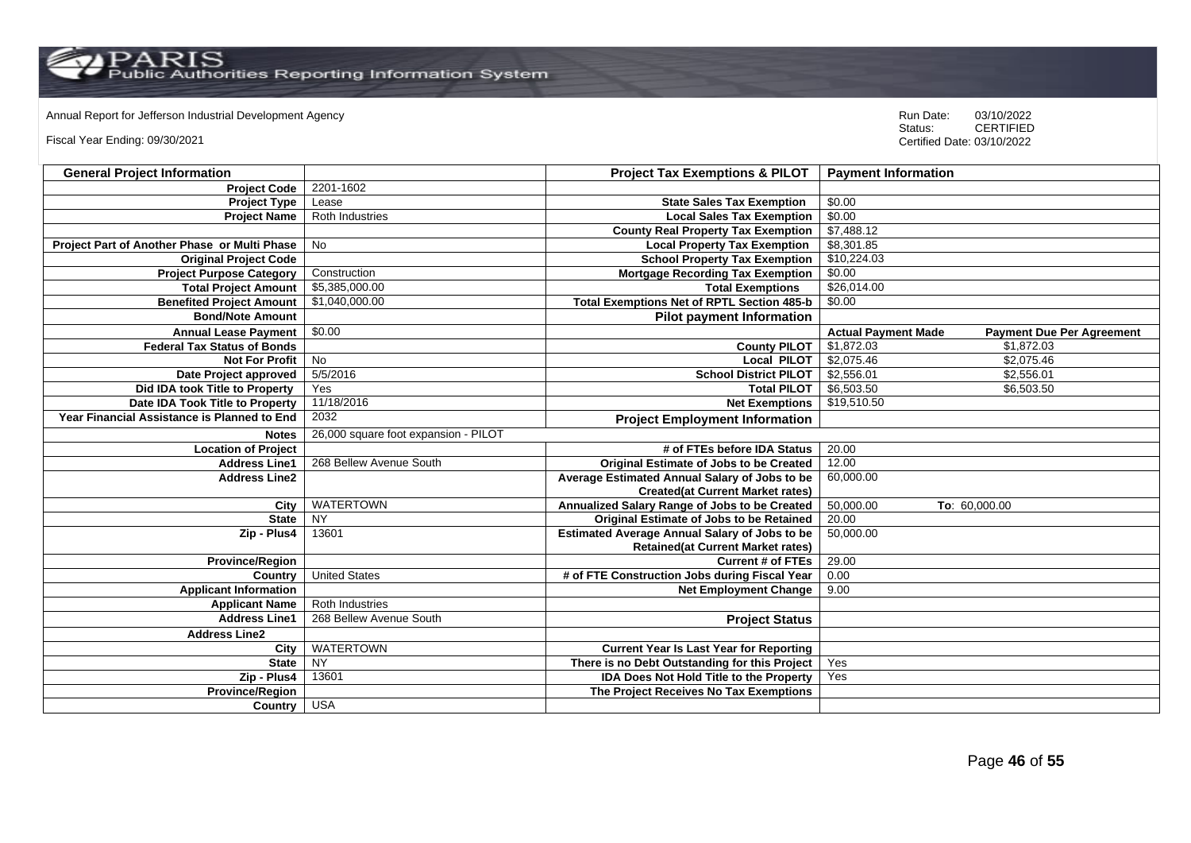Annual Report for Jefferson Industrial Development Agency<br>
Status: CERTIFIED

Fiscal Year Ending: 09/30/2021

| <b>General Project Information</b>           |                                      | <b>Project Tax Exemptions &amp; PILOT</b>            | <b>Payment Information</b>                                     |
|----------------------------------------------|--------------------------------------|------------------------------------------------------|----------------------------------------------------------------|
| <b>Project Code</b>                          | 2201-1602                            |                                                      |                                                                |
| <b>Project Type</b>                          | Lease                                | <b>State Sales Tax Exemption</b>                     | \$0.00                                                         |
| <b>Project Name</b>                          | Roth Industries                      | <b>Local Sales Tax Exemption</b>                     | \$0.00                                                         |
|                                              |                                      | <b>County Real Property Tax Exemption</b>            | \$7,488.12                                                     |
| Project Part of Another Phase or Multi Phase | <b>No</b>                            | <b>Local Property Tax Exemption</b>                  | \$8,301.85                                                     |
| <b>Original Project Code</b>                 |                                      | <b>School Property Tax Exemption</b>                 | \$10,224.03                                                    |
| <b>Project Purpose Category</b>              | Construction                         | <b>Mortgage Recording Tax Exemption</b>              | \$0.00                                                         |
| <b>Total Project Amount</b>                  | \$5,385,000.00                       | <b>Total Exemptions</b>                              | \$26,014.00                                                    |
| <b>Benefited Project Amount</b>              | \$1,040,000.00                       | <b>Total Exemptions Net of RPTL Section 485-b</b>    | \$0.00                                                         |
| <b>Bond/Note Amount</b>                      |                                      | <b>Pilot payment Information</b>                     |                                                                |
| <b>Annual Lease Payment</b>                  | \$0.00                               |                                                      | <b>Actual Payment Made</b><br><b>Payment Due Per Agreement</b> |
| <b>Federal Tax Status of Bonds</b>           |                                      | <b>County PILOT</b>                                  | \$1,872.03<br>\$1,872.03                                       |
| <b>Not For Profit</b>                        | No                                   | <b>Local PILOT</b>                                   | \$2,075.46<br>\$2,075.46                                       |
| Date Project approved                        | 5/5/2016                             | <b>School District PILOT</b>                         | \$2,556.01<br>\$2,556.01                                       |
| Did IDA took Title to Property               | Yes                                  | <b>Total PILOT</b>                                   | \$6,503.50<br>\$6,503.50                                       |
| Date IDA Took Title to Property              | 11/18/2016                           | <b>Net Exemptions</b>                                | \$19,510.50                                                    |
| Year Financial Assistance is Planned to End  | 2032                                 | <b>Project Employment Information</b>                |                                                                |
| <b>Notes</b>                                 | 26,000 square foot expansion - PILOT |                                                      |                                                                |
| <b>Location of Project</b>                   |                                      | # of FTEs before IDA Status                          | 20.00                                                          |
| <b>Address Line1</b>                         | 268 Bellew Avenue South              | <b>Original Estimate of Jobs to be Created</b>       | 12.00                                                          |
| <b>Address Line2</b>                         |                                      | Average Estimated Annual Salary of Jobs to be        | 60,000.00                                                      |
|                                              |                                      | <b>Created(at Current Market rates)</b>              |                                                                |
| City                                         | <b>WATERTOWN</b>                     | Annualized Salary Range of Jobs to be Created        | 50,000.00<br>To: 60,000.00                                     |
| <b>State</b>                                 | <b>NY</b>                            | <b>Original Estimate of Jobs to be Retained</b>      | 20.00                                                          |
| Zip - Plus4                                  | 13601                                | <b>Estimated Average Annual Salary of Jobs to be</b> | 50,000.00                                                      |
|                                              |                                      | <b>Retained(at Current Market rates)</b>             |                                                                |
| <b>Province/Region</b>                       |                                      | <b>Current # of FTEs</b>                             | 29.00                                                          |
| Country                                      | <b>United States</b>                 | # of FTE Construction Jobs during Fiscal Year        | 0.00                                                           |
| <b>Applicant Information</b>                 |                                      | <b>Net Employment Change</b>                         | 9.00                                                           |
| <b>Applicant Name</b>                        | <b>Roth Industries</b>               |                                                      |                                                                |
| <b>Address Line1</b>                         | 268 Bellew Avenue South              | <b>Project Status</b>                                |                                                                |
| <b>Address Line2</b>                         |                                      |                                                      |                                                                |
| City                                         | <b>WATERTOWN</b>                     | <b>Current Year Is Last Year for Reporting</b>       |                                                                |
| <b>State</b>                                 | NY                                   | There is no Debt Outstanding for this Project        | Yes                                                            |
| Zip - Plus4                                  | 13601                                | IDA Does Not Hold Title to the Property              | Yes                                                            |
| <b>Province/Region</b>                       |                                      | The Project Receives No Tax Exemptions               |                                                                |
| Country                                      | <b>USA</b>                           |                                                      |                                                                |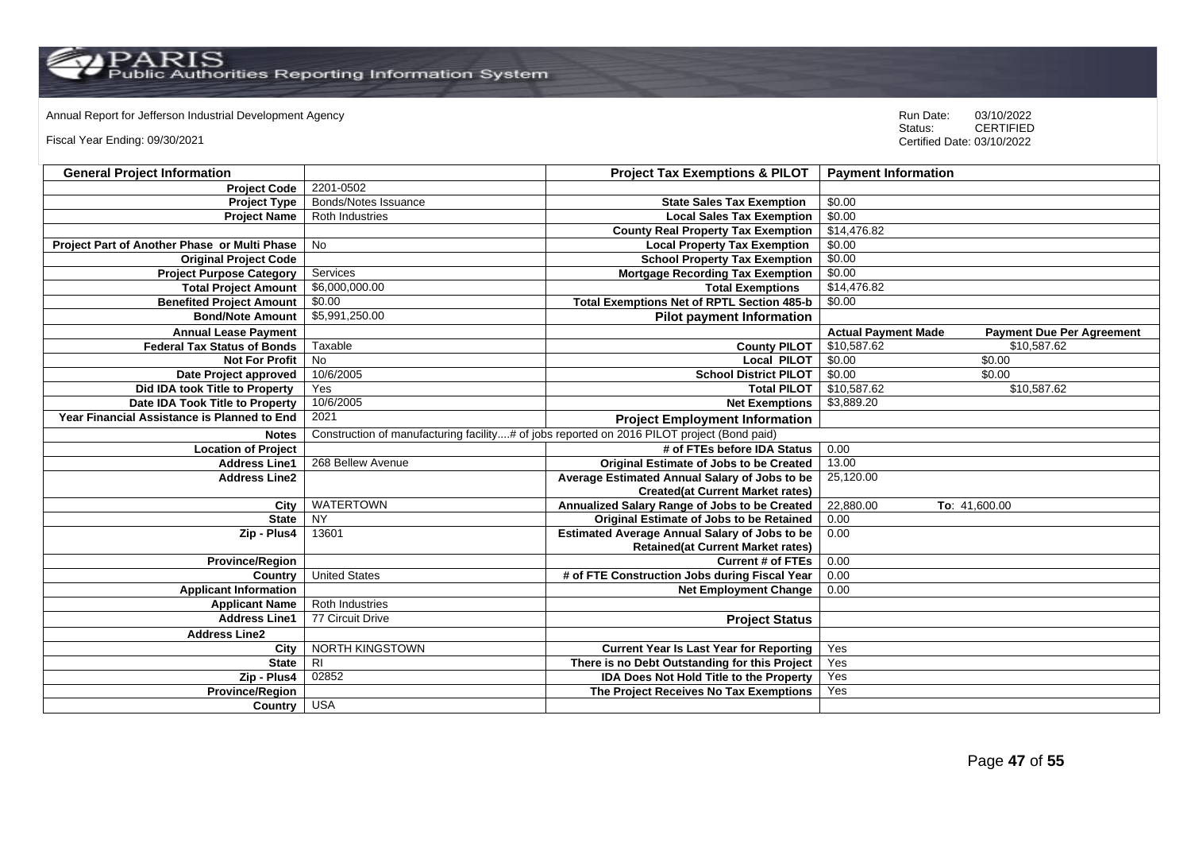$\operatorname{PARIS}_{\text{Public Authors}}$  Reporting Information System

Annual Report for Jefferson Industrial Development Agency<br>
Status: CERTIFIED

Fiscal Year Ending: 09/30/2021

| <b>General Project Information</b>           |                                                                                            | <b>Project Tax Exemptions &amp; PILOT</b>            | <b>Payment Information</b> |                                  |
|----------------------------------------------|--------------------------------------------------------------------------------------------|------------------------------------------------------|----------------------------|----------------------------------|
| <b>Project Code</b>                          | 2201-0502                                                                                  |                                                      |                            |                                  |
| <b>Project Type</b>                          | Bonds/Notes Issuance                                                                       | <b>State Sales Tax Exemption</b>                     | \$0.00                     |                                  |
| <b>Project Name</b>                          | Roth Industries                                                                            | <b>Local Sales Tax Exemption</b>                     | \$0.00                     |                                  |
|                                              |                                                                                            | <b>County Real Property Tax Exemption</b>            | \$14,476.82                |                                  |
| Project Part of Another Phase or Multi Phase | No                                                                                         | <b>Local Property Tax Exemption</b>                  | \$0.00                     |                                  |
| <b>Original Project Code</b>                 |                                                                                            | <b>School Property Tax Exemption</b>                 | \$0.00                     |                                  |
| <b>Project Purpose Category</b>              | Services                                                                                   | <b>Mortgage Recording Tax Exemption</b>              | \$0.00                     |                                  |
| <b>Total Project Amount</b>                  | \$6,000,000.00                                                                             | <b>Total Exemptions</b>                              | \$14,476.82                |                                  |
| <b>Benefited Project Amount</b>              | \$0.00                                                                                     | <b>Total Exemptions Net of RPTL Section 485-b</b>    | \$0.00                     |                                  |
| <b>Bond/Note Amount</b>                      | \$5,991,250.00                                                                             | <b>Pilot payment Information</b>                     |                            |                                  |
| <b>Annual Lease Payment</b>                  |                                                                                            |                                                      | <b>Actual Payment Made</b> | <b>Payment Due Per Agreement</b> |
| <b>Federal Tax Status of Bonds</b>           | Taxable                                                                                    | <b>County PILOT</b>                                  | \$10,587.62                | \$10,587.62                      |
| <b>Not For Profit</b>                        | No                                                                                         | <b>Local PILOT</b>                                   | \$0.00                     | \$0.00                           |
| Date Project approved                        | 10/6/2005                                                                                  | <b>School District PILOT</b>                         | \$0.00                     | \$0.00                           |
| Did IDA took Title to Property               | Yes                                                                                        | <b>Total PILOT</b>                                   | \$10,587.62                | \$10,587.62                      |
| Date IDA Took Title to Property              | 10/6/2005                                                                                  | <b>Net Exemptions</b>                                | \$3,889.20                 |                                  |
| Year Financial Assistance is Planned to End  | 2021                                                                                       | <b>Project Employment Information</b>                |                            |                                  |
| <b>Notes</b>                                 | Construction of manufacturing facility# of jobs reported on 2016 PILOT project (Bond paid) |                                                      |                            |                                  |
| <b>Location of Project</b>                   |                                                                                            | # of FTEs before IDA Status                          | 0.00                       |                                  |
| <b>Address Line1</b>                         | 268 Bellew Avenue                                                                          | Original Estimate of Jobs to be Created              | 13.00                      |                                  |
| <b>Address Line2</b>                         |                                                                                            | Average Estimated Annual Salary of Jobs to be        | 25,120.00                  |                                  |
|                                              |                                                                                            | <b>Created(at Current Market rates)</b>              |                            |                                  |
| City                                         | <b>WATERTOWN</b>                                                                           | Annualized Salary Range of Jobs to be Created        | 22,880.00                  | To: 41,600.00                    |
| <b>State</b>                                 | <b>NY</b>                                                                                  | Original Estimate of Jobs to be Retained             | 0.00                       |                                  |
| Zip - Plus4                                  | 13601                                                                                      | <b>Estimated Average Annual Salary of Jobs to be</b> | 0.00                       |                                  |
|                                              |                                                                                            | <b>Retained(at Current Market rates)</b>             |                            |                                  |
| <b>Province/Region</b>                       |                                                                                            | <b>Current # of FTEs</b>                             | 0.00                       |                                  |
| Country                                      | <b>United States</b>                                                                       | # of FTE Construction Jobs during Fiscal Year        | 0.00                       |                                  |
| <b>Applicant Information</b>                 |                                                                                            | <b>Net Employment Change</b>                         | 0.00                       |                                  |
| <b>Applicant Name</b>                        | <b>Roth Industries</b>                                                                     |                                                      |                            |                                  |
| <b>Address Line1</b>                         | 77 Circuit Drive                                                                           | <b>Project Status</b>                                |                            |                                  |
| <b>Address Line2</b>                         |                                                                                            |                                                      |                            |                                  |
| City                                         | NORTH KINGSTOWN                                                                            | <b>Current Year Is Last Year for Reporting</b>       | Yes                        |                                  |
| <b>State</b>                                 | R <sub>l</sub>                                                                             | There is no Debt Outstanding for this Project        | Yes                        |                                  |
| Zip - Plus4                                  | 02852                                                                                      | <b>IDA Does Not Hold Title to the Property</b>       | Yes                        |                                  |
| <b>Province/Region</b>                       |                                                                                            | The Project Receives No Tax Exemptions               | Yes                        |                                  |
| Country                                      | <b>USA</b>                                                                                 |                                                      |                            |                                  |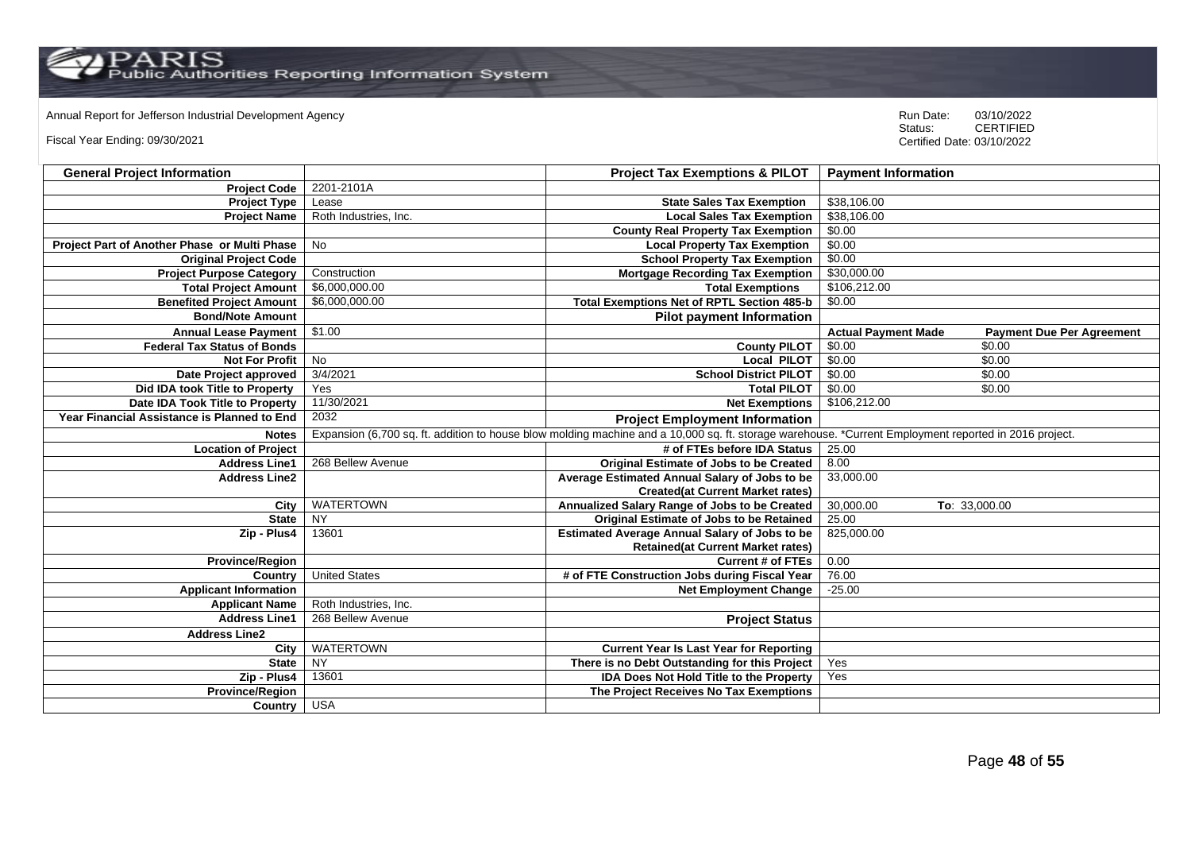Annual Report for Jefferson Industrial Development Agency<br>
Status: CERTIFIED

Fiscal Year Ending: 09/30/2021

| <b>General Project Information</b>           |                       | <b>Project Tax Exemptions &amp; PILOT</b>                                                                                                             | <b>Payment Information</b>                                     |
|----------------------------------------------|-----------------------|-------------------------------------------------------------------------------------------------------------------------------------------------------|----------------------------------------------------------------|
| <b>Project Code</b>                          | 2201-2101A            |                                                                                                                                                       |                                                                |
| <b>Project Type</b>                          | Lease                 | <b>State Sales Tax Exemption</b>                                                                                                                      | \$38,106.00                                                    |
| <b>Project Name</b>                          | Roth Industries, Inc. | <b>Local Sales Tax Exemption</b>                                                                                                                      | \$38,106.00                                                    |
|                                              |                       | <b>County Real Property Tax Exemption</b>                                                                                                             | \$0.00                                                         |
| Project Part of Another Phase or Multi Phase | No                    | <b>Local Property Tax Exemption</b>                                                                                                                   | \$0.00                                                         |
| <b>Original Project Code</b>                 |                       | <b>School Property Tax Exemption</b>                                                                                                                  | \$0.00                                                         |
| <b>Project Purpose Category</b>              | Construction          | <b>Mortgage Recording Tax Exemption</b>                                                                                                               | \$30,000.00                                                    |
| <b>Total Project Amount</b>                  | \$6,000,000.00        | <b>Total Exemptions</b>                                                                                                                               | \$106,212.00                                                   |
| <b>Benefited Project Amount</b>              | \$6,000,000.00        | <b>Total Exemptions Net of RPTL Section 485-b</b>                                                                                                     | \$0.00                                                         |
| <b>Bond/Note Amount</b>                      |                       | <b>Pilot payment Information</b>                                                                                                                      |                                                                |
| <b>Annual Lease Payment</b>                  | \$1.00                |                                                                                                                                                       | <b>Actual Payment Made</b><br><b>Payment Due Per Agreement</b> |
| <b>Federal Tax Status of Bonds</b>           |                       | <b>County PILOT</b>                                                                                                                                   | \$0.00<br>\$0.00                                               |
| <b>Not For Profit</b>                        | $\overline{N}$        | <b>Local PILOT</b>                                                                                                                                    | \$0.00<br>\$0.00                                               |
| Date Project approved                        | 3/4/2021              | <b>School District PILOT</b>                                                                                                                          | \$0.00<br>\$0.00                                               |
| Did IDA took Title to Property               | Yes                   | <b>Total PILOT</b>                                                                                                                                    | \$0.00<br>\$0.00                                               |
| Date IDA Took Title to Property              | 11/30/2021            | <b>Net Exemptions</b>                                                                                                                                 | \$106,212.00                                                   |
| Year Financial Assistance is Planned to End  | 2032                  | <b>Project Employment Information</b>                                                                                                                 |                                                                |
| <b>Notes</b>                                 |                       | Expansion (6,700 sq. ft. addition to house blow molding machine and a 10,000 sq. ft. storage warehouse. *Current Employment reported in 2016 project. |                                                                |
| <b>Location of Project</b>                   |                       | # of FTEs before IDA Status                                                                                                                           | 25.00                                                          |
| <b>Address Line1</b>                         | 268 Bellew Avenue     | Original Estimate of Jobs to be Created                                                                                                               | 8.00                                                           |
| <b>Address Line2</b>                         |                       | Average Estimated Annual Salary of Jobs to be                                                                                                         | 33,000.00                                                      |
|                                              |                       | <b>Created(at Current Market rates)</b>                                                                                                               |                                                                |
| City                                         | <b>WATERTOWN</b>      | Annualized Salary Range of Jobs to be Created                                                                                                         | 30,000.00<br>To: 33,000.00                                     |
| <b>State</b>                                 | <b>NY</b>             | <b>Original Estimate of Jobs to be Retained</b>                                                                                                       | 25.00                                                          |
| Zip - Plus4                                  | 13601                 | <b>Estimated Average Annual Salary of Jobs to be</b>                                                                                                  | 825,000.00                                                     |
|                                              |                       | <b>Retained(at Current Market rates)</b>                                                                                                              |                                                                |
| <b>Province/Region</b>                       |                       | <b>Current # of FTEs</b>                                                                                                                              | 0.00                                                           |
| Country                                      | <b>United States</b>  | # of FTE Construction Jobs during Fiscal Year                                                                                                         | 76.00                                                          |
| <b>Applicant Information</b>                 |                       | <b>Net Employment Change</b>                                                                                                                          | $-25.00$                                                       |
| <b>Applicant Name</b>                        | Roth Industries, Inc. |                                                                                                                                                       |                                                                |
| <b>Address Line1</b>                         | 268 Bellew Avenue     | <b>Project Status</b>                                                                                                                                 |                                                                |
| <b>Address Line2</b>                         |                       |                                                                                                                                                       |                                                                |
| City                                         | <b>WATERTOWN</b>      | <b>Current Year Is Last Year for Reporting</b>                                                                                                        |                                                                |
| <b>State</b>                                 | NY                    | There is no Debt Outstanding for this Project                                                                                                         | Yes                                                            |
| Zip - Plus4                                  | 13601                 | IDA Does Not Hold Title to the Property                                                                                                               | Yes                                                            |
| Province/Region                              |                       | The Project Receives No Tax Exemptions                                                                                                                |                                                                |
| Country                                      | <b>USA</b>            |                                                                                                                                                       |                                                                |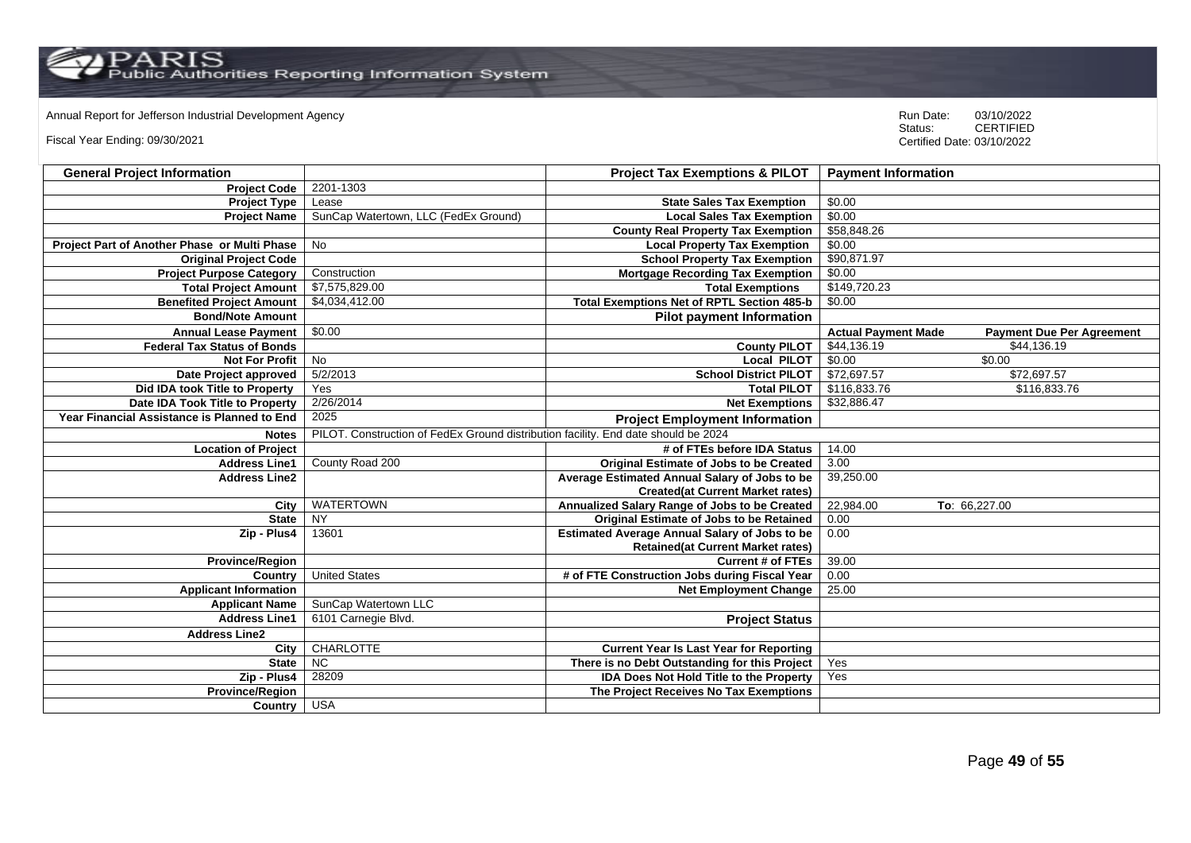# Annual Report for Jefferson Industrial Development Agency<br>
Status: CERTIFIED

Fiscal Year Ending: 09/30/2021

| <b>General Project Information</b>           |                                                                                    | <b>Project Tax Exemptions &amp; PILOT</b>            | <b>Payment Information</b> |                                  |
|----------------------------------------------|------------------------------------------------------------------------------------|------------------------------------------------------|----------------------------|----------------------------------|
| <b>Project Code</b>                          | 2201-1303                                                                          |                                                      |                            |                                  |
| <b>Project Type</b>                          | Lease                                                                              | <b>State Sales Tax Exemption</b>                     | \$0.00                     |                                  |
| <b>Project Name</b>                          | SunCap Watertown, LLC (FedEx Ground)                                               | <b>Local Sales Tax Exemption</b>                     | \$0.00                     |                                  |
|                                              |                                                                                    | <b>County Real Property Tax Exemption</b>            | \$58,848.26                |                                  |
| Project Part of Another Phase or Multi Phase | <b>No</b>                                                                          | <b>Local Property Tax Exemption</b>                  | \$0.00                     |                                  |
| <b>Original Project Code</b>                 |                                                                                    | <b>School Property Tax Exemption</b>                 | \$90,871.97                |                                  |
| <b>Project Purpose Category</b>              | Construction                                                                       | <b>Mortgage Recording Tax Exemption</b>              | \$0.00                     |                                  |
| <b>Total Project Amount</b>                  | \$7,575,829.00                                                                     | <b>Total Exemptions</b>                              | \$149,720.23               |                                  |
| <b>Benefited Project Amount</b>              | \$4,034,412.00                                                                     | <b>Total Exemptions Net of RPTL Section 485-b</b>    | \$0.00                     |                                  |
| <b>Bond/Note Amount</b>                      |                                                                                    | <b>Pilot payment Information</b>                     |                            |                                  |
| <b>Annual Lease Payment</b>                  | \$0.00                                                                             |                                                      | <b>Actual Payment Made</b> | <b>Payment Due Per Agreement</b> |
| <b>Federal Tax Status of Bonds</b>           |                                                                                    | <b>County PILOT</b>                                  | \$44,136.19                | \$44,136.19                      |
| <b>Not For Profit</b>                        | $\overline{N}$                                                                     | <b>Local PILOT</b>                                   | \$0.00                     | \$0.00                           |
| Date Project approved                        | 5/2/2013                                                                           | <b>School District PILOT</b>                         | \$72,697.57                | \$72,697.57                      |
| Did IDA took Title to Property               | Yes                                                                                | <b>Total PILOT</b>                                   | \$116,833.76               | \$116,833.76                     |
| Date IDA Took Title to Property              | 2/26/2014                                                                          | <b>Net Exemptions</b>                                | \$32,886.47                |                                  |
| Year Financial Assistance is Planned to End  | 2025                                                                               | <b>Project Employment Information</b>                |                            |                                  |
| <b>Notes</b>                                 | PILOT. Construction of FedEx Ground distribution facility. End date should be 2024 |                                                      |                            |                                  |
| <b>Location of Project</b>                   |                                                                                    | # of FTEs before IDA Status                          | 14.00                      |                                  |
| <b>Address Line1</b>                         | County Road 200                                                                    | Original Estimate of Jobs to be Created              | 3.00                       |                                  |
| <b>Address Line2</b>                         |                                                                                    | Average Estimated Annual Salary of Jobs to be        | 39,250.00                  |                                  |
|                                              |                                                                                    | <b>Created(at Current Market rates)</b>              |                            |                                  |
| City                                         | <b>WATERTOWN</b>                                                                   | Annualized Salary Range of Jobs to be Created        | 22,984.00                  | To: 66,227.00                    |
| <b>State</b>                                 | <b>NY</b>                                                                          | Original Estimate of Jobs to be Retained             | 0.00                       |                                  |
| Zip - Plus4                                  | 13601                                                                              | <b>Estimated Average Annual Salary of Jobs to be</b> | 0.00                       |                                  |
|                                              |                                                                                    | <b>Retained(at Current Market rates)</b>             |                            |                                  |
| <b>Province/Region</b>                       |                                                                                    | <b>Current # of FTEs</b>                             | 39.00                      |                                  |
| Country                                      | <b>United States</b>                                                               | # of FTE Construction Jobs during Fiscal Year        | 0.00                       |                                  |
| <b>Applicant Information</b>                 |                                                                                    | <b>Net Employment Change</b>                         | 25.00                      |                                  |
| <b>Applicant Name</b>                        | SunCap Watertown LLC                                                               |                                                      |                            |                                  |
| <b>Address Line1</b>                         | 6101 Carnegie Blvd.                                                                | <b>Project Status</b>                                |                            |                                  |
| <b>Address Line2</b>                         |                                                                                    |                                                      |                            |                                  |
| City                                         | CHARLOTTE                                                                          | <b>Current Year Is Last Year for Reporting</b>       |                            |                                  |
| <b>State</b>                                 | $\overline{NC}$                                                                    | There is no Debt Outstanding for this Project        | Yes                        |                                  |
| Zip - Plus4                                  | 28209                                                                              | IDA Does Not Hold Title to the Property              | Yes                        |                                  |
| Province/Region                              |                                                                                    | The Project Receives No Tax Exemptions               |                            |                                  |
| Country                                      | <b>USA</b>                                                                         |                                                      |                            |                                  |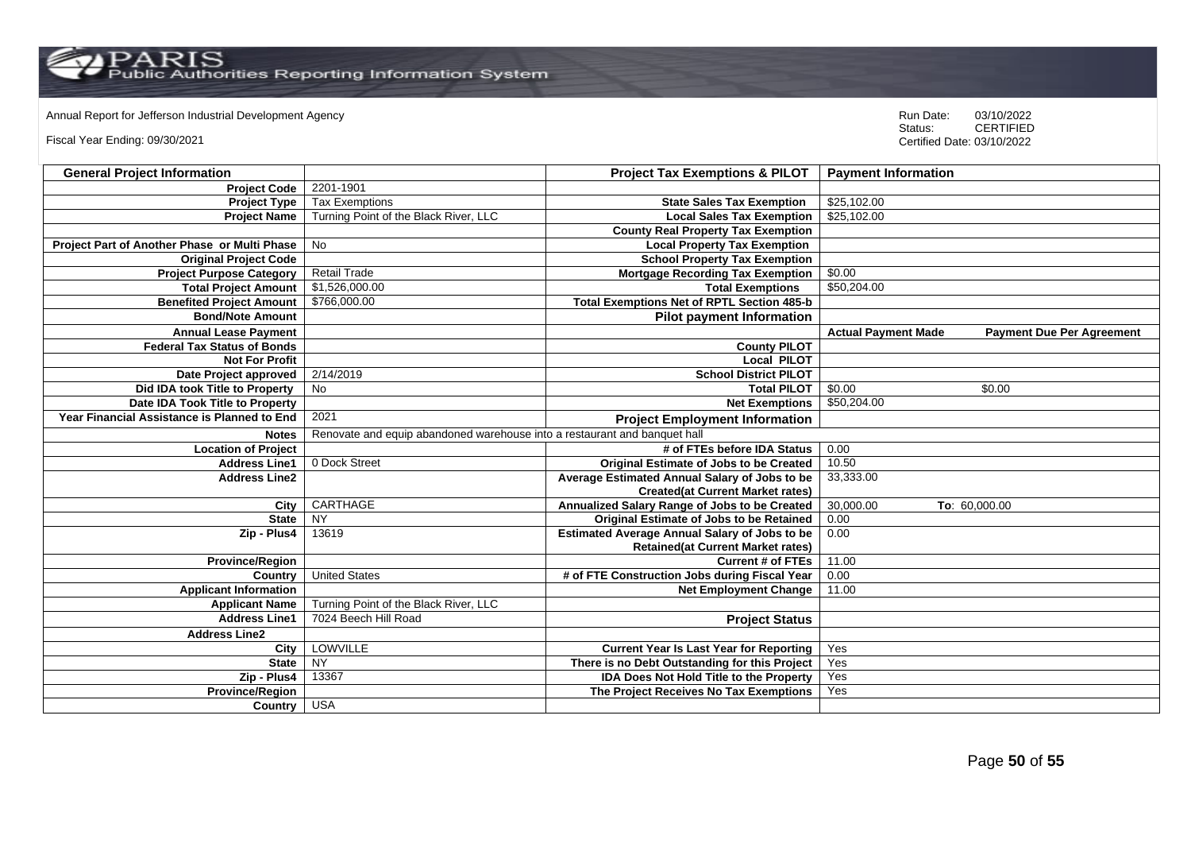# Annual Report for Jefferson Industrial Development Agency<br>
Status: CERTIFIED

Fiscal Year Ending: 09/30/2021

| <b>General Project Information</b>           |                                                                           | <b>Project Tax Exemptions &amp; PILOT</b>            | <b>Payment Information</b>                                     |
|----------------------------------------------|---------------------------------------------------------------------------|------------------------------------------------------|----------------------------------------------------------------|
| <b>Project Code</b>                          | 2201-1901                                                                 |                                                      |                                                                |
| <b>Project Type</b>                          | <b>Tax Exemptions</b>                                                     | <b>State Sales Tax Exemption</b>                     | \$25,102.00                                                    |
| <b>Project Name</b>                          | Turning Point of the Black River, LLC                                     | <b>Local Sales Tax Exemption</b>                     | \$25,102.00                                                    |
|                                              |                                                                           | <b>County Real Property Tax Exemption</b>            |                                                                |
| Project Part of Another Phase or Multi Phase | <b>No</b>                                                                 | <b>Local Property Tax Exemption</b>                  |                                                                |
| <b>Original Project Code</b>                 |                                                                           | <b>School Property Tax Exemption</b>                 |                                                                |
| <b>Project Purpose Category</b>              | <b>Retail Trade</b>                                                       | <b>Mortgage Recording Tax Exemption</b>              | \$0.00                                                         |
| <b>Total Project Amount</b>                  | \$1,526,000.00                                                            | <b>Total Exemptions</b>                              | \$50,204.00                                                    |
| <b>Benefited Project Amount</b>              | \$766,000.00                                                              | <b>Total Exemptions Net of RPTL Section 485-b</b>    |                                                                |
| <b>Bond/Note Amount</b>                      |                                                                           | <b>Pilot payment Information</b>                     |                                                                |
| <b>Annual Lease Payment</b>                  |                                                                           |                                                      | <b>Actual Payment Made</b><br><b>Payment Due Per Agreement</b> |
| <b>Federal Tax Status of Bonds</b>           |                                                                           | <b>County PILOT</b>                                  |                                                                |
| <b>Not For Profit</b>                        |                                                                           | <b>Local PILOT</b>                                   |                                                                |
| Date Project approved                        | 2/14/2019                                                                 | <b>School District PILOT</b>                         |                                                                |
| Did IDA took Title to Property               | <b>No</b>                                                                 | <b>Total PILOT</b>                                   | \$0.00<br>\$0.00                                               |
| Date IDA Took Title to Property              |                                                                           | <b>Net Exemptions</b>                                | \$50,204.00                                                    |
| Year Financial Assistance is Planned to End  | 2021                                                                      | <b>Project Employment Information</b>                |                                                                |
| <b>Notes</b>                                 | Renovate and equip abandoned warehouse into a restaurant and banquet hall |                                                      |                                                                |
| <b>Location of Project</b>                   |                                                                           | # of FTEs before IDA Status                          | 0.00                                                           |
| <b>Address Line1</b>                         | 0 Dock Street                                                             | Original Estimate of Jobs to be Created              | 10.50                                                          |
| <b>Address Line2</b>                         |                                                                           | Average Estimated Annual Salary of Jobs to be        | 33,333.00                                                      |
|                                              |                                                                           | <b>Created(at Current Market rates)</b>              |                                                                |
| City                                         | CARTHAGE                                                                  | Annualized Salary Range of Jobs to be Created        | 30,000.00<br>To: 60,000.00                                     |
| <b>State</b>                                 | <b>NY</b>                                                                 | <b>Original Estimate of Jobs to be Retained</b>      | 0.00                                                           |
| Zip - Plus4                                  | 13619                                                                     | <b>Estimated Average Annual Salary of Jobs to be</b> | 0.00                                                           |
|                                              |                                                                           | <b>Retained(at Current Market rates)</b>             |                                                                |
| <b>Province/Region</b>                       |                                                                           | <b>Current # of FTEs</b>                             | 11.00                                                          |
| Country                                      | <b>United States</b>                                                      | # of FTE Construction Jobs during Fiscal Year        | 0.00                                                           |
| <b>Applicant Information</b>                 |                                                                           | <b>Net Employment Change</b>                         | 11.00                                                          |
| <b>Applicant Name</b>                        | Turning Point of the Black River, LLC                                     |                                                      |                                                                |
| <b>Address Line1</b>                         | 7024 Beech Hill Road                                                      | <b>Project Status</b>                                |                                                                |
| <b>Address Line2</b>                         |                                                                           |                                                      |                                                                |
| City                                         | LOWVILLE                                                                  | <b>Current Year Is Last Year for Reporting</b>       | Yes                                                            |
| <b>State</b>                                 | NY                                                                        | There is no Debt Outstanding for this Project        | Yes                                                            |
| Zip - Plus4                                  | 13367                                                                     | <b>IDA Does Not Hold Title to the Property</b>       | Yes                                                            |
| Province/Region                              |                                                                           | The Project Receives No Tax Exemptions               | Yes                                                            |
| Country                                      | <b>USA</b>                                                                |                                                      |                                                                |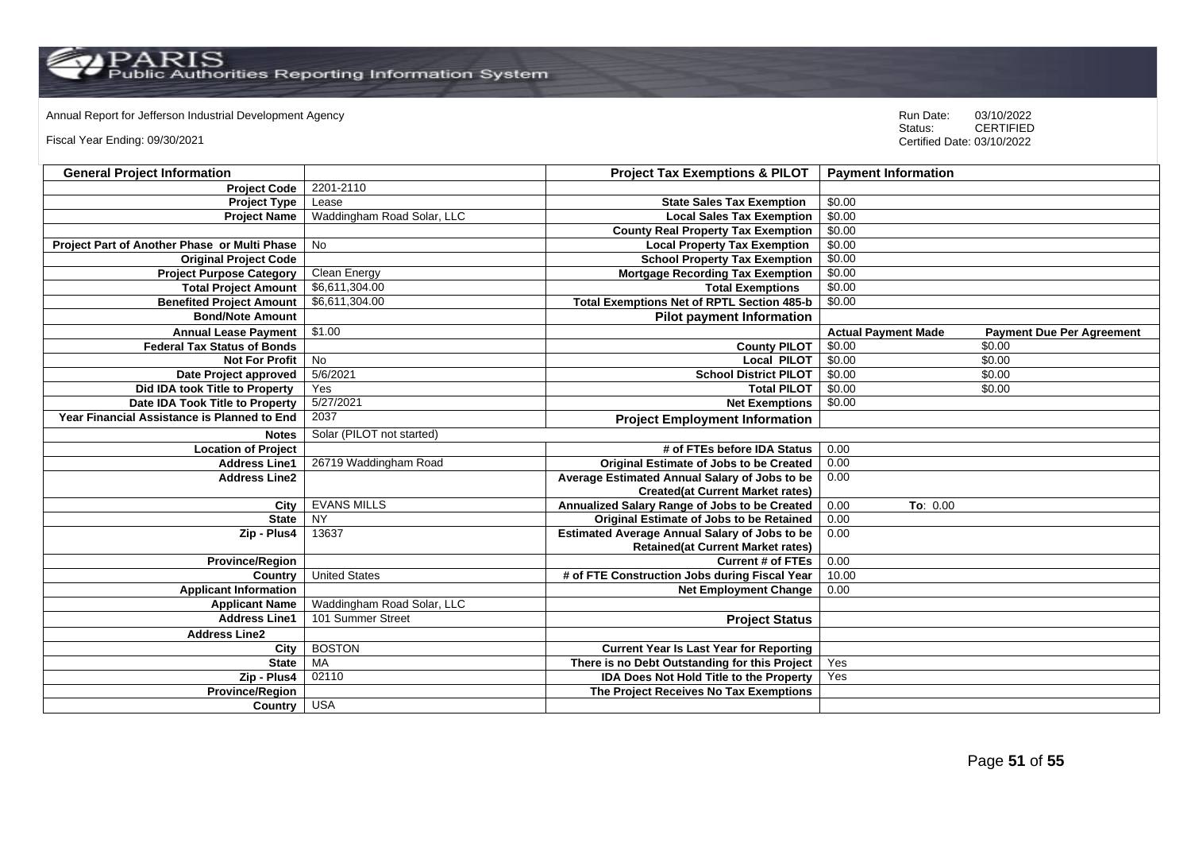$\mathrm{PARS} \ \mathrm{Fuss}$ 

Annual Report for Jefferson Industrial Development Agency<br>
Status: CERTIFIED

Fiscal Year Ending: 09/30/2021

| <b>General Project Information</b>           |                            | <b>Project Tax Exemptions &amp; PILOT</b>            | <b>Payment Information</b> |                                  |
|----------------------------------------------|----------------------------|------------------------------------------------------|----------------------------|----------------------------------|
| <b>Project Code</b>                          | 2201-2110                  |                                                      |                            |                                  |
| <b>Project Type</b>                          | Lease                      | <b>State Sales Tax Exemption</b>                     | \$0.00                     |                                  |
| <b>Project Name</b>                          | Waddingham Road Solar, LLC | <b>Local Sales Tax Exemption</b>                     | \$0.00                     |                                  |
|                                              |                            | <b>County Real Property Tax Exemption</b>            | \$0.00                     |                                  |
| Project Part of Another Phase or Multi Phase | No                         | <b>Local Property Tax Exemption</b>                  | \$0.00                     |                                  |
| <b>Original Project Code</b>                 |                            | <b>School Property Tax Exemption</b>                 | \$0.00                     |                                  |
| <b>Project Purpose Category</b>              | Clean Energy               | <b>Mortgage Recording Tax Exemption</b>              | \$0.00                     |                                  |
| <b>Total Project Amount</b>                  | \$6,611,304.00             | <b>Total Exemptions</b>                              | \$0.00                     |                                  |
| <b>Benefited Project Amount</b>              | \$6,611,304.00             | <b>Total Exemptions Net of RPTL Section 485-b</b>    | \$0.00                     |                                  |
| <b>Bond/Note Amount</b>                      |                            | <b>Pilot payment Information</b>                     |                            |                                  |
| <b>Annual Lease Payment</b>                  | \$1.00                     |                                                      | <b>Actual Payment Made</b> | <b>Payment Due Per Agreement</b> |
| <b>Federal Tax Status of Bonds</b>           |                            | <b>County PILOT</b>                                  | \$0.00                     | \$0.00                           |
| <b>Not For Profit</b>                        | $\overline{N}$             | Local PILOT                                          | \$0.00                     | \$0.00                           |
| Date Project approved                        | 5/6/2021                   | <b>School District PILOT</b>                         | \$0.00                     | \$0.00                           |
| Did IDA took Title to Property               | Yes                        | <b>Total PILOT</b>                                   | \$0.00                     | \$0.00                           |
| Date IDA Took Title to Property              | 5/27/2021                  | <b>Net Exemptions</b>                                | \$0.00                     |                                  |
| Year Financial Assistance is Planned to End  | 2037                       | <b>Project Employment Information</b>                |                            |                                  |
| <b>Notes</b>                                 | Solar (PILOT not started)  |                                                      |                            |                                  |
| <b>Location of Project</b>                   |                            | # of FTEs before IDA Status                          | 0.00                       |                                  |
| <b>Address Line1</b>                         | 26719 Waddingham Road      | <b>Original Estimate of Jobs to be Created</b>       | 0.00                       |                                  |
| <b>Address Line2</b>                         |                            | Average Estimated Annual Salary of Jobs to be        | 0.00                       |                                  |
|                                              |                            | <b>Created(at Current Market rates)</b>              |                            |                                  |
| City                                         | <b>EVANS MILLS</b>         | Annualized Salary Range of Jobs to be Created        | 0.00<br>To: 0.00           |                                  |
| <b>State</b>                                 | NY                         | Original Estimate of Jobs to be Retained             | 0.00                       |                                  |
| Zip - Plus4                                  | 13637                      | <b>Estimated Average Annual Salary of Jobs to be</b> | 0.00                       |                                  |
|                                              |                            | <b>Retained(at Current Market rates)</b>             |                            |                                  |
| <b>Province/Region</b>                       |                            | <b>Current # of FTEs</b>                             | 0.00                       |                                  |
| Country                                      | <b>United States</b>       | # of FTE Construction Jobs during Fiscal Year        | 10.00                      |                                  |
| <b>Applicant Information</b>                 |                            | <b>Net Employment Change</b>                         | 0.00                       |                                  |
| <b>Applicant Name</b>                        | Waddingham Road Solar, LLC |                                                      |                            |                                  |
| <b>Address Line1</b>                         | 101 Summer Street          | <b>Project Status</b>                                |                            |                                  |
| <b>Address Line2</b>                         |                            |                                                      |                            |                                  |
| City                                         | <b>BOSTON</b>              | <b>Current Year Is Last Year for Reporting</b>       |                            |                                  |
| <b>State</b>                                 | <b>MA</b>                  | There is no Debt Outstanding for this Project        | Yes                        |                                  |
| Zip - Plus4                                  | 02110                      | <b>IDA Does Not Hold Title to the Property</b>       | Yes                        |                                  |
| Province/Region                              |                            | The Project Receives No Tax Exemptions               |                            |                                  |
| Country                                      | <b>USA</b>                 |                                                      |                            |                                  |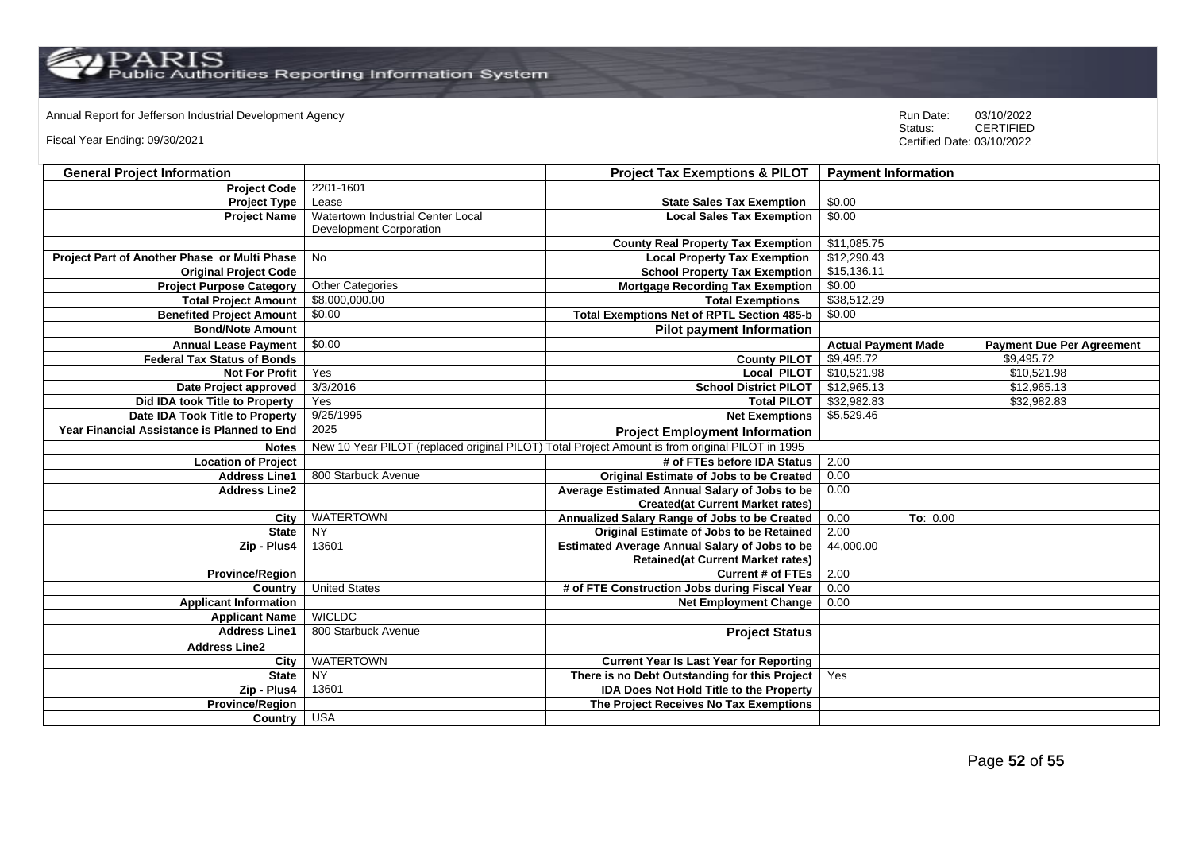Annual Report for Jefferson Industrial Development Agency<br>
Status: CERTIFIED

Fiscal Year Ending: 09/30/2021

| <b>General Project Information</b>           |                                                                                                 | <b>Project Tax Exemptions &amp; PILOT</b>            | <b>Payment Information</b> |                                  |
|----------------------------------------------|-------------------------------------------------------------------------------------------------|------------------------------------------------------|----------------------------|----------------------------------|
| <b>Project Code</b>                          | 2201-1601                                                                                       |                                                      |                            |                                  |
| <b>Project Type</b>                          | Lease                                                                                           | <b>State Sales Tax Exemption</b>                     | \$0.00                     |                                  |
| <b>Project Name</b>                          | Watertown Industrial Center Local                                                               | <b>Local Sales Tax Exemption</b>                     | \$0.00                     |                                  |
|                                              | Development Corporation                                                                         |                                                      |                            |                                  |
|                                              |                                                                                                 | <b>County Real Property Tax Exemption</b>            | \$11,085.75                |                                  |
| Project Part of Another Phase or Multi Phase | No                                                                                              | <b>Local Property Tax Exemption</b>                  | \$12,290.43                |                                  |
| <b>Original Project Code</b>                 |                                                                                                 | <b>School Property Tax Exemption</b>                 | \$15,136.11                |                                  |
| <b>Project Purpose Category</b>              | <b>Other Categories</b>                                                                         | <b>Mortgage Recording Tax Exemption</b>              | \$0.00                     |                                  |
| <b>Total Project Amount</b>                  | \$8,000,000.00                                                                                  | <b>Total Exemptions</b>                              | \$38,512.29                |                                  |
| <b>Benefited Project Amount</b>              | \$0.00                                                                                          | <b>Total Exemptions Net of RPTL Section 485-b</b>    | \$0.00                     |                                  |
| <b>Bond/Note Amount</b>                      |                                                                                                 | <b>Pilot payment Information</b>                     |                            |                                  |
| <b>Annual Lease Payment</b>                  | \$0.00                                                                                          |                                                      | <b>Actual Payment Made</b> | <b>Payment Due Per Agreement</b> |
| <b>Federal Tax Status of Bonds</b>           |                                                                                                 | <b>County PILOT</b>                                  | \$9,495.72                 | \$9,495.72                       |
| <b>Not For Profit</b>                        | Yes                                                                                             | <b>Local PILOT</b>                                   | \$10,521.98                | \$10,521.98                      |
| Date Project approved                        | 3/3/2016                                                                                        | <b>School District PILOT</b>                         | \$12,965.13                | \$12,965.13                      |
| Did IDA took Title to Property               | Yes                                                                                             | <b>Total PILOT</b>                                   | \$32,982.83                | \$32,982.83                      |
| Date IDA Took Title to Property              | 9/25/1995                                                                                       | <b>Net Exemptions</b>                                | \$5,529.46                 |                                  |
| Year Financial Assistance is Planned to End  | 2025                                                                                            | <b>Project Employment Information</b>                |                            |                                  |
| <b>Notes</b>                                 | New 10 Year PILOT (replaced original PILOT) Total Project Amount is from original PILOT in 1995 |                                                      |                            |                                  |
| <b>Location of Project</b>                   |                                                                                                 | # of FTEs before IDA Status                          | 2.00                       |                                  |
| <b>Address Line1</b>                         | 800 Starbuck Avenue                                                                             | <b>Original Estimate of Jobs to be Created</b>       | 0.00                       |                                  |
| <b>Address Line2</b>                         |                                                                                                 | Average Estimated Annual Salary of Jobs to be        | 0.00                       |                                  |
|                                              |                                                                                                 | <b>Created(at Current Market rates)</b>              |                            |                                  |
| City                                         | <b>WATERTOWN</b>                                                                                | Annualized Salary Range of Jobs to be Created        | 0.00<br>To: 0.00           |                                  |
| <b>State</b>                                 | <b>NY</b>                                                                                       | <b>Original Estimate of Jobs to be Retained</b>      | 2.00                       |                                  |
| Zip - Plus4                                  | 13601                                                                                           | <b>Estimated Average Annual Salary of Jobs to be</b> | 44,000.00                  |                                  |
|                                              |                                                                                                 | <b>Retained(at Current Market rates)</b>             |                            |                                  |
| <b>Province/Region</b>                       |                                                                                                 | <b>Current # of FTEs</b>                             | 2.00                       |                                  |
| Country                                      | <b>United States</b>                                                                            | # of FTE Construction Jobs during Fiscal Year        | 0.00                       |                                  |
| <b>Applicant Information</b>                 |                                                                                                 | <b>Net Employment Change</b>                         | 0.00                       |                                  |
| <b>Applicant Name</b>                        | <b>WICLDC</b>                                                                                   |                                                      |                            |                                  |
| <b>Address Line1</b>                         | 800 Starbuck Avenue                                                                             | <b>Project Status</b>                                |                            |                                  |
| <b>Address Line2</b>                         |                                                                                                 |                                                      |                            |                                  |
| City                                         | <b>WATERTOWN</b>                                                                                | <b>Current Year Is Last Year for Reporting</b>       |                            |                                  |
| <b>State</b>                                 | <b>NY</b>                                                                                       | There is no Debt Outstanding for this Project        | Yes                        |                                  |
| Zip - Plus4                                  | 13601                                                                                           | IDA Does Not Hold Title to the Property              |                            |                                  |
| <b>Province/Region</b>                       |                                                                                                 | The Project Receives No Tax Exemptions               |                            |                                  |
| Country USA                                  |                                                                                                 |                                                      |                            |                                  |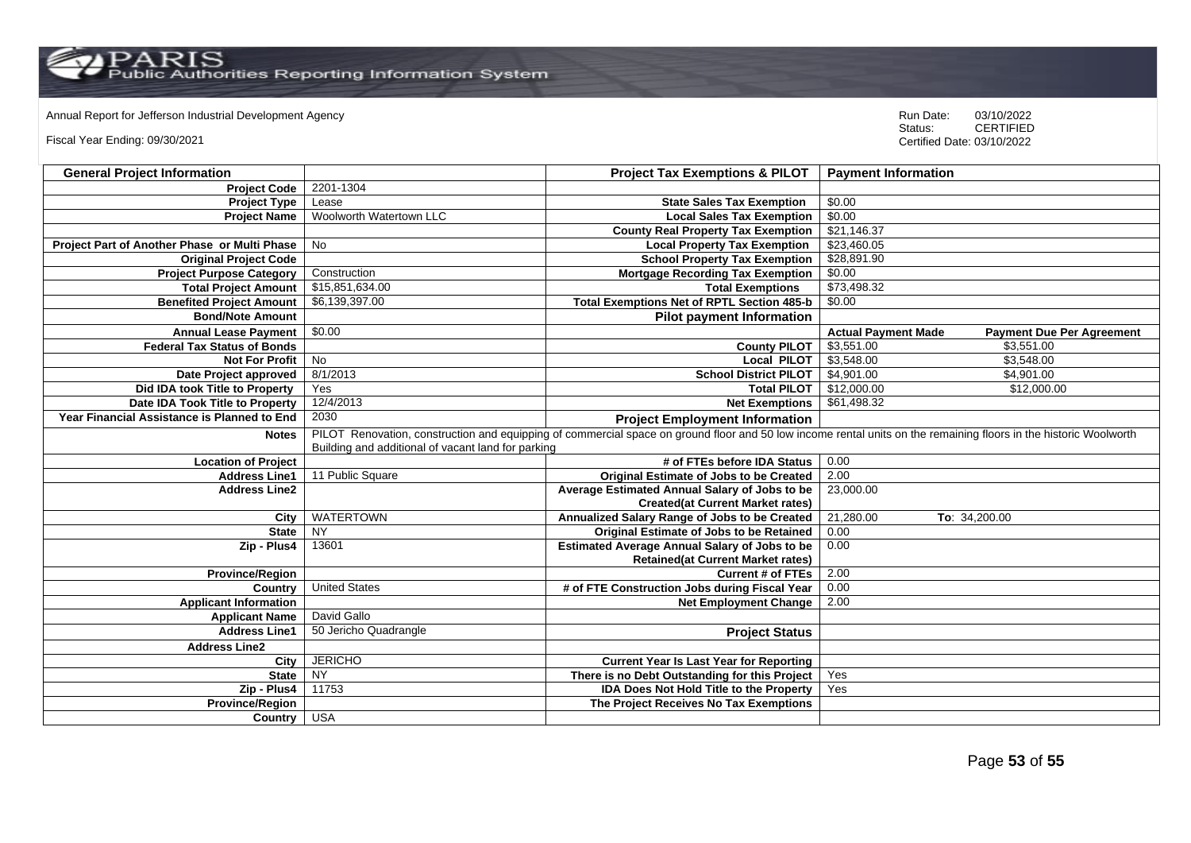Annual Report for Jefferson Industrial Development Agency<br>
Status: CERTIFIED

Fiscal Year Ending: 09/30/2021

| <b>General Project Information</b>           |                                                                                                                                                                   | <b>Project Tax Exemptions &amp; PILOT</b>            | <b>Payment Information</b>                                     |  |
|----------------------------------------------|-------------------------------------------------------------------------------------------------------------------------------------------------------------------|------------------------------------------------------|----------------------------------------------------------------|--|
| <b>Project Code</b>                          | 2201-1304                                                                                                                                                         |                                                      |                                                                |  |
| <b>Project Type</b>                          | Lease                                                                                                                                                             | <b>State Sales Tax Exemption</b>                     | \$0.00                                                         |  |
| <b>Project Name</b>                          | Woolworth Watertown LLC                                                                                                                                           | <b>Local Sales Tax Exemption</b>                     | \$0.00                                                         |  |
|                                              |                                                                                                                                                                   | <b>County Real Property Tax Exemption</b>            | \$21,146.37                                                    |  |
| Project Part of Another Phase or Multi Phase | No                                                                                                                                                                | <b>Local Property Tax Exemption</b>                  | \$23,460.05                                                    |  |
| <b>Original Project Code</b>                 |                                                                                                                                                                   | <b>School Property Tax Exemption</b>                 | \$28,891.90                                                    |  |
| <b>Project Purpose Category</b>              | Construction                                                                                                                                                      | <b>Mortgage Recording Tax Exemption</b>              | \$0.00                                                         |  |
| <b>Total Project Amount</b>                  | \$15,851,634.00                                                                                                                                                   | <b>Total Exemptions</b>                              | \$73,498.32                                                    |  |
| <b>Benefited Project Amount</b>              | \$6,139,397.00                                                                                                                                                    | Total Exemptions Net of RPTL Section 485-b           | \$0.00                                                         |  |
| <b>Bond/Note Amount</b>                      |                                                                                                                                                                   | <b>Pilot payment Information</b>                     |                                                                |  |
| <b>Annual Lease Payment</b>                  | \$0.00                                                                                                                                                            |                                                      | <b>Actual Payment Made</b><br><b>Payment Due Per Agreement</b> |  |
| <b>Federal Tax Status of Bonds</b>           |                                                                                                                                                                   | <b>County PILOT</b>                                  | \$3,551.00<br>\$3.551.00                                       |  |
| <b>Not For Profit</b>                        | <b>No</b>                                                                                                                                                         | <b>Local PILOT</b>                                   | \$3,548.00<br>\$3,548.00                                       |  |
| Date Project approved                        | 8/1/2013                                                                                                                                                          | <b>School District PILOT</b>                         | \$4,901.00<br>\$4,901.00                                       |  |
| Did IDA took Title to Property               | Yes                                                                                                                                                               | <b>Total PILOT</b>                                   | \$12,000.00<br>\$12,000.00                                     |  |
| Date IDA Took Title to Property              | 12/4/2013                                                                                                                                                         | <b>Net Exemptions</b>                                | \$61,498.32                                                    |  |
| Year Financial Assistance is Planned to End  | 2030                                                                                                                                                              | <b>Project Employment Information</b>                |                                                                |  |
| <b>Notes</b>                                 | PILOT Renovation, construction and equipping of commercial space on ground floor and 50 low income rental units on the remaining floors in the historic Woolworth |                                                      |                                                                |  |
|                                              | Building and additional of vacant land for parking                                                                                                                |                                                      |                                                                |  |
| <b>Location of Project</b>                   |                                                                                                                                                                   | # of FTEs before IDA Status                          | 0.00                                                           |  |
| <b>Address Line1</b>                         | 11 Public Square                                                                                                                                                  | <b>Original Estimate of Jobs to be Created</b>       | 2.00                                                           |  |
| <b>Address Line2</b>                         |                                                                                                                                                                   | Average Estimated Annual Salary of Jobs to be        | 23,000.00                                                      |  |
|                                              |                                                                                                                                                                   | <b>Created(at Current Market rates)</b>              |                                                                |  |
| City                                         | <b>WATERTOWN</b>                                                                                                                                                  | Annualized Salary Range of Jobs to be Created        | 21,280.00<br>To: 34,200.00                                     |  |
| <b>State</b>                                 | NY                                                                                                                                                                | <b>Original Estimate of Jobs to be Retained</b>      | 0.00                                                           |  |
| Zip - Plus4                                  | 13601                                                                                                                                                             | <b>Estimated Average Annual Salary of Jobs to be</b> | 0.00                                                           |  |
|                                              |                                                                                                                                                                   | <b>Retained(at Current Market rates)</b>             |                                                                |  |
| <b>Province/Region</b>                       |                                                                                                                                                                   | <b>Current # of FTEs</b>                             | 2.00                                                           |  |
| Country                                      | <b>United States</b>                                                                                                                                              | # of FTE Construction Jobs during Fiscal Year        | 0.00                                                           |  |
| <b>Applicant Information</b>                 |                                                                                                                                                                   | <b>Net Employment Change</b>                         | 2.00                                                           |  |
| <b>Applicant Name</b>                        | David Gallo                                                                                                                                                       |                                                      |                                                                |  |
| <b>Address Line1</b>                         | 50 Jericho Quadrangle                                                                                                                                             | <b>Project Status</b>                                |                                                                |  |
| <b>Address Line2</b>                         |                                                                                                                                                                   |                                                      |                                                                |  |
| City                                         | <b>JERICHO</b>                                                                                                                                                    | <b>Current Year Is Last Year for Reporting</b>       |                                                                |  |
| <b>State</b>                                 | NY                                                                                                                                                                | There is no Debt Outstanding for this Project        | Yes                                                            |  |
| Zip - Plus4                                  | 11753                                                                                                                                                             | <b>IDA Does Not Hold Title to the Property</b>       | Yes                                                            |  |
| <b>Province/Region</b>                       |                                                                                                                                                                   | The Project Receives No Tax Exemptions               |                                                                |  |
| Country                                      | <b>USA</b>                                                                                                                                                        |                                                      |                                                                |  |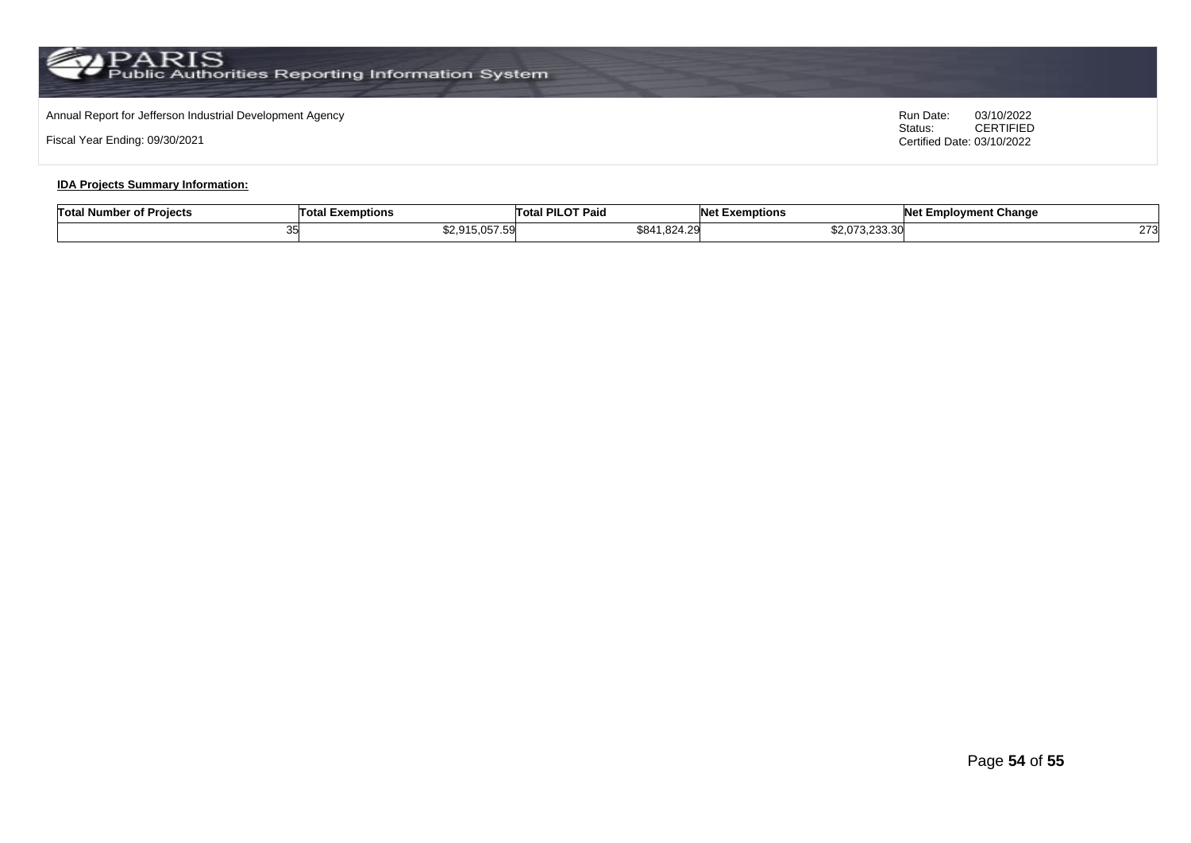# Annual Report for Jefferson Industrial Development Agency<br>
Status: CERTIFIED

Fiscal Year Ending: 09/30/2021

CERTIFIED Certified Date: 03/10/2022

#### **IDA Projects Summary Information:**

| .<br><b>Total Number of Projects</b> | Total<br>Exemptions | I PILOT Paio<br>⊺otal | <b>NA</b><br>vet Exemptions        | <b>Net Employment Change</b> |
|--------------------------------------|---------------------|-----------------------|------------------------------------|------------------------------|
|                                      | \$2 915 057 59      | \$841.824.29          | $*$ 0.070.000.00<br>\$2.U73.Z33.3U | $\sim$<br>$\sim$ 1           |